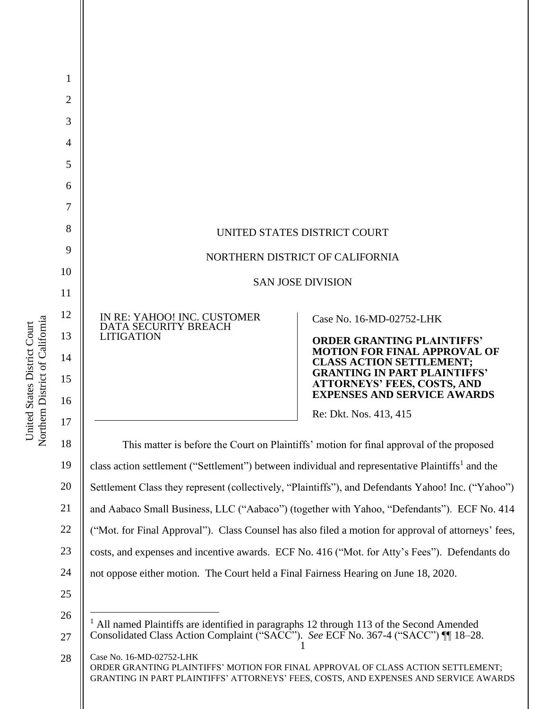

Northern District of California Northern District of California United States District Court United States District Court

GRANTING IN PART PLAINTIFFS' ATTORNEYS' FEES, COSTS, AND EXPENSES AND SERVICE AWARDS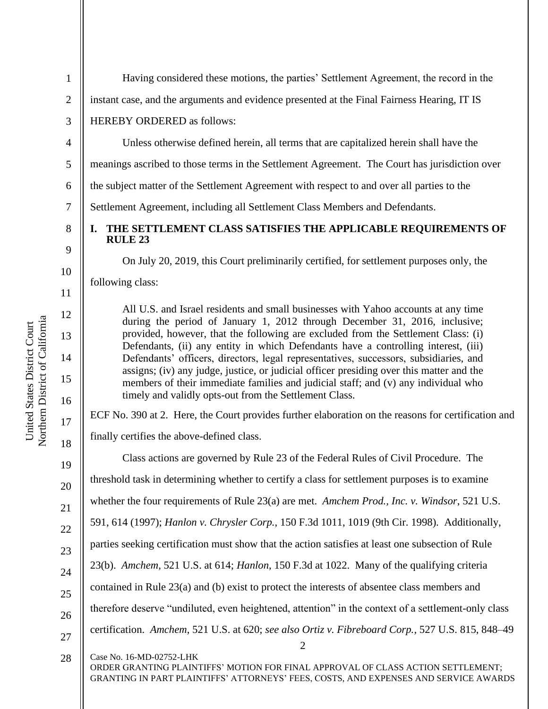1 2 3 4 5 6 Having considered these motions, the parties' Settlement Agreement, the record in the instant case, and the arguments and evidence presented at the Final Fairness Hearing, IT IS HEREBY ORDERED as follows: Unless otherwise defined herein, all terms that are capitalized herein shall have the meanings ascribed to those terms in the Settlement Agreement. The Court has jurisdiction over the subject matter of the Settlement Agreement with respect to and over all parties to the

Settlement Agreement, including all Settlement Class Members and Defendants.

# **I. THE SETTLEMENT CLASS SATISFIES THE APPLICABLE REQUIREMENTS OF RULE 23**

On July 20, 2019, this Court preliminarily certified, for settlement purposes only, the

following class:

All U.S. and Israel residents and small businesses with Yahoo accounts at any time during the period of January 1, 2012 through December 31, 2016, inclusive; provided, however, that the following are excluded from the Settlement Class: (i) Defendants, (ii) any entity in which Defendants have a controlling interest, (iii) Defendants' officers, directors, legal representatives, successors, subsidiaries, and assigns; (iv) any judge, justice, or judicial officer presiding over this matter and the members of their immediate families and judicial staff; and (v) any individual who timely and validly opts-out from the Settlement Class.

ECF No. 390 at 2. Here, the Court provides further elaboration on the reasons for certification and finally certifies the above-defined class.

2 Class actions are governed by Rule 23 of the Federal Rules of Civil Procedure. The threshold task in determining whether to certify a class for settlement purposes is to examine whether the four requirements of Rule 23(a) are met. *Amchem Prod., Inc. v. Windsor*, 521 U.S. 591, 614 (1997); *Hanlon v. Chrysler Corp.*, 150 F.3d 1011, 1019 (9th Cir. 1998). Additionally, parties seeking certification must show that the action satisfies at least one subsection of Rule 23(b). *Amchem*, 521 U.S. at 614; *Hanlon*, 150 F.3d at 1022. Many of the qualifying criteria contained in Rule 23(a) and (b) exist to protect the interests of absentee class members and therefore deserve "undiluted, even heightened, attention" in the context of a settlement-only class certification. *Amchem*, 521 U.S. at 620; *see also Ortiz v. Fibreboard Corp.*, 527 U.S. 815, 848–49

Case No. 16-MD-02752-LHK 28

ORDER GRANTING PLAINTIFFS' MOTION FOR FINAL APPROVAL OF CLASS ACTION SETTLEMENT; GRANTING IN PART PLAINTIFFS' ATTORNEYS' FEES, COSTS, AND EXPENSES AND SERVICE AWARDS

7

8

9

10

11

12

13

14

15

16

17

18

19

20

21

22

23

24

25

26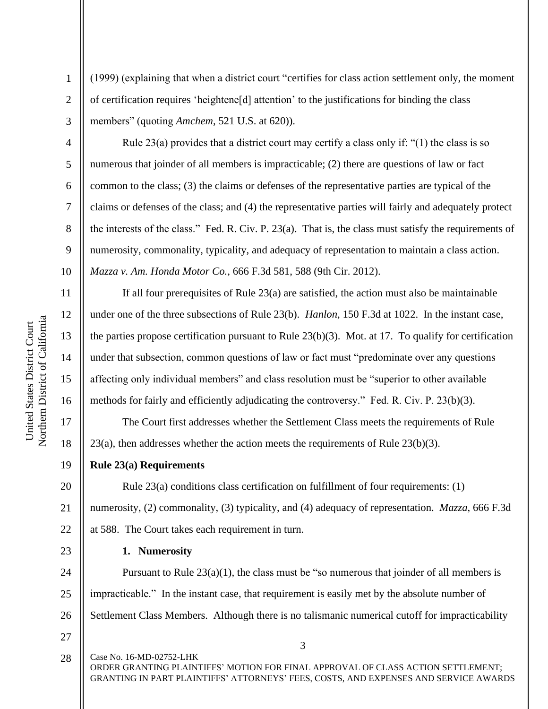4

5

6

7

8

9

10

11

12

13

14

15

16

17

18

1

(1999) (explaining that when a district court "certifies for class action settlement only, the moment of certification requires 'heightene[d] attention' to the justifications for binding the class members" (quoting *Amchem*, 521 U.S. at 620)).

Rule 23(a) provides that a district court may certify a class only if: "(1) the class is so numerous that joinder of all members is impracticable; (2) there are questions of law or fact common to the class; (3) the claims or defenses of the representative parties are typical of the claims or defenses of the class; and (4) the representative parties will fairly and adequately protect the interests of the class." Fed. R. Civ. P. 23(a). That is, the class must satisfy the requirements of numerosity, commonality, typicality, and adequacy of representation to maintain a class action. *Mazza v. Am. Honda Motor Co.*, 666 F.3d 581, 588 (9th Cir. 2012).

If all four prerequisites of Rule  $23(a)$  are satisfied, the action must also be maintainable under one of the three subsections of Rule 23(b). *Hanlon*, 150 F.3d at 1022. In the instant case, the parties propose certification pursuant to Rule 23(b)(3). Mot. at 17. To qualify for certification under that subsection, common questions of law or fact must "predominate over any questions affecting only individual members" and class resolution must be "superior to other available methods for fairly and efficiently adjudicating the controversy." Fed. R. Civ. P. 23(b)(3).

The Court first addresses whether the Settlement Class meets the requirements of Rule  $23(a)$ , then addresses whether the action meets the requirements of Rule  $23(b)(3)$ .

19 **Rule 23(a) Requirements**

20 21 22 Rule 23(a) conditions class certification on fulfillment of four requirements: (1) numerosity, (2) commonality, (3) typicality, and (4) adequacy of representation. *Mazza*, 666 F.3d at 588. The Court takes each requirement in turn.

**1. Numerosity**

24 25 26 Pursuant to Rule  $23(a)(1)$ , the class must be "so numerous that joinder of all members is impracticable." In the instant case, that requirement is easily met by the absolute number of Settlement Class Members. Although there is no talismanic numerical cutoff for impracticability

27

23

Case No. 16-MD-02752-LHK ORDER GRANTING PLAINTIFFS' MOTION FOR FINAL APPROVAL OF CLASS ACTION SETTLEMENT; GRANTING IN PART PLAINTIFFS' ATTORNEYS' FEES, COSTS, AND EXPENSES AND SERVICE AWARDS 28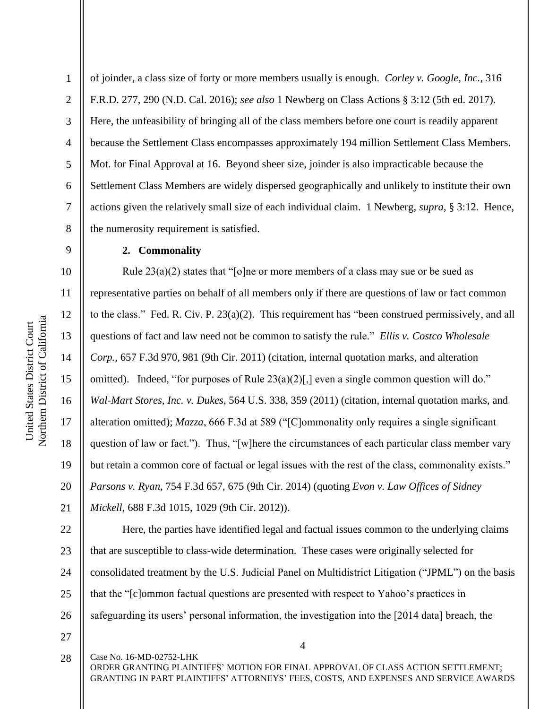8 9 10 11 12 Northern District of California Northern District of California United States District Court United States District Court 13 14 15 16

17

18

19

20

21

1

2

3

4

5

6

7

of joinder, a class size of forty or more members usually is enough. *Corley v. Google, Inc.*, 316 F.R.D. 277, 290 (N.D. Cal. 2016); *see also* 1 Newberg on Class Actions § 3:12 (5th ed. 2017). Here, the unfeasibility of bringing all of the class members before one court is readily apparent because the Settlement Class encompasses approximately 194 million Settlement Class Members. Mot. for Final Approval at 16. Beyond sheer size, joinder is also impracticable because the Settlement Class Members are widely dispersed geographically and unlikely to institute their own actions given the relatively small size of each individual claim. 1 Newberg, *supra*, § 3:12. Hence, the numerosity requirement is satisfied.

# **2. Commonality**

Rule  $23(a)(2)$  states that "[o]ne or more members of a class may sue or be sued as representative parties on behalf of all members only if there are questions of law or fact common to the class." Fed. R. Civ. P. 23(a)(2). This requirement has "been construed permissively, and all questions of fact and law need not be common to satisfy the rule." *Ellis v. Costco Wholesale Corp.*, 657 F.3d 970, 981 (9th Cir. 2011) (citation, internal quotation marks, and alteration omitted). Indeed, "for purposes of Rule 23(a)(2)[,] even a single common question will do." *Wal-Mart Stores, Inc. v. Dukes*, 564 U.S. 338, 359 (2011) (citation, internal quotation marks, and alteration omitted); *Mazza*, 666 F.3d at 589 ("[C]ommonality only requires a single significant question of law or fact."). Thus, "[w]here the circumstances of each particular class member vary but retain a common core of factual or legal issues with the rest of the class, commonality exists." *Parsons v. Ryan*, 754 F.3d 657, 675 (9th Cir. 2014) (quoting *Evon v. Law Offices of Sidney Mickell*, 688 F.3d 1015, 1029 (9th Cir. 2012)).

22 23 24 25 26 Here, the parties have identified legal and factual issues common to the underlying claims that are susceptible to class-wide determination. These cases were originally selected for consolidated treatment by the U.S. Judicial Panel on Multidistrict Litigation ("JPML") on the basis that the "[c]ommon factual questions are presented with respect to Yahoo's practices in safeguarding its users' personal information, the investigation into the [2014 data] breach, the

27

28

Case No. 16-MD-02752-LHK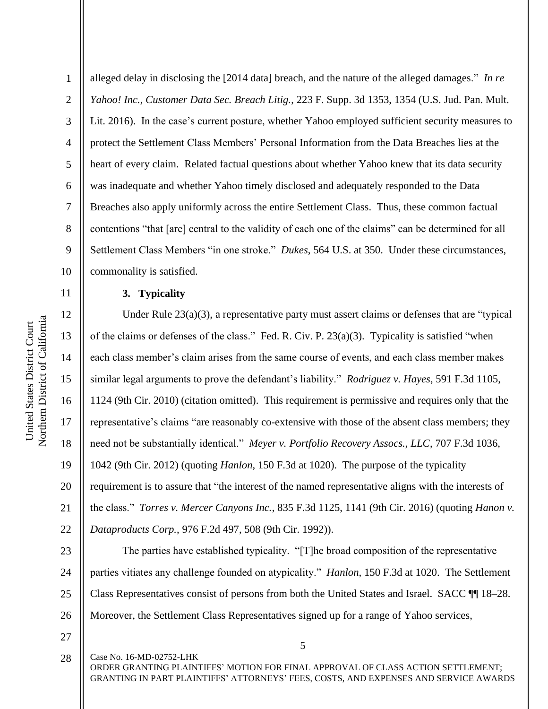protect the Settlement Class Members' Personal Information from the Data Breaches lies at the 4 5 heart of every claim. Related factual questions about whether Yahoo knew that its data security was inadequate and whether Yahoo timely disclosed and adequately responded to the Data 6 7 Breaches also apply uniformly across the entire Settlement Class. Thus, these common factual 8 contentions "that [are] central to the validity of each one of the claims" can be determined for all 9 Settlement Class Members "in one stroke." *Dukes*, 564 U.S. at 350. Under these circumstances, 10 commonality is satisfied. 11 **3. Typicality** 12 Northern District of California Northern District of California United States District Court United States District Court 13 14 15

1

2

3

Under Rule 23(a)(3), a representative party must assert claims or defenses that are "typical of the claims or defenses of the class." Fed. R. Civ. P. 23(a)(3). Typicality is satisfied "when each class member's claim arises from the same course of events, and each class member makes similar legal arguments to prove the defendant's liability." *Rodriguez v. Hayes*, 591 F.3d 1105, 1124 (9th Cir. 2010) (citation omitted). This requirement is permissive and requires only that the representative's claims "are reasonably co-extensive with those of the absent class members; they need not be substantially identical." *Meyer v. Portfolio Recovery Assocs., LLC*, 707 F.3d 1036, 1042 (9th Cir. 2012) (quoting *Hanlon*, 150 F.3d at 1020). The purpose of the typicality requirement is to assure that "the interest of the named representative aligns with the interests of the class." *Torres v. Mercer Canyons Inc.*, 835 F.3d 1125, 1141 (9th Cir. 2016) (quoting *Hanon v. Dataproducts Corp.*, 976 F.2d 497, 508 (9th Cir. 1992)).

alleged delay in disclosing the [2014 data] breach, and the nature of the alleged damages." *In re* 

*Yahoo! Inc., Customer Data Sec. Breach Litig.*, 223 F. Supp. 3d 1353, 1354 (U.S. Jud. Pan. Mult.

Lit. 2016). In the case's current posture, whether Yahoo employed sufficient security measures to

23 24 25 26 The parties have established typicality. "[T]he broad composition of the representative parties vitiates any challenge founded on atypicality." *Hanlon*, 150 F.3d at 1020. The Settlement Class Representatives consist of persons from both the United States and Israel. SACC ¶¶ 18–28. Moreover, the Settlement Class Representatives signed up for a range of Yahoo services,

27

5

Case No. 16-MD-02752-LHK ORDER GRANTING PLAINTIFFS' MOTION FOR FINAL APPROVAL OF CLASS ACTION SETTLEMENT; GRANTING IN PART PLAINTIFFS' ATTORNEYS' FEES, COSTS, AND EXPENSES AND SERVICE AWARDS 28

22

16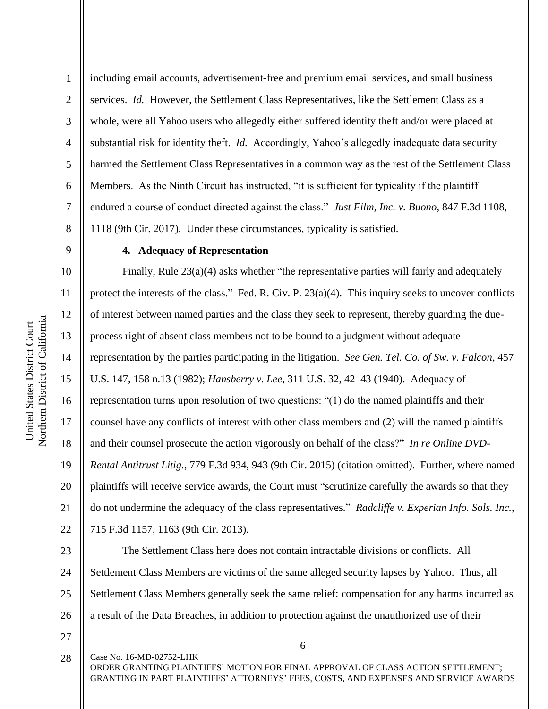2

3

4

5

6

7

8

9

10

11

12

13

14

15

16

17

18

19

20

21

22

including email accounts, advertisement-free and premium email services, and small business services. *Id.* However, the Settlement Class Representatives, like the Settlement Class as a whole, were all Yahoo users who allegedly either suffered identity theft and/or were placed at substantial risk for identity theft. *Id.* Accordingly, Yahoo's allegedly inadequate data security harmed the Settlement Class Representatives in a common way as the rest of the Settlement Class Members. As the Ninth Circuit has instructed, "it is sufficient for typicality if the plaintiff endured a course of conduct directed against the class." *Just Film, Inc. v. Buono*, 847 F.3d 1108, 1118 (9th Cir. 2017). Under these circumstances, typicality is satisfied.

## **4. Adequacy of Representation**

Finally, Rule 23(a)(4) asks whether "the representative parties will fairly and adequately protect the interests of the class." Fed. R. Civ. P. 23(a)(4). This inquiry seeks to uncover conflicts of interest between named parties and the class they seek to represent, thereby guarding the dueprocess right of absent class members not to be bound to a judgment without adequate representation by the parties participating in the litigation. *See Gen. Tel. Co. of Sw. v. Falcon*, 457 U.S. 147, 158 n.13 (1982); *Hansberry v. Lee*, 311 U.S. 32, 42–43 (1940). Adequacy of representation turns upon resolution of two questions: "(1) do the named plaintiffs and their counsel have any conflicts of interest with other class members and (2) will the named plaintiffs and their counsel prosecute the action vigorously on behalf of the class?" *In re Online DVD-Rental Antitrust Litig.*, 779 F.3d 934, 943 (9th Cir. 2015) (citation omitted). Further, where named plaintiffs will receive service awards, the Court must "scrutinize carefully the awards so that they do not undermine the adequacy of the class representatives." *Radcliffe v. Experian Info. Sols. Inc.*, 715 F.3d 1157, 1163 (9th Cir. 2013).

23 24 25 26 The Settlement Class here does not contain intractable divisions or conflicts. All Settlement Class Members are victims of the same alleged security lapses by Yahoo. Thus, all Settlement Class Members generally seek the same relief: compensation for any harms incurred as a result of the Data Breaches, in addition to protection against the unauthorized use of their

27

28

Case No. 16-MD-02752-LHK

6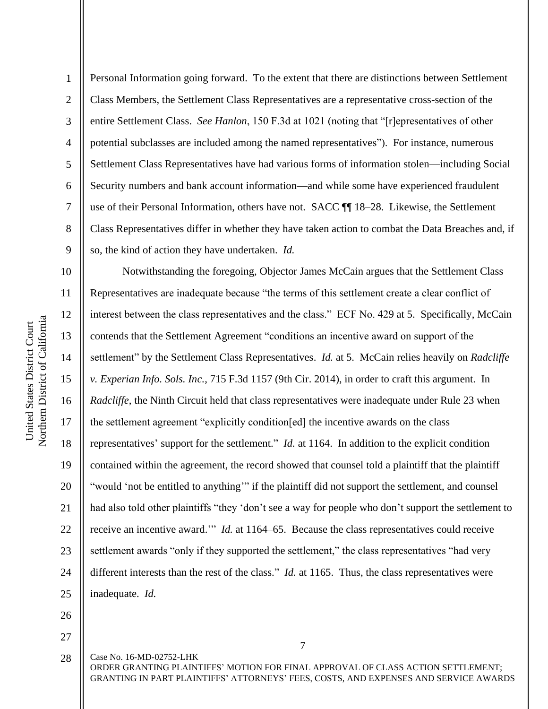2

3

4

5

6

7

8

9

Personal Information going forward. To the extent that there are distinctions between Settlement Class Members, the Settlement Class Representatives are a representative cross-section of the entire Settlement Class. *See Hanlon*, 150 F.3d at 1021 (noting that "[r]epresentatives of other potential subclasses are included among the named representatives"). For instance, numerous Settlement Class Representatives have had various forms of information stolen—including Social Security numbers and bank account information—and while some have experienced fraudulent use of their Personal Information, others have not. SACC ¶¶ 18–28. Likewise, the Settlement Class Representatives differ in whether they have taken action to combat the Data Breaches and, if so, the kind of action they have undertaken. *Id.*

10 11 12 13 14 15 16 17 18 19 20 21 22 23 24 25 Notwithstanding the foregoing, Objector James McCain argues that the Settlement Class Representatives are inadequate because "the terms of this settlement create a clear conflict of interest between the class representatives and the class." ECF No. 429 at 5. Specifically, McCain contends that the Settlement Agreement "conditions an incentive award on support of the settlement" by the Settlement Class Representatives. *Id.* at 5. McCain relies heavily on *Radcliffe v. Experian Info. Sols. Inc.*, 715 F.3d 1157 (9th Cir. 2014), in order to craft this argument. In *Radcliffe*, the Ninth Circuit held that class representatives were inadequate under Rule 23 when the settlement agreement "explicitly condition[ed] the incentive awards on the class representatives' support for the settlement." *Id.* at 1164. In addition to the explicit condition contained within the agreement, the record showed that counsel told a plaintiff that the plaintiff "would 'not be entitled to anything'" if the plaintiff did not support the settlement, and counsel had also told other plaintiffs "they 'don't see a way for people who don't support the settlement to receive an incentive award.'" *Id.* at 1164–65. Because the class representatives could receive settlement awards "only if they supported the settlement," the class representatives "had very different interests than the rest of the class." *Id.* at 1165. Thus, the class representatives were inadequate. *Id.*

26

27

Case No. 16-MD-02752-LHK ORDER GRANTING PLAINTIFFS' MOTION FOR FINAL APPROVAL OF CLASS ACTION SETTLEMENT; GRANTING IN PART PLAINTIFFS' ATTORNEYS' FEES, COSTS, AND EXPENSES AND SERVICE AWARDS 28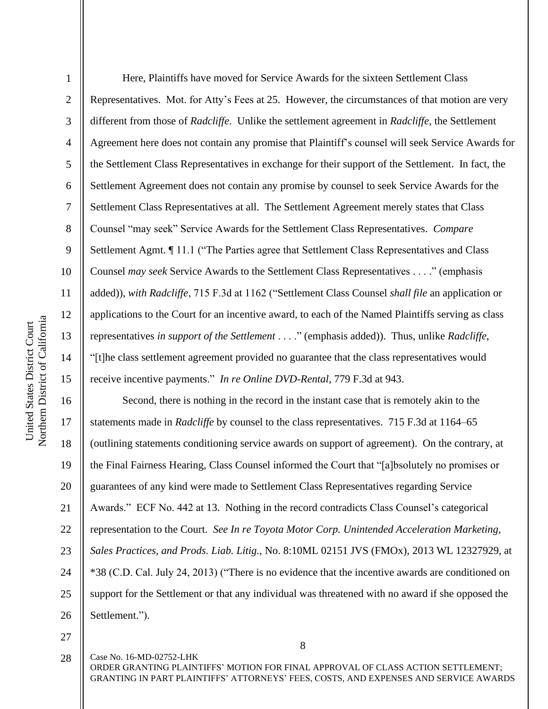2

3

4

5

6

7

8

9

10

11

12

13

14

15

Here, Plaintiffs have moved for Service Awards for the sixteen Settlement Class Representatives. Mot. for Atty's Fees at 25. However, the circumstances of that motion are very different from those of *Radcliffe*. Unlike the settlement agreement in *Radcliffe*, the Settlement Agreement here does not contain any promise that Plaintiff's counsel will seek Service Awards for the Settlement Class Representatives in exchange for their support of the Settlement. In fact, the Settlement Agreement does not contain any promise by counsel to seek Service Awards for the Settlement Class Representatives at all. The Settlement Agreement merely states that Class Counsel "may seek" Service Awards for the Settlement Class Representatives. *Compare*  Settlement Agmt. ¶ 11.1 ("The Parties agree that Settlement Class Representatives and Class Counsel *may seek* Service Awards to the Settlement Class Representatives . . . ." (emphasis added)), *with Radcliffe*, 715 F.3d at 1162 ("Settlement Class Counsel *shall file* an application or applications to the Court for an incentive award, to each of the Named Plaintiffs serving as class representatives *in support of the Settlement* . . . ." (emphasis added)). Thus, unlike *Radcliffe*, "[t]he class settlement agreement provided no guarantee that the class representatives would receive incentive payments." *In re Online DVD-Rental*, 779 F.3d at 943.

16 17 18 19 20 21 22 23 24 25 26 Second, there is nothing in the record in the instant case that is remotely akin to the statements made in *Radcliffe* by counsel to the class representatives. 715 F.3d at 1164–65 (outlining statements conditioning service awards on support of agreement). On the contrary, at the Final Fairness Hearing, Class Counsel informed the Court that "[a]bsolutely no promises or guarantees of any kind were made to Settlement Class Representatives regarding Service Awards." ECF No. 442 at 13. Nothing in the record contradicts Class Counsel's categorical representation to the Court. *See In re Toyota Motor Corp. Unintended Acceleration Marketing, Sales Practices, and Prods. Liab. Litig.*, No. 8:10ML 02151 JVS (FMOx), 2013 WL 12327929, at \*38 (C.D. Cal. July 24, 2013) ("There is no evidence that the incentive awards are conditioned on support for the Settlement or that any individual was threatened with no award if she opposed the Settlement.").

27

8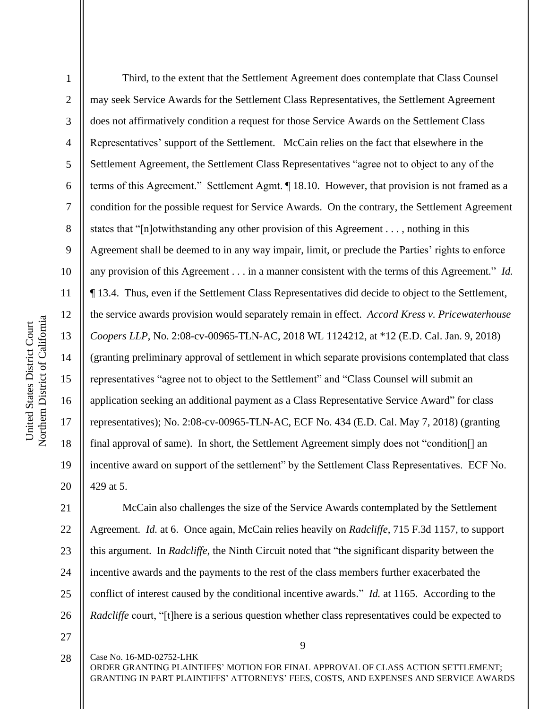2

3

4

5

6

7

8

9

10

11

12

13

14

15

16

17

18

19

20

Third, to the extent that the Settlement Agreement does contemplate that Class Counsel may seek Service Awards for the Settlement Class Representatives, the Settlement Agreement does not affirmatively condition a request for those Service Awards on the Settlement Class Representatives' support of the Settlement. McCain relies on the fact that elsewhere in the Settlement Agreement, the Settlement Class Representatives "agree not to object to any of the terms of this Agreement." Settlement Agmt. ¶ 18.10. However, that provision is not framed as a condition for the possible request for Service Awards. On the contrary, the Settlement Agreement states that "[n]otwithstanding any other provision of this Agreement . . . , nothing in this Agreement shall be deemed to in any way impair, limit, or preclude the Parties' rights to enforce any provision of this Agreement . . . in a manner consistent with the terms of this Agreement." *Id.*  ¶ 13.4. Thus, even if the Settlement Class Representatives did decide to object to the Settlement, the service awards provision would separately remain in effect. *Accord Kress v. Pricewaterhouse Coopers LLP*, No. 2:08-cv-00965-TLN-AC, 2018 WL 1124212, at \*12 (E.D. Cal. Jan. 9, 2018) (granting preliminary approval of settlement in which separate provisions contemplated that class representatives "agree not to object to the Settlement" and "Class Counsel will submit an application seeking an additional payment as a Class Representative Service Award" for class representatives); No. 2:08-cv-00965-TLN-AC, ECF No. 434 (E.D. Cal. May 7, 2018) (granting final approval of same). In short, the Settlement Agreement simply does not "condition[] an incentive award on support of the settlement" by the Settlement Class Representatives. ECF No. 429 at 5.

21 22 23 24 25 26 McCain also challenges the size of the Service Awards contemplated by the Settlement Agreement. *Id.* at 6. Once again, McCain relies heavily on *Radcliffe*, 715 F.3d 1157, to support this argument. In *Radcliffe*, the Ninth Circuit noted that "the significant disparity between the incentive awards and the payments to the rest of the class members further exacerbated the conflict of interest caused by the conditional incentive awards." *Id.* at 1165. According to the *Radcliffe* court, "[t]here is a serious question whether class representatives could be expected to

27 28

Case No. 16-MD-02752-LHK

9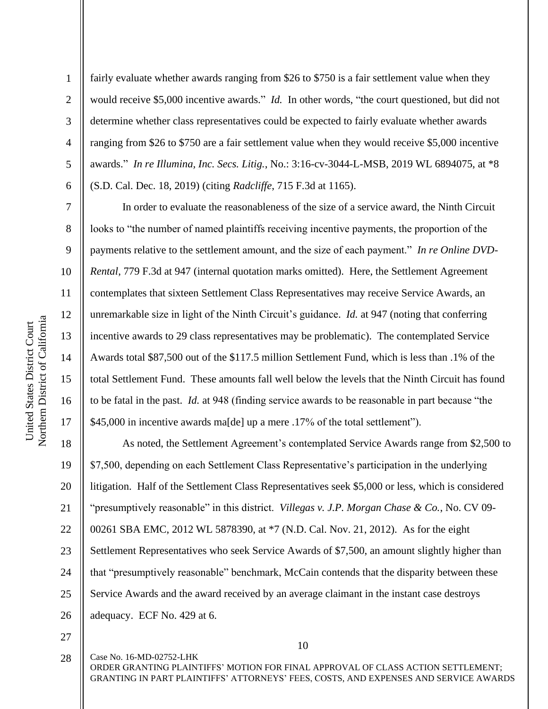2

3

4

5

6

7

8

9

10

11

12

13

14

15

16

17

fairly evaluate whether awards ranging from \$26 to \$750 is a fair settlement value when they would receive \$5,000 incentive awards." *Id.* In other words, "the court questioned, but did not determine whether class representatives could be expected to fairly evaluate whether awards ranging from \$26 to \$750 are a fair settlement value when they would receive \$5,000 incentive awards." *In re Illumina, Inc. Secs. Litig.*, No.: 3:16-cv-3044-L-MSB, 2019 WL 6894075, at \*8 (S.D. Cal. Dec. 18, 2019) (citing *Radcliffe*, 715 F.3d at 1165).

In order to evaluate the reasonableness of the size of a service award, the Ninth Circuit looks to "the number of named plaintiffs receiving incentive payments, the proportion of the payments relative to the settlement amount, and the size of each payment." *In re Online DVD-Rental*, 779 F.3d at 947 (internal quotation marks omitted). Here, the Settlement Agreement contemplates that sixteen Settlement Class Representatives may receive Service Awards, an unremarkable size in light of the Ninth Circuit's guidance. *Id.* at 947 (noting that conferring incentive awards to 29 class representatives may be problematic). The contemplated Service Awards total \$87,500 out of the \$117.5 million Settlement Fund, which is less than .1% of the total Settlement Fund. These amounts fall well below the levels that the Ninth Circuit has found to be fatal in the past. *Id.* at 948 (finding service awards to be reasonable in part because "the \$45,000 in incentive awards ma[de] up a mere .17% of the total settlement").

18 19 20 21 22 23 24 25 26 As noted, the Settlement Agreement's contemplated Service Awards range from \$2,500 to \$7,500, depending on each Settlement Class Representative's participation in the underlying litigation. Half of the Settlement Class Representatives seek \$5,000 or less, which is considered "presumptively reasonable" in this district. *Villegas v. J.P. Morgan Chase & Co.*, No. CV 09- 00261 SBA EMC, 2012 WL 5878390, at \*7 (N.D. Cal. Nov. 21, 2012). As for the eight Settlement Representatives who seek Service Awards of \$7,500, an amount slightly higher than that "presumptively reasonable" benchmark, McCain contends that the disparity between these Service Awards and the award received by an average claimant in the instant case destroys adequacy. ECF No. 429 at 6.

27

28

10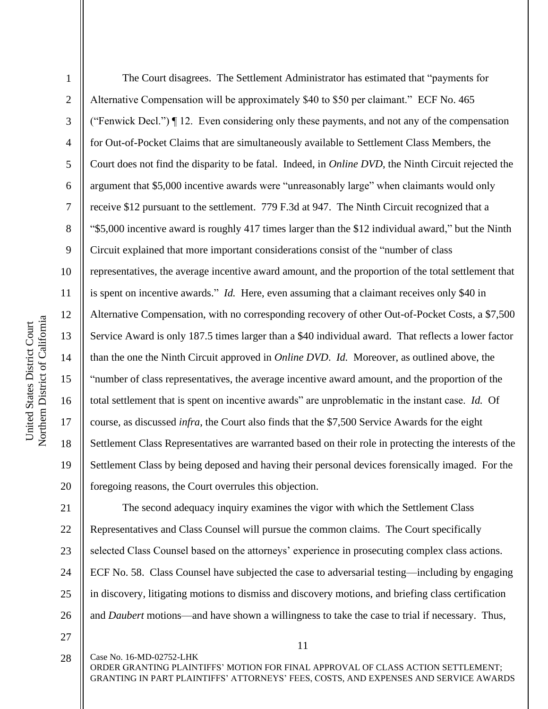2

3

4

5

8

9

11

13

15

17

18

19

6 7 10 12 14 16 20 The Court disagrees. The Settlement Administrator has estimated that "payments for Alternative Compensation will be approximately \$40 to \$50 per claimant." ECF No. 465 ("Fenwick Decl.") ¶ 12. Even considering only these payments, and not any of the compensation for Out-of-Pocket Claims that are simultaneously available to Settlement Class Members, the Court does not find the disparity to be fatal. Indeed, in *Online DVD*, the Ninth Circuit rejected the argument that \$5,000 incentive awards were "unreasonably large" when claimants would only receive \$12 pursuant to the settlement. 779 F.3d at 947. The Ninth Circuit recognized that a "\$5,000 incentive award is roughly 417 times larger than the \$12 individual award," but the Ninth Circuit explained that more important considerations consist of the "number of class representatives, the average incentive award amount, and the proportion of the total settlement that is spent on incentive awards." *Id.* Here, even assuming that a claimant receives only \$40 in Alternative Compensation, with no corresponding recovery of other Out-of-Pocket Costs, a \$7,500 Service Award is only 187.5 times larger than a \$40 individual award. That reflects a lower factor than the one the Ninth Circuit approved in *Online DVD*. *Id.* Moreover, as outlined above, the "number of class representatives, the average incentive award amount, and the proportion of the total settlement that is spent on incentive awards" are unproblematic in the instant case. *Id.* Of course, as discussed *infra*, the Court also finds that the \$7,500 Service Awards for the eight Settlement Class Representatives are warranted based on their role in protecting the interests of the Settlement Class by being deposed and having their personal devices forensically imaged. For the foregoing reasons, the Court overrules this objection. The second adequacy inquiry examines the vigor with which the Settlement Class

21 22 23 24 25 26 Representatives and Class Counsel will pursue the common claims. The Court specifically selected Class Counsel based on the attorneys' experience in prosecuting complex class actions. ECF No. 58. Class Counsel have subjected the case to adversarial testing—including by engaging in discovery, litigating motions to dismiss and discovery motions, and briefing class certification and *Daubert* motions—and have shown a willingness to take the case to trial if necessary. Thus,

27 28

Case No. 16-MD-02752-LHK

11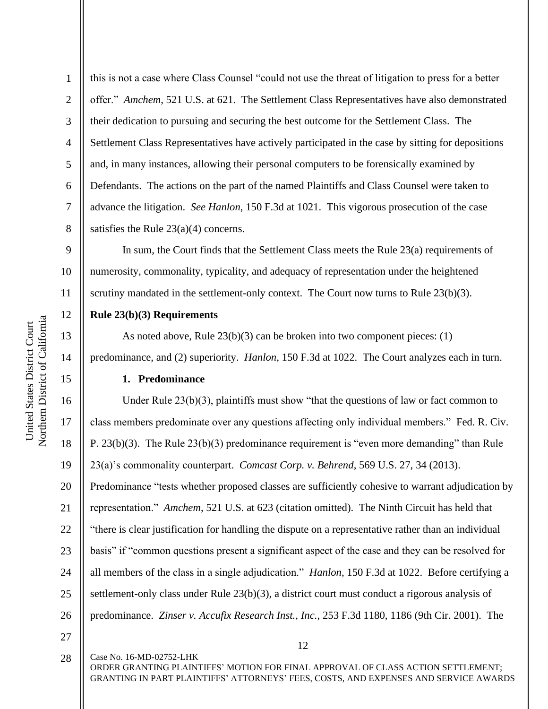19

20

21

22

23

24

25

26

27

1

2

3

4

5

6

7

this is not a case where Class Counsel "could not use the threat of litigation to press for a better offer." *Amchem*, 521 U.S. at 621. The Settlement Class Representatives have also demonstrated their dedication to pursuing and securing the best outcome for the Settlement Class. The Settlement Class Representatives have actively participated in the case by sitting for depositions and, in many instances, allowing their personal computers to be forensically examined by Defendants. The actions on the part of the named Plaintiffs and Class Counsel were taken to advance the litigation. *See Hanlon*, 150 F.3d at 1021. This vigorous prosecution of the case satisfies the Rule  $23(a)(4)$  concerns.

In sum, the Court finds that the Settlement Class meets the Rule 23(a) requirements of numerosity, commonality, typicality, and adequacy of representation under the heightened scrutiny mandated in the settlement-only context. The Court now turns to Rule 23(b)(3).

# **Rule 23(b)(3) Requirements**

As noted above, Rule 23(b)(3) can be broken into two component pieces: (1) predominance, and (2) superiority. *Hanlon*, 150 F.3d at 1022. The Court analyzes each in turn.

# **1. Predominance**

Under Rule  $23(b)(3)$ , plaintiffs must show "that the questions of law or fact common to class members predominate over any questions affecting only individual members." Fed. R. Civ. P. 23(b)(3). The Rule 23(b)(3) predominance requirement is "even more demanding" than Rule 23(a)'s commonality counterpart. *Comcast Corp. v. Behrend*, 569 U.S. 27, 34 (2013). Predominance "tests whether proposed classes are sufficiently cohesive to warrant adjudication by representation." *Amchem*, 521 U.S. at 623 (citation omitted). The Ninth Circuit has held that "there is clear justification for handling the dispute on a representative rather than an individual basis" if "common questions present a significant aspect of the case and they can be resolved for all members of the class in a single adjudication." *Hanlon*, 150 F.3d at 1022. Before certifying a settlement-only class under Rule 23(b)(3), a district court must conduct a rigorous analysis of predominance. *Zinser v. Accufix Research Inst., Inc.*, 253 F.3d 1180, 1186 (9th Cir. 2001). The

Case No. 16-MD-02752-LHK 28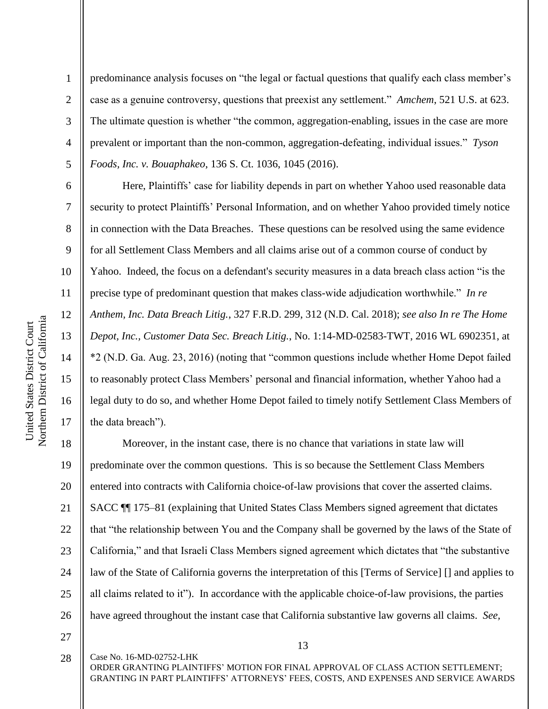2

3

4

5

6

7

8

9

10

11

12

13

14

15

16

17

predominance analysis focuses on "the legal or factual questions that qualify each class member's case as a genuine controversy, questions that preexist any settlement." *Amchem*, 521 U.S. at 623. The ultimate question is whether "the common, aggregation-enabling, issues in the case are more prevalent or important than the non-common, aggregation-defeating, individual issues." *Tyson Foods, Inc. v. Bouaphakeo*, 136 S. Ct. 1036, 1045 (2016).

Here, Plaintiffs' case for liability depends in part on whether Yahoo used reasonable data security to protect Plaintiffs' Personal Information, and on whether Yahoo provided timely notice in connection with the Data Breaches. These questions can be resolved using the same evidence for all Settlement Class Members and all claims arise out of a common course of conduct by Yahoo. Indeed, the focus on a defendant's security measures in a data breach class action "is the precise type of predominant question that makes class-wide adjudication worthwhile." *In re Anthem, Inc. Data Breach Litig.*, 327 F.R.D. 299, 312 (N.D. Cal. 2018); *see also In re The Home Depot, Inc., Customer Data Sec. Breach Litig.*, No. 1:14-MD-02583-TWT, 2016 WL 6902351, at \*2 (N.D. Ga. Aug. 23, 2016) (noting that "common questions include whether Home Depot failed to reasonably protect Class Members' personal and financial information, whether Yahoo had a legal duty to do so, and whether Home Depot failed to timely notify Settlement Class Members of the data breach").

18 19 20 21 22 23 24 25 26 Moreover, in the instant case, there is no chance that variations in state law will predominate over the common questions. This is so because the Settlement Class Members entered into contracts with California choice-of-law provisions that cover the asserted claims. SACC ¶¶ 175–81 (explaining that United States Class Members signed agreement that dictates that "the relationship between You and the Company shall be governed by the laws of the State of California," and that Israeli Class Members signed agreement which dictates that "the substantive law of the State of California governs the interpretation of this [Terms of Service] [] and applies to all claims related to it"). In accordance with the applicable choice-of-law provisions, the parties have agreed throughout the instant case that California substantive law governs all claims. *See,* 

27

28

Case No. 16-MD-02752-LHK

13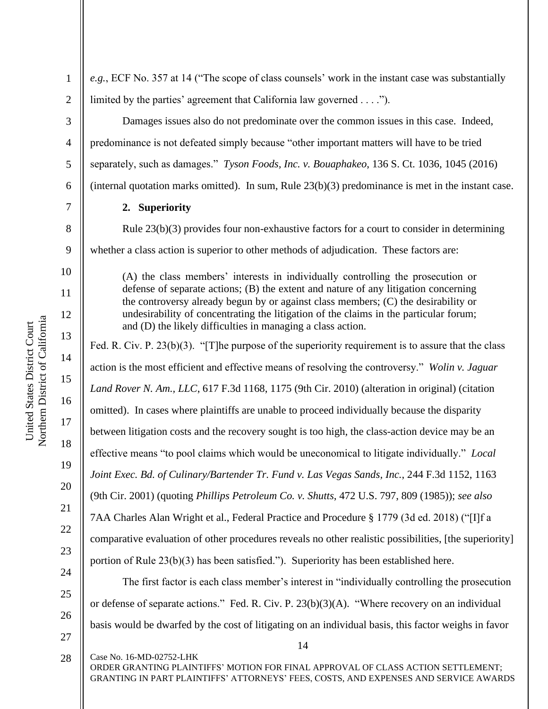10

11

12

13

14

15

16

17

18

1

2

*e.g.*, ECF No. 357 at 14 ("The scope of class counsels' work in the instant case was substantially limited by the parties' agreement that California law governed . . . .").

Damages issues also do not predominate over the common issues in this case. Indeed, predominance is not defeated simply because "other important matters will have to be tried separately, such as damages." *Tyson Foods, Inc. v. Bouaphakeo*, 136 S. Ct. 1036, 1045 (2016) (internal quotation marks omitted). In sum, Rule 23(b)(3) predominance is met in the instant case.

# **2. Superiority**

Rule  $23(b)(3)$  provides four non-exhaustive factors for a court to consider in determining whether a class action is superior to other methods of adjudication. These factors are:

(A) the class members' interests in individually controlling the prosecution or defense of separate actions; (B) the extent and nature of any litigation concerning the controversy already begun by or against class members; (C) the desirability or undesirability of concentrating the litigation of the claims in the particular forum; and (D) the likely difficulties in managing a class action.

Fed. R. Civ. P. 23(b)(3). "[T]he purpose of the superiority requirement is to assure that the class action is the most efficient and effective means of resolving the controversy." *Wolin v. Jaguar Land Rover N. Am., LLC*, 617 F.3d 1168, 1175 (9th Cir. 2010) (alteration in original) (citation omitted). In cases where plaintiffs are unable to proceed individually because the disparity between litigation costs and the recovery sought is too high, the class-action device may be an effective means "to pool claims which would be uneconomical to litigate individually." *Local Joint Exec. Bd. of Culinary/Bartender Tr. Fund v. Las Vegas Sands, Inc.*, 244 F.3d 1152, 1163 (9th Cir. 2001) (quoting *Phillips Petroleum Co. v. Shutts*, 472 U.S. 797, 809 (1985)); *see also* 7AA Charles Alan Wright et al., Federal Practice and Procedure § 1779 (3d ed. 2018) ("[I]f a comparative evaluation of other procedures reveals no other realistic possibilities, [the superiority] portion of Rule 23(b)(3) has been satisfied."). Superiority has been established here.

The first factor is each class member's interest in "individually controlling the prosecution or defense of separate actions." Fed. R. Civ. P. 23(b)(3)(A). "Where recovery on an individual basis would be dwarfed by the cost of litigating on an individual basis, this factor weighs in favor

27

Case No. 16-MD-02752-LHK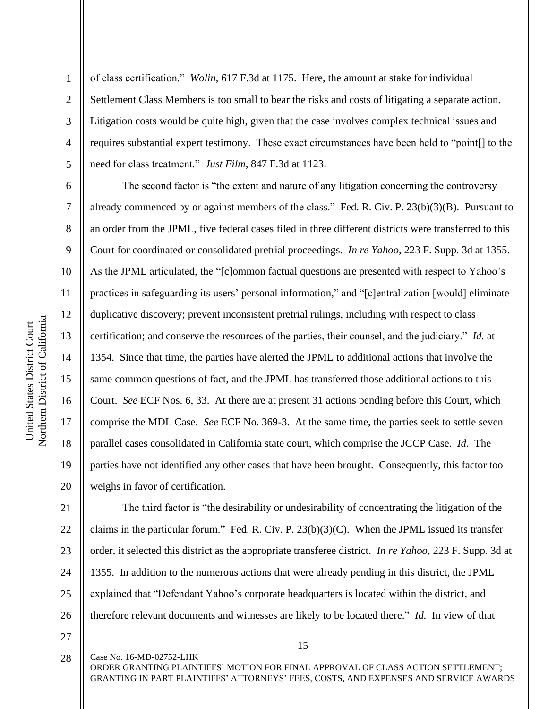7

8

9

10

11

12

13

14

15

16

17

18

19

20

1 2 3 4 5 of class certification." *Wolin*, 617 F.3d at 1175. Here, the amount at stake for individual Settlement Class Members is too small to bear the risks and costs of litigating a separate action. Litigation costs would be quite high, given that the case involves complex technical issues and requires substantial expert testimony. These exact circumstances have been held to "point[] to the need for class treatment." *Just Film*, 847 F.3d at 1123.

The second factor is "the extent and nature of any litigation concerning the controversy already commenced by or against members of the class." Fed. R. Civ. P. 23(b)(3)(B). Pursuant to an order from the JPML, five federal cases filed in three different districts were transferred to this Court for coordinated or consolidated pretrial proceedings. *In re Yahoo*, 223 F. Supp. 3d at 1355. As the JPML articulated, the "[c]ommon factual questions are presented with respect to Yahoo's practices in safeguarding its users' personal information," and "[c]entralization [would] eliminate duplicative discovery; prevent inconsistent pretrial rulings, including with respect to class certification; and conserve the resources of the parties, their counsel, and the judiciary." *Id.* at 1354. Since that time, the parties have alerted the JPML to additional actions that involve the same common questions of fact, and the JPML has transferred those additional actions to this Court. *See* ECF Nos. 6, 33. At there are at present 31 actions pending before this Court, which comprise the MDL Case. *See* ECF No. 369-3. At the same time, the parties seek to settle seven parallel cases consolidated in California state court, which comprise the JCCP Case. *Id.* The parties have not identified any other cases that have been brought. Consequently, this factor too weighs in favor of certification.

21 22 23 24 25 26 The third factor is "the desirability or undesirability of concentrating the litigation of the claims in the particular forum." Fed. R. Civ. P.  $23(b)(3)(C)$ . When the JPML issued its transfer order, it selected this district as the appropriate transferee district. *In re Yahoo*, 223 F. Supp. 3d at 1355. In addition to the numerous actions that were already pending in this district, the JPML explained that "Defendant Yahoo's corporate headquarters is located within the district, and therefore relevant documents and witnesses are likely to be located there." *Id.* In view of that

27

28

Case No. 16-MD-02752-LHK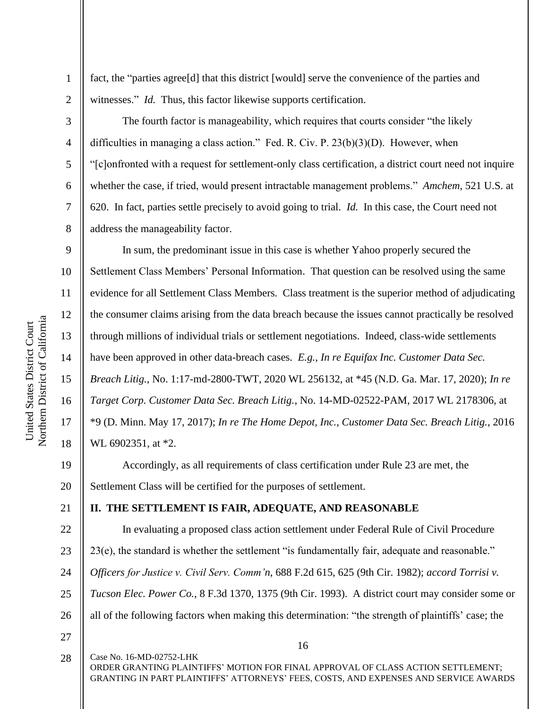10 11 12 Northern District of California Northern District of California 13 14 15 16

United States District Court

United States District Court

1

2

3

4

5

6

7

8

9

17

18

21

fact, the "parties agree[d] that this district [would] serve the convenience of the parties and witnesses." *Id.* Thus, this factor likewise supports certification.

The fourth factor is manageability, which requires that courts consider "the likely difficulties in managing a class action." Fed. R. Civ. P. 23(b)(3)(D). However, when "[c]onfronted with a request for settlement-only class certification, a district court need not inquire whether the case, if tried, would present intractable management problems." *Amchem*, 521 U.S. at 620. In fact, parties settle precisely to avoid going to trial. *Id.* In this case, the Court need not address the manageability factor.

In sum, the predominant issue in this case is whether Yahoo properly secured the Settlement Class Members' Personal Information. That question can be resolved using the same evidence for all Settlement Class Members. Class treatment is the superior method of adjudicating the consumer claims arising from the data breach because the issues cannot practically be resolved through millions of individual trials or settlement negotiations. Indeed, class-wide settlements have been approved in other data-breach cases. *E.g.*, *In re Equifax Inc. Customer Data Sec. Breach Litig.*, No. 1:17-md-2800-TWT, 2020 WL 256132, at \*45 (N.D. Ga. Mar. 17, 2020); *In re Target Corp. Customer Data Sec. Breach Litig.*, No. 14-MD-02522-PAM, 2017 WL 2178306, at \*9 (D. Minn. May 17, 2017); *In re The Home Depot, Inc., Customer Data Sec. Breach Litig.*, 2016 WL 6902351, at \*2.

19 20 Accordingly, as all requirements of class certification under Rule 23 are met, the Settlement Class will be certified for the purposes of settlement.

# **II. THE SETTLEMENT IS FAIR, ADEQUATE, AND REASONABLE**

22 23 24 25 26 27 In evaluating a proposed class action settlement under Federal Rule of Civil Procedure 23(e), the standard is whether the settlement "is fundamentally fair, adequate and reasonable." *Officers for Justice v. Civil Serv. Comm'n*, 688 F.2d 615, 625 (9th Cir. 1982); *accord Torrisi v. Tucson Elec. Power Co.*, 8 F.3d 1370, 1375 (9th Cir. 1993). A district court may consider some or all of the following factors when making this determination: "the strength of plaintiffs' case; the

Case No. 16-MD-02752-LHK ORDER GRANTING PLAINTIFFS' MOTION FOR FINAL APPROVAL OF CLASS ACTION SETTLEMENT; GRANTING IN PART PLAINTIFFS' ATTORNEYS' FEES, COSTS, AND EXPENSES AND SERVICE AWARDS 28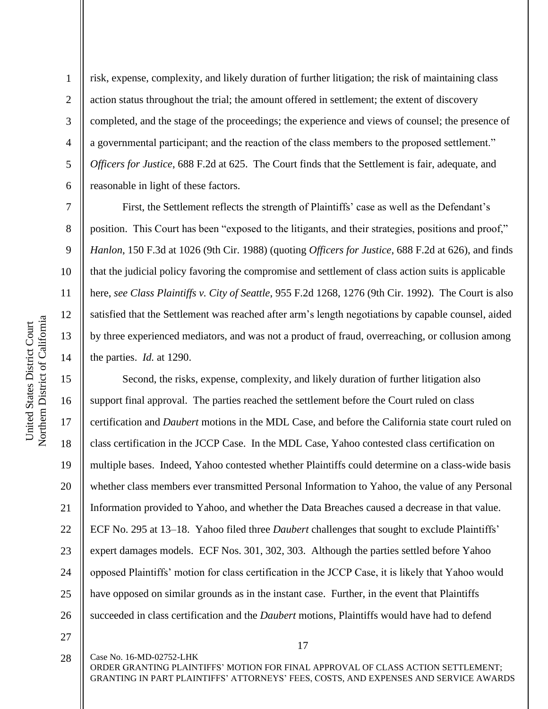2

3

4

5

6

7

8

9

10

11

12

13

14

15

17

18

19

21

risk, expense, complexity, and likely duration of further litigation; the risk of maintaining class action status throughout the trial; the amount offered in settlement; the extent of discovery completed, and the stage of the proceedings; the experience and views of counsel; the presence of a governmental participant; and the reaction of the class members to the proposed settlement." *Officers for Justice*, 688 F.2d at 625. The Court finds that the Settlement is fair, adequate, and reasonable in light of these factors.

First, the Settlement reflects the strength of Plaintiffs' case as well as the Defendant's position. This Court has been "exposed to the litigants, and their strategies, positions and proof," *Hanlon*, 150 F.3d at 1026 (9th Cir. 1988) (quoting *Officers for Justice*, 688 F.2d at 626), and finds that the judicial policy favoring the compromise and settlement of class action suits is applicable here, *see Class Plaintiffs v. City of Seattle*, 955 F.2d 1268, 1276 (9th Cir. 1992). The Court is also satisfied that the Settlement was reached after arm's length negotiations by capable counsel, aided by three experienced mediators, and was not a product of fraud, overreaching, or collusion among the parties. *Id.* at 1290.

16 20 22 23 24 26 Second, the risks, expense, complexity, and likely duration of further litigation also support final approval. The parties reached the settlement before the Court ruled on class certification and *Daubert* motions in the MDL Case, and before the California state court ruled on class certification in the JCCP Case. In the MDL Case, Yahoo contested class certification on multiple bases. Indeed, Yahoo contested whether Plaintiffs could determine on a class-wide basis whether class members ever transmitted Personal Information to Yahoo, the value of any Personal Information provided to Yahoo, and whether the Data Breaches caused a decrease in that value. ECF No. 295 at 13–18. Yahoo filed three *Daubert* challenges that sought to exclude Plaintiffs' expert damages models. ECF Nos. 301, 302, 303. Although the parties settled before Yahoo opposed Plaintiffs' motion for class certification in the JCCP Case, it is likely that Yahoo would have opposed on similar grounds as in the instant case. Further, in the event that Plaintiffs succeeded in class certification and the *Daubert* motions, Plaintiffs would have had to defend

27

25

17

Case No. 16-MD-02752-LHK ORDER GRANTING PLAINTIFFS' MOTION FOR FINAL APPROVAL OF CLASS ACTION SETTLEMENT; 28

GRANTING IN PART PLAINTIFFS' ATTORNEYS' FEES, COSTS, AND EXPENSES AND SERVICE AWARDS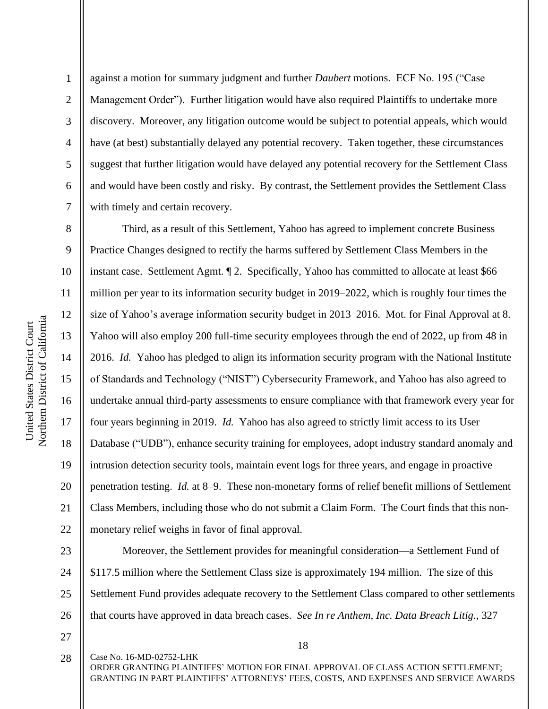Northern District of California Northern District of California United States District Court United States District Court

1

2

3

4

5

6

7

against a motion for summary judgment and further *Daubert* motions. ECF No. 195 ("Case Management Order"). Further litigation would have also required Plaintiffs to undertake more discovery. Moreover, any litigation outcome would be subject to potential appeals, which would have (at best) substantially delayed any potential recovery. Taken together, these circumstances suggest that further litigation would have delayed any potential recovery for the Settlement Class and would have been costly and risky. By contrast, the Settlement provides the Settlement Class with timely and certain recovery.

8 9 10 11 12 13 14 15 16 17 18 19 20 21 22 Third, as a result of this Settlement, Yahoo has agreed to implement concrete Business Practice Changes designed to rectify the harms suffered by Settlement Class Members in the instant case. Settlement Agmt. ¶ 2. Specifically, Yahoo has committed to allocate at least \$66 million per year to its information security budget in 2019–2022, which is roughly four times the size of Yahoo's average information security budget in 2013–2016. Mot. for Final Approval at 8. Yahoo will also employ 200 full-time security employees through the end of 2022, up from 48 in 2016. *Id.* Yahoo has pledged to align its information security program with the National Institute of Standards and Technology ("NIST") Cybersecurity Framework, and Yahoo has also agreed to undertake annual third-party assessments to ensure compliance with that framework every year for four years beginning in 2019. *Id.* Yahoo has also agreed to strictly limit access to its User Database ("UDB"), enhance security training for employees, adopt industry standard anomaly and intrusion detection security tools, maintain event logs for three years, and engage in proactive penetration testing. *Id.* at 8–9. These non-monetary forms of relief benefit millions of Settlement Class Members, including those who do not submit a Claim Form. The Court finds that this nonmonetary relief weighs in favor of final approval.

23 24 25 26 Moreover, the Settlement provides for meaningful consideration—a Settlement Fund of \$117.5 million where the Settlement Class size is approximately 194 million. The size of this Settlement Fund provides adequate recovery to the Settlement Class compared to other settlements that courts have approved in data breach cases. *See In re Anthem, Inc. Data Breach Litig.*, 327

27 28

18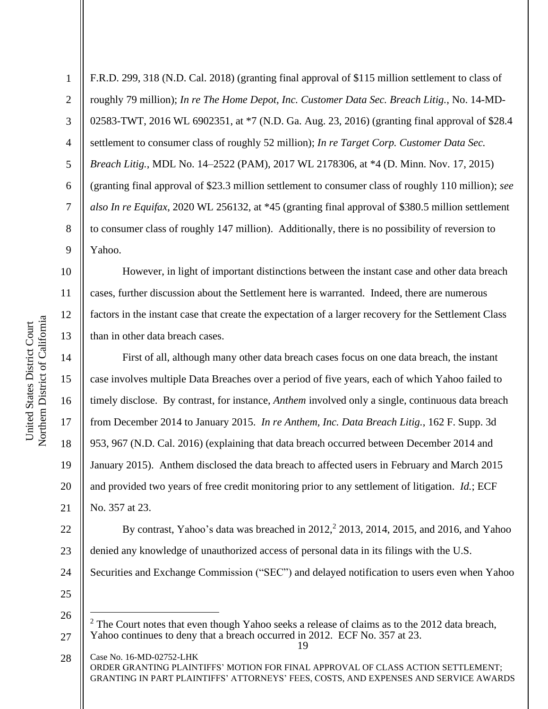2

3

5

7

8

9

10

11

12

13

14

15

16

17

18

19

20

21

4 6 F.R.D. 299, 318 (N.D. Cal. 2018) (granting final approval of \$115 million settlement to class of roughly 79 million); *In re The Home Depot, Inc. Customer Data Sec. Breach Litig.*, No. 14-MD-02583-TWT, 2016 WL 6902351, at \*7 (N.D. Ga. Aug. 23, 2016) (granting final approval of \$28.4 settlement to consumer class of roughly 52 million); *In re Target Corp. Customer Data Sec. Breach Litig.*, MDL No. 14–2522 (PAM), 2017 WL 2178306, at \*4 (D. Minn. Nov. 17, 2015) (granting final approval of \$23.3 million settlement to consumer class of roughly 110 million); *see also In re Equifax*, 2020 WL 256132, at \*45 (granting final approval of \$380.5 million settlement to consumer class of roughly 147 million). Additionally, there is no possibility of reversion to Yahoo.

However, in light of important distinctions between the instant case and other data breach cases, further discussion about the Settlement here is warranted. Indeed, there are numerous factors in the instant case that create the expectation of a larger recovery for the Settlement Class than in other data breach cases.

First of all, although many other data breach cases focus on one data breach, the instant case involves multiple Data Breaches over a period of five years, each of which Yahoo failed to timely disclose. By contrast, for instance, *Anthem* involved only a single, continuous data breach from December 2014 to January 2015. *In re Anthem, Inc. Data Breach Litig.*, 162 F. Supp. 3d 953, 967 (N.D. Cal. 2016) (explaining that data breach occurred between December 2014 and January 2015). Anthem disclosed the data breach to affected users in February and March 2015 and provided two years of free credit monitoring prior to any settlement of litigation. *Id.*; ECF No. 357 at 23.

22 23 24 By contrast, Yahoo's data was breached in  $2012<sup>2</sup>$ ,  $2013$ ,  $2014$ ,  $2015$ , and  $2016$ , and Yahoo denied any knowledge of unauthorized access of personal data in its filings with the U.S. Securities and Exchange Commission ("SEC") and delayed notification to users even when Yahoo

<sup>19</sup> 27 <sup>2</sup> The Court notes that even though Yahoo seeks a release of claims as to the 2012 data breach, Yahoo continues to deny that a breach occurred in 2012. ECF No. 357 at 23.

Case No. 16-MD-02752-LHK ORDER GRANTING PLAINTIFFS' MOTION FOR FINAL APPROVAL OF CLASS ACTION SETTLEMENT; GRANTING IN PART PLAINTIFFS' ATTORNEYS' FEES, COSTS, AND EXPENSES AND SERVICE AWARDS 28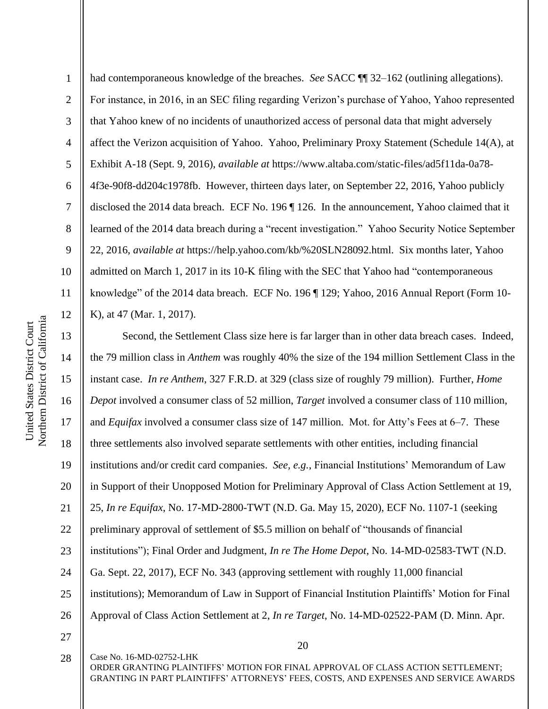1 2 3 4 5 6 7 8 9 10 11 12 had contemporaneous knowledge of the breaches. *See* SACC ¶¶ 32–162 (outlining allegations). For instance, in 2016, in an SEC filing regarding Verizon's purchase of Yahoo, Yahoo represented that Yahoo knew of no incidents of unauthorized access of personal data that might adversely affect the Verizon acquisition of Yahoo. Yahoo, Preliminary Proxy Statement (Schedule 14(A), at Exhibit A-18 (Sept. 9, 2016), *available at* https://www.altaba.com/static-files/ad5f11da-0a78- 4f3e-90f8-dd204c1978fb. However, thirteen days later, on September 22, 2016, Yahoo publicly disclosed the 2014 data breach. ECF No. 196 ¶ 126. In the announcement, Yahoo claimed that it learned of the 2014 data breach during a "recent investigation." Yahoo Security Notice September 22, 2016, *available at* https://help.yahoo.com/kb/%20SLN28092.html. Six months later, Yahoo admitted on March 1, 2017 in its 10-K filing with the SEC that Yahoo had "contemporaneous knowledge" of the 2014 data breach. ECF No. 196 ¶ 129; Yahoo, 2016 Annual Report (Form 10- K), at 47 (Mar. 1, 2017).

13 14 15 16 17 18 19 20 21 22 23 24 25 26 Second, the Settlement Class size here is far larger than in other data breach cases. Indeed, the 79 million class in *Anthem* was roughly 40% the size of the 194 million Settlement Class in the instant case. *In re Anthem*, 327 F.R.D. at 329 (class size of roughly 79 million). Further, *Home Depot* involved a consumer class of 52 million, *Target* involved a consumer class of 110 million, and *Equifax* involved a consumer class size of 147 million. Mot. for Atty's Fees at 6–7. These three settlements also involved separate settlements with other entities, including financial institutions and/or credit card companies. *See, e.g.*, Financial Institutions' Memorandum of Law in Support of their Unopposed Motion for Preliminary Approval of Class Action Settlement at 19, 25, *In re Equifax*, No. 17-MD-2800-TWT (N.D. Ga. May 15, 2020), ECF No. 1107-1 (seeking preliminary approval of settlement of \$5.5 million on behalf of "thousands of financial institutions"); Final Order and Judgment, *In re The Home Depot*, No. 14-MD-02583-TWT (N.D. Ga. Sept. 22, 2017), ECF No. 343 (approving settlement with roughly 11,000 financial institutions); Memorandum of Law in Support of Financial Institution Plaintiffs' Motion for Final Approval of Class Action Settlement at 2, *In re Target*, No. 14-MD-02522-PAM (D. Minn. Apr.

27

20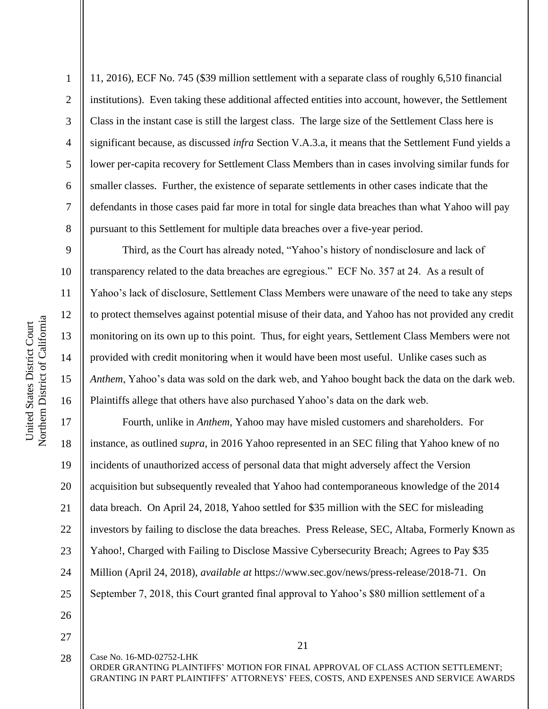2

3

4

5

6

7

8

9

10

11

12

13

14

15

16

11, 2016), ECF No. 745 (\$39 million settlement with a separate class of roughly 6,510 financial institutions). Even taking these additional affected entities into account, however, the Settlement Class in the instant case is still the largest class. The large size of the Settlement Class here is significant because, as discussed *infra* Section V.A.3.a, it means that the Settlement Fund yields a lower per-capita recovery for Settlement Class Members than in cases involving similar funds for smaller classes. Further, the existence of separate settlements in other cases indicate that the defendants in those cases paid far more in total for single data breaches than what Yahoo will pay pursuant to this Settlement for multiple data breaches over a five-year period.

Third, as the Court has already noted, "Yahoo's history of nondisclosure and lack of transparency related to the data breaches are egregious." ECF No. 357 at 24. As a result of Yahoo's lack of disclosure, Settlement Class Members were unaware of the need to take any steps to protect themselves against potential misuse of their data, and Yahoo has not provided any credit monitoring on its own up to this point. Thus, for eight years, Settlement Class Members were not provided with credit monitoring when it would have been most useful. Unlike cases such as *Anthem*, Yahoo's data was sold on the dark web, and Yahoo bought back the data on the dark web. Plaintiffs allege that others have also purchased Yahoo's data on the dark web.

17 18 19 20 21 22 23 24 25 Fourth, unlike in *Anthem*, Yahoo may have misled customers and shareholders. For instance, as outlined *supra*, in 2016 Yahoo represented in an SEC filing that Yahoo knew of no incidents of unauthorized access of personal data that might adversely affect the Version acquisition but subsequently revealed that Yahoo had contemporaneous knowledge of the 2014 data breach. On April 24, 2018, Yahoo settled for \$35 million with the SEC for misleading investors by failing to disclose the data breaches. Press Release, SEC, Altaba, Formerly Known as Yahoo!, Charged with Failing to Disclose Massive Cybersecurity Breach; Agrees to Pay \$35 Million (April 24, 2018), *available at* https://www.sec.gov/news/press-release/2018-71. On September 7, 2018, this Court granted final approval to Yahoo's \$80 million settlement of a

- 26
- 27 28

Case No. 16-MD-02752-LHK

21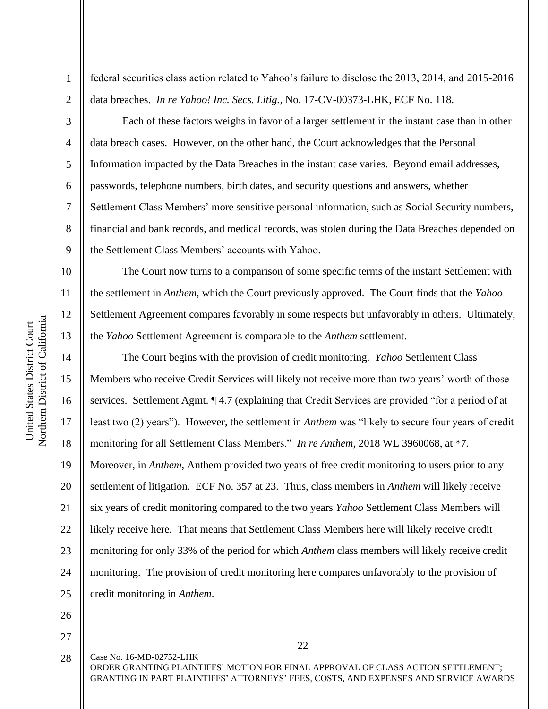federal securities class action related to Yahoo's failure to disclose the 2013, 2014, and 2015-2016 data breaches. *In re Yahoo! Inc. Secs. Litig.*, No. 17-CV-00373-LHK, ECF No. 118.

2 3

4

5

6

7

8

9

10

11

12

13

14

15

16

17

18

19

20

21

22

23

24

25

1

Each of these factors weighs in favor of a larger settlement in the instant case than in other data breach cases. However, on the other hand, the Court acknowledges that the Personal Information impacted by the Data Breaches in the instant case varies. Beyond email addresses, passwords, telephone numbers, birth dates, and security questions and answers, whether Settlement Class Members' more sensitive personal information, such as Social Security numbers, financial and bank records, and medical records, was stolen during the Data Breaches depended on the Settlement Class Members' accounts with Yahoo.

The Court now turns to a comparison of some specific terms of the instant Settlement with the settlement in *Anthem*, which the Court previously approved. The Court finds that the *Yahoo*  Settlement Agreement compares favorably in some respects but unfavorably in others.Ultimately, the *Yahoo* Settlement Agreement is comparable to the *Anthem* settlement.

The Court begins with the provision of credit monitoring. *Yahoo* Settlement Class Members who receive Credit Services will likely not receive more than two years' worth of those services. Settlement Agmt. ¶ 4.7 (explaining that Credit Services are provided "for a period of at least two (2) years"). However, the settlement in *Anthem* was "likely to secure four years of credit monitoring for all Settlement Class Members." *In re Anthem*, 2018 WL 3960068, at \*7. Moreover, in *Anthem*, Anthem provided two years of free credit monitoring to users prior to any settlement of litigation. ECF No. 357 at 23. Thus, class members in *Anthem* will likely receive six years of credit monitoring compared to the two years *Yahoo* Settlement Class Members will likely receive here. That means that Settlement Class Members here will likely receive credit monitoring for only 33% of the period for which *Anthem* class members will likely receive credit monitoring. The provision of credit monitoring here compares unfavorably to the provision of credit monitoring in *Anthem*.

26

27

22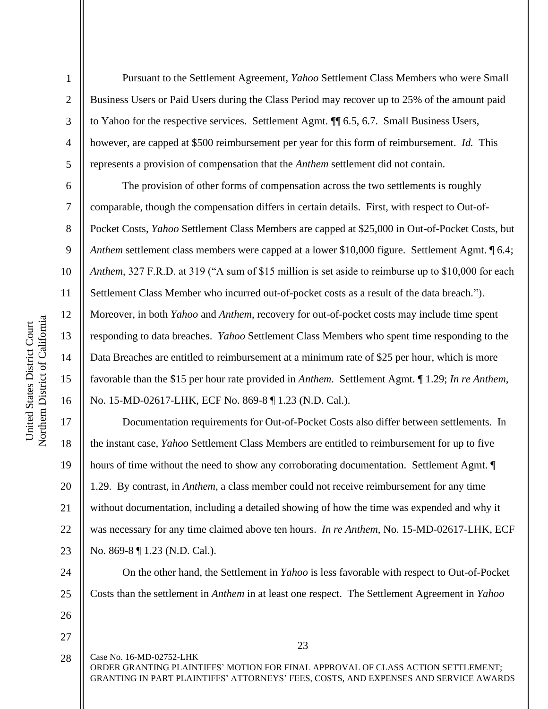2

3

4

5

6

7

8

9

10

11

12

13

14

15

16

17

18

19

20

21

22

23

Pursuant to the Settlement Agreement, *Yahoo* Settlement Class Members who were Small Business Users or Paid Users during the Class Period may recover up to 25% of the amount paid to Yahoo for the respective services. Settlement Agmt. ¶¶ 6.5, 6.7. Small Business Users, however, are capped at \$500 reimbursement per year for this form of reimbursement. *Id.* This represents a provision of compensation that the *Anthem* settlement did not contain.

The provision of other forms of compensation across the two settlements is roughly comparable, though the compensation differs in certain details. First, with respect to Out-of-Pocket Costs, *Yahoo* Settlement Class Members are capped at \$25,000 in Out-of-Pocket Costs, but *Anthem* settlement class members were capped at a lower \$10,000 figure. Settlement Agmt.  $\llbracket 6.4; \llbracket 6.4; \llbracket 6.4; \llbracket 6.4; \llbracket 6.4; \llbracket 6.4; \llbracket 6.4; \llbracket 6.4; \llbracket 6.4; \llbracket 6.4; \llbracket 6.4; \llbracket 6.4; \llbracket 6.4; \llbracket 6.4; \llbracket$ *Anthem*, 327 F.R.D. at 319 ("A sum of \$15 million is set aside to reimburse up to \$10,000 for each Settlement Class Member who incurred out-of-pocket costs as a result of the data breach*.*"). Moreover, in both *Yahoo* and *Anthem*, recovery for out-of-pocket costs may include time spent responding to data breaches. *Yahoo* Settlement Class Members who spent time responding to the Data Breaches are entitled to reimbursement at a minimum rate of \$25 per hour, which is more favorable than the \$15 per hour rate provided in *Anthem*. Settlement Agmt. ¶ 1.29; *In re Anthem*, No. 15-MD-02617-LHK, ECF No. 869-8 ¶ 1.23 (N.D. Cal.).

Documentation requirements for Out-of-Pocket Costs also differ between settlements. In the instant case, *Yahoo* Settlement Class Members are entitled to reimbursement for up to five hours of time without the need to show any corroborating documentation. Settlement Agmt. 1.29. By contrast, in *Anthem*, a class member could not receive reimbursement for any time without documentation, including a detailed showing of how the time was expended and why it was necessary for any time claimed above ten hours. *In re Anthem*, No. 15-MD-02617-LHK, ECF No. 869-8 ¶ 1.23 (N.D. Cal.).

24 25

26

27

Case No. 16-MD-02752-LHK ORDER GRANTING PLAINTIFFS' MOTION FOR FINAL APPROVAL OF CLASS ACTION SETTLEMENT; GRANTING IN PART PLAINTIFFS' ATTORNEYS' FEES, COSTS, AND EXPENSES AND SERVICE AWARDS 28

Costs than the settlement in *Anthem* in at least one respect. The Settlement Agreement in *Yahoo* 

On the other hand, the Settlement in *Yahoo* is less favorable with respect to Out-of-Pocket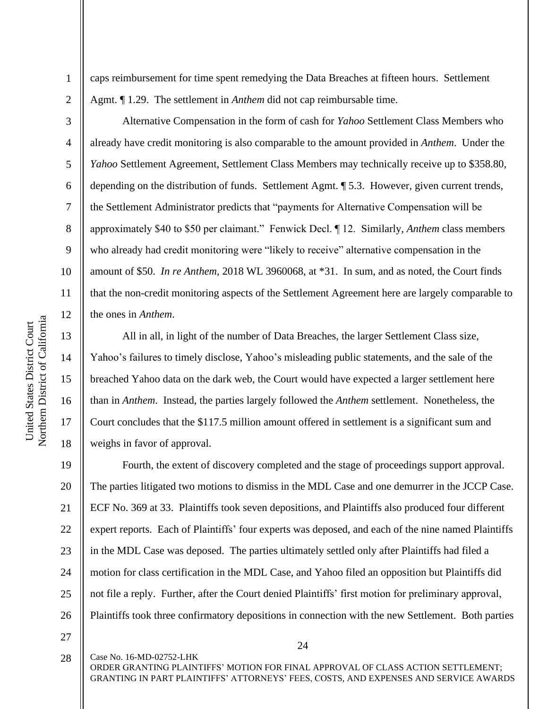4

5

6

7

8

9

10

11

12

13

14

15

16

17

18

1

caps reimbursement for time spent remedying the Data Breaches at fifteen hours. Settlement Agmt. ¶ 1.29. The settlement in *Anthem* did not cap reimbursable time.

Alternative Compensation in the form of cash for *Yahoo* Settlement Class Members who already have credit monitoring is also comparable to the amount provided in *Anthem*. Under the *Yahoo* Settlement Agreement, Settlement Class Members may technically receive up to \$358.80, depending on the distribution of funds. Settlement Agmt. ¶ 5.3. However, given current trends, the Settlement Administrator predicts that "payments for Alternative Compensation will be approximately \$40 to \$50 per claimant." Fenwick Decl. ¶ 12. Similarly, *Anthem* class members who already had credit monitoring were "likely to receive" alternative compensation in the amount of \$50. *In re Anthem*, 2018 WL 3960068, at \*31. In sum, and as noted, the Court finds that the non-credit monitoring aspects of the Settlement Agreement here are largely comparable to the ones in *Anthem*.

All in all, in light of the number of Data Breaches, the larger Settlement Class size, Yahoo's failures to timely disclose, Yahoo's misleading public statements, and the sale of the breached Yahoo data on the dark web, the Court would have expected a larger settlement here than in *Anthem*. Instead, the parties largely followed the *Anthem* settlement. Nonetheless, the Court concludes that the \$117.5 million amount offered in settlement is a significant sum and weighs in favor of approval.

19 20 21 22 23 24 25 26 Fourth, the extent of discovery completed and the stage of proceedings support approval. The parties litigated two motions to dismiss in the MDL Case and one demurrer in the JCCP Case. ECF No. 369 at 33. Plaintiffs took seven depositions, and Plaintiffs also produced four different expert reports. Each of Plaintiffs' four experts was deposed, and each of the nine named Plaintiffs in the MDL Case was deposed. The parties ultimately settled only after Plaintiffs had filed a motion for class certification in the MDL Case, and Yahoo filed an opposition but Plaintiffs did not file a reply. Further, after the Court denied Plaintiffs' first motion for preliminary approval, Plaintiffs took three confirmatory depositions in connection with the new Settlement. Both parties

27

28

Case No. 16-MD-02752-LHK

ORDER GRANTING PLAINTIFFS' MOTION FOR FINAL APPROVAL OF CLASS ACTION SETTLEMENT; GRANTING IN PART PLAINTIFFS' ATTORNEYS' FEES, COSTS, AND EXPENSES AND SERVICE AWARDS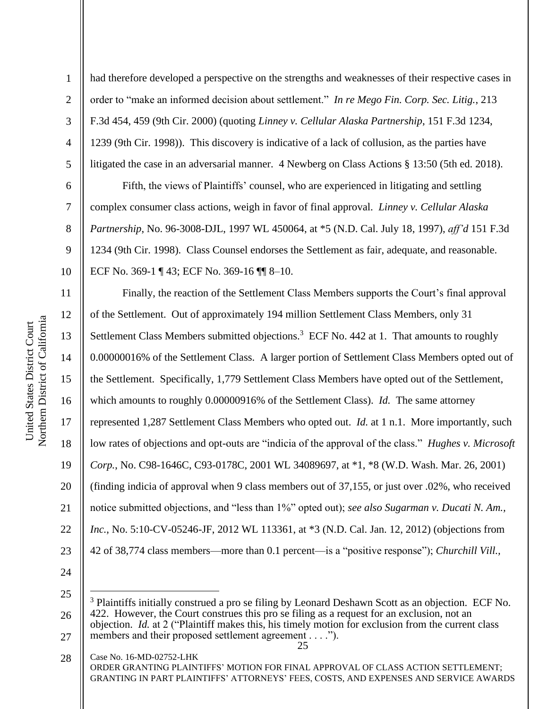2

3

4

5

6

7

8

9

10

had therefore developed a perspective on the strengths and weaknesses of their respective cases in order to "make an informed decision about settlement." *In re Mego Fin. Corp. Sec. Litig.*, 213 F.3d 454, 459 (9th Cir. 2000) (quoting *Linney v. Cellular Alaska Partnership*, 151 F.3d 1234, 1239 (9th Cir. 1998)). This discovery is indicative of a lack of collusion, as the parties have litigated the case in an adversarial manner. 4 Newberg on Class Actions § 13:50 (5th ed. 2018).

Fifth, the views of Plaintiffs' counsel, who are experienced in litigating and settling complex consumer class actions, weigh in favor of final approval. *Linney v. Cellular Alaska Partnership*, No. 96-3008-DJL, 1997 WL 450064, at \*5 (N.D. Cal. July 18, 1997), *aff'd* 151 F.3d 1234 (9th Cir. 1998). Class Counsel endorses the Settlement as fair, adequate, and reasonable. ECF No. 369-1 ¶ 43; ECF No. 369-16 ¶¶ 8–10.

11 12 13 14 15 16 17 18 19 20 21 22 23 Finally, the reaction of the Settlement Class Members supports the Court's final approval of the Settlement. Out of approximately 194 million Settlement Class Members, only 31 Settlement Class Members submitted objections.<sup>3</sup> ECF No. 442 at 1. That amounts to roughly 0.00000016% of the Settlement Class. A larger portion of Settlement Class Members opted out of the Settlement. Specifically, 1,779 Settlement Class Members have opted out of the Settlement, which amounts to roughly 0.00000916% of the Settlement Class). *Id.* The same attorney represented 1,287 Settlement Class Members who opted out. *Id.* at 1 n.1. More importantly, such low rates of objections and opt-outs are "indicia of the approval of the class." *Hughes v. Microsoft Corp.*, No. C98-1646C, C93-0178C, 2001 WL 34089697, at \*1, \*8 (W.D. Wash. Mar. 26, 2001) (finding indicia of approval when 9 class members out of 37,155, or just over .02%, who received notice submitted objections, and "less than 1%" opted out); *see also Sugarman v. Ducati N. Am., Inc.*, No. 5:10-CV-05246-JF, 2012 WL 113361, at \*3 (N.D. Cal. Jan. 12, 2012) (objections from 42 of 38,774 class members—more than 0.1 percent—is a "positive response"); *Churchill Vill.,* 

24

25

Case No. 16-MD-02752-LHK ORDER GRANTING PLAINTIFFS' MOTION FOR FINAL APPROVAL OF CLASS ACTION SETTLEMENT; GRANTING IN PART PLAINTIFFS' ATTORNEYS' FEES, COSTS, AND EXPENSES AND SERVICE AWARDS 28

<sup>26</sup> 27 <sup>3</sup> Plaintiffs initially construed a pro se filing by Leonard Deshawn Scott as an objection. ECF No. 422. However, the Court construes this pro se filing as a request for an exclusion, not an objection. *Id.* at 2 ("Plaintiff makes this, his timely motion for exclusion from the current class members and their proposed settlement agreement . . . .").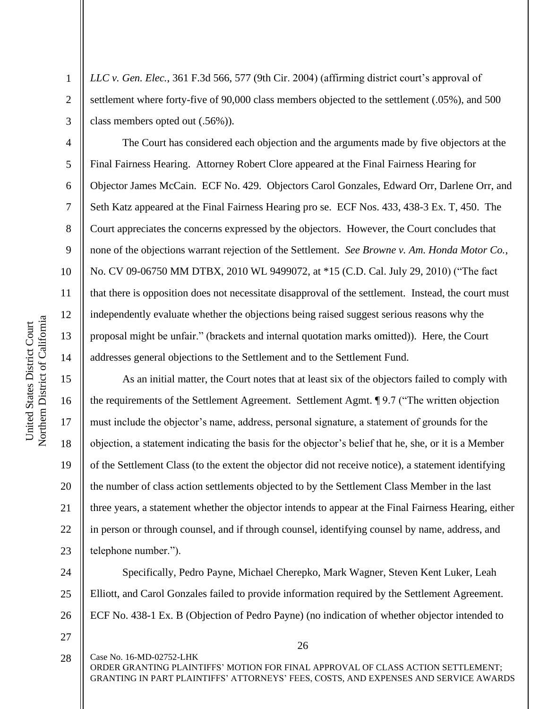2

3

4

5

6

7

8

9

10

11

12

13

14

15

16

17

18

19

20

21

22

23

*LLC v. Gen. Elec.*, 361 F.3d 566, 577 (9th Cir. 2004) (affirming district court's approval of settlement where forty-five of 90,000 class members objected to the settlement (.05%), and 500 class members opted out (.56%)).

The Court has considered each objection and the arguments made by five objectors at the Final Fairness Hearing. Attorney Robert Clore appeared at the Final Fairness Hearing for Objector James McCain. ECF No. 429. Objectors Carol Gonzales, Edward Orr, Darlene Orr, and Seth Katz appeared at the Final Fairness Hearing pro se. ECF Nos. 433, 438-3 Ex. T, 450. The Court appreciates the concerns expressed by the objectors. However, the Court concludes that none of the objections warrant rejection of the Settlement. *See Browne v. Am. Honda Motor Co.*, No. CV 09-06750 MM DTBX, 2010 WL 9499072, at \*15 (C.D. Cal. July 29, 2010) ("The fact that there is opposition does not necessitate disapproval of the settlement. Instead, the court must independently evaluate whether the objections being raised suggest serious reasons why the proposal might be unfair." (brackets and internal quotation marks omitted)). Here, the Court addresses general objections to the Settlement and to the Settlement Fund.

As an initial matter, the Court notes that at least six of the objectors failed to comply with the requirements of the Settlement Agreement. Settlement Agmt. ¶ 9.7 ("The written objection must include the objector's name, address, personal signature, a statement of grounds for the objection, a statement indicating the basis for the objector's belief that he, she, or it is a Member of the Settlement Class (to the extent the objector did not receive notice), a statement identifying the number of class action settlements objected to by the Settlement Class Member in the last three years, a statement whether the objector intends to appear at the Final Fairness Hearing, either in person or through counsel, and if through counsel, identifying counsel by name, address, and telephone number.").

24 25 26 Specifically, Pedro Payne, Michael Cherepko, Mark Wagner, Steven Kent Luker, Leah Elliott, and Carol Gonzales failed to provide information required by the Settlement Agreement. ECF No. 438-1 Ex. B (Objection of Pedro Payne) (no indication of whether objector intended to

27

Case No. 16-MD-02752-LHK ORDER GRANTING PLAINTIFFS' MOTION FOR FINAL APPROVAL OF CLASS ACTION SETTLEMENT; GRANTING IN PART PLAINTIFFS' ATTORNEYS' FEES, COSTS, AND EXPENSES AND SERVICE AWARDS 28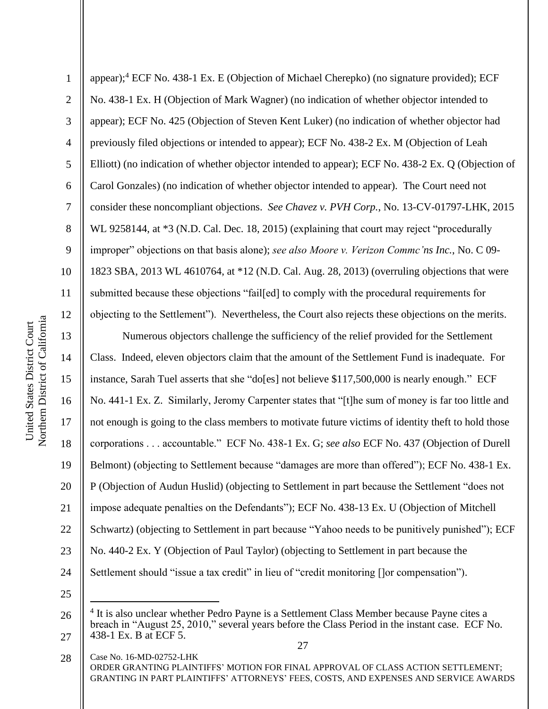1 2 3 4 5 6 7 8 9 10 11 12 appear);<sup>4</sup> ECF No. 438-1 Ex. E (Objection of Michael Cherepko) (no signature provided); ECF No. 438-1 Ex. H (Objection of Mark Wagner) (no indication of whether objector intended to appear); ECF No. 425 (Objection of Steven Kent Luker) (no indication of whether objector had previously filed objections or intended to appear); ECF No. 438-2 Ex. M (Objection of Leah Elliott) (no indication of whether objector intended to appear); ECF No. 438-2 Ex. Q (Objection of Carol Gonzales) (no indication of whether objector intended to appear). The Court need not consider these noncompliant objections. *See Chavez v. PVH Corp.*, No. 13-CV-01797-LHK, 2015 WL 9258144, at \*3 (N.D. Cal. Dec. 18, 2015) (explaining that court may reject "procedurally improper" objections on that basis alone); *see also Moore v. Verizon Commc'ns Inc.*, No. C 09- 1823 SBA, 2013 WL 4610764, at \*12 (N.D. Cal. Aug. 28, 2013) (overruling objections that were submitted because these objections "fail[ed] to comply with the procedural requirements for objecting to the Settlement"). Nevertheless, the Court also rejects these objections on the merits.

13 14 15 16 17 18 19 20 21 22 23 24 25 Numerous objectors challenge the sufficiency of the relief provided for the Settlement Class. Indeed, eleven objectors claim that the amount of the Settlement Fund is inadequate. For instance, Sarah Tuel asserts that she "do[es] not believe \$117,500,000 is nearly enough." ECF No. 441-1 Ex. Z. Similarly, Jeromy Carpenter states that "[t]he sum of money is far too little and not enough is going to the class members to motivate future victims of identity theft to hold those corporations . . . accountable." ECF No. 438-1 Ex. G; *see also* ECF No. 437 (Objection of Durell Belmont) (objecting to Settlement because "damages are more than offered"); ECF No. 438-1 Ex. P (Objection of Audun Huslid) (objecting to Settlement in part because the Settlement "does not impose adequate penalties on the Defendants"); ECF No. 438-13 Ex. U (Objection of Mitchell Schwartz) (objecting to Settlement in part because "Yahoo needs to be punitively punished"); ECF No. 440-2 Ex. Y (Objection of Paul Taylor) (objecting to Settlement in part because the Settlement should "issue a tax credit" in lieu of "credit monitoring []or compensation").

<sup>26</sup> 27 <sup>4</sup> It is also unclear whether Pedro Payne is a Settlement Class Member because Payne cites a breach in "August 25, 2010," several years before the Class Period in the instant case. ECF No. 438-1 Ex. B at ECF 5.

<sup>27</sup>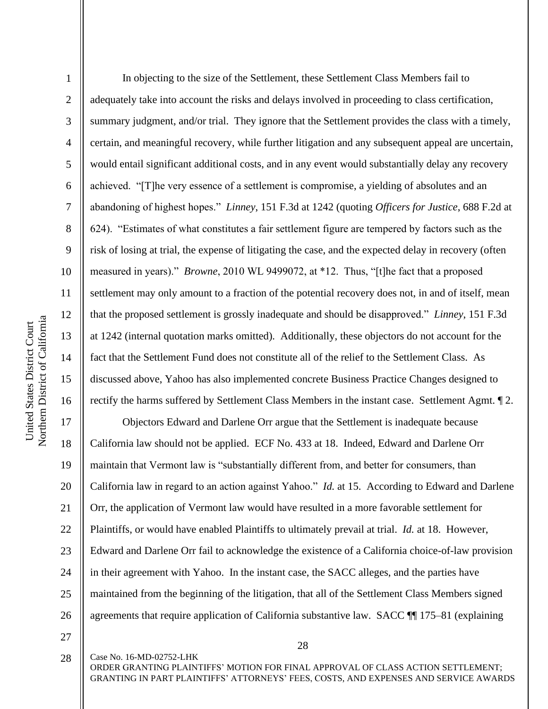2

3

4

5

6

7

8

9

10

11

12

13

14

15

16

In objecting to the size of the Settlement, these Settlement Class Members fail to adequately take into account the risks and delays involved in proceeding to class certification, summary judgment, and/or trial. They ignore that the Settlement provides the class with a timely, certain, and meaningful recovery, while further litigation and any subsequent appeal are uncertain, would entail significant additional costs, and in any event would substantially delay any recovery achieved. "[T]he very essence of a settlement is compromise, a yielding of absolutes and an abandoning of highest hopes." *Linney*, 151 F.3d at 1242 (quoting *Officers for Justice*, 688 F.2d at 624). "Estimates of what constitutes a fair settlement figure are tempered by factors such as the risk of losing at trial, the expense of litigating the case, and the expected delay in recovery (often measured in years)." *Browne*, 2010 WL 9499072, at \*12. Thus, "[t]he fact that a proposed settlement may only amount to a fraction of the potential recovery does not, in and of itself, mean that the proposed settlement is grossly inadequate and should be disapproved." *Linney*, 151 F.3d at 1242 (internal quotation marks omitted). Additionally, these objectors do not account for the fact that the Settlement Fund does not constitute all of the relief to the Settlement Class. As discussed above, Yahoo has also implemented concrete Business Practice Changes designed to rectify the harms suffered by Settlement Class Members in the instant case. Settlement Agmt. ¶ 2.

17 18 19 20 21 22 23 24 25 26 Objectors Edward and Darlene Orr argue that the Settlement is inadequate because California law should not be applied. ECF No. 433 at 18. Indeed, Edward and Darlene Orr maintain that Vermont law is "substantially different from, and better for consumers, than California law in regard to an action against Yahoo." *Id.* at 15. According to Edward and Darlene Orr, the application of Vermont law would have resulted in a more favorable settlement for Plaintiffs, or would have enabled Plaintiffs to ultimately prevail at trial. *Id.* at 18. However, Edward and Darlene Orr fail to acknowledge the existence of a California choice-of-law provision in their agreement with Yahoo. In the instant case, the SACC alleges, and the parties have maintained from the beginning of the litigation, that all of the Settlement Class Members signed agreements that require application of California substantive law. SACC ¶¶ 175–81 (explaining

27

Case No. 16-MD-02752-LHK 28

ORDER GRANTING PLAINTIFFS' MOTION FOR FINAL APPROVAL OF CLASS ACTION SETTLEMENT; GRANTING IN PART PLAINTIFFS' ATTORNEYS' FEES, COSTS, AND EXPENSES AND SERVICE AWARDS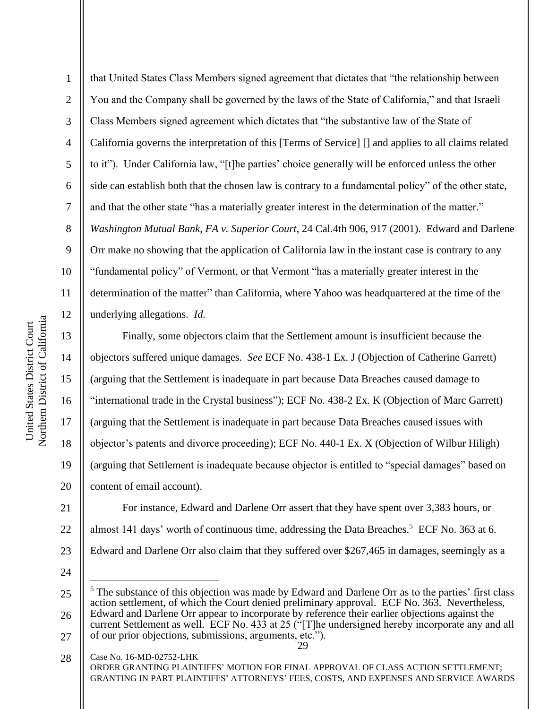2

3

4

5

6

7

8

9

10

11

12

13

14

15

16

17

18

19

20

that United States Class Members signed agreement that dictates that "the relationship between You and the Company shall be governed by the laws of the State of California," and that Israeli Class Members signed agreement which dictates that "the substantive law of the State of California governs the interpretation of this [Terms of Service] [] and applies to all claims related to it"). Under California law, "[t]he parties' choice generally will be enforced unless the other side can establish both that the chosen law is contrary to a fundamental policy" of the other state, and that the other state "has a materially greater interest in the determination of the matter." *Washington Mutual Bank, FA v. Superior Court*, 24 Cal.4th 906, 917 (2001). Edward and Darlene Orr make no showing that the application of California law in the instant case is contrary to any "fundamental policy" of Vermont, or that Vermont "has a materially greater interest in the determination of the matter" than California, where Yahoo was headquartered at the time of the underlying allegations. *Id.*

Finally, some objectors claim that the Settlement amount is insufficient because the objectors suffered unique damages. *See* ECF No. 438-1 Ex. J (Objection of Catherine Garrett) (arguing that the Settlement is inadequate in part because Data Breaches caused damage to "international trade in the Crystal business"); ECF No. 438-2 Ex. K (Objection of Marc Garrett) (arguing that the Settlement is inadequate in part because Data Breaches caused issues with objector's patents and divorce proceeding); ECF No. 440-1 Ex. X (Objection of Wilbur Hiligh) (arguing that Settlement is inadequate because objector is entitled to "special damages" based on content of email account).

21 22 23 For instance, Edward and Darlene Orr assert that they have spent over 3,383 hours, or almost 141 days' worth of continuous time, addressing the Data Breaches.<sup>5</sup> ECF No. 363 at 6. Edward and Darlene Orr also claim that they suffered over \$267,465 in damages, seemingly as a

24

<sup>25</sup> 26 <sup>5</sup> The substance of this objection was made by Edward and Darlene Orr as to the parties' first class action settlement, of which the Court denied preliminary approval. ECF No. 363. Nevertheless, Edward and Darlene Orr appear to incorporate by reference their earlier objections against the current Settlement as well. ECF No. 433 at 25 ("[T]he undersigned hereby incorporate any and all

<sup>29</sup> 27 of our prior objections, submissions, arguments, etc.").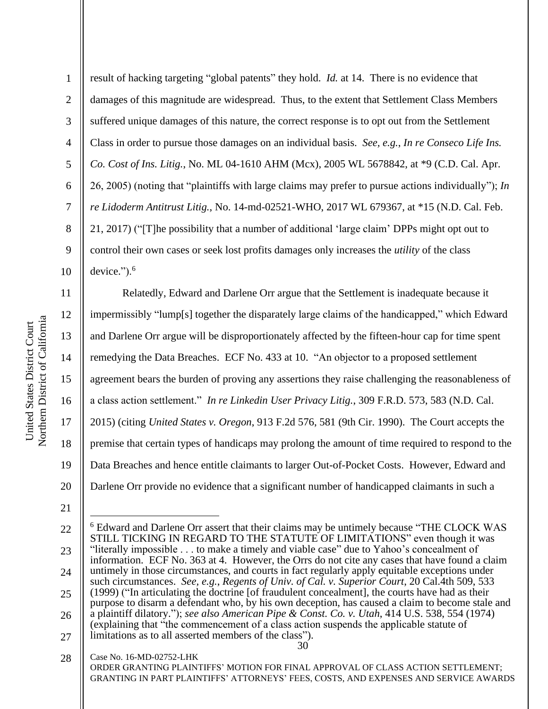2

3

4

5

6

7

8

9

10

result of hacking targeting "global patents" they hold. *Id.* at 14. There is no evidence that damages of this magnitude are widespread. Thus, to the extent that Settlement Class Members suffered unique damages of this nature, the correct response is to opt out from the Settlement Class in order to pursue those damages on an individual basis. *See, e.g.*, *In re Conseco Life Ins. Co. Cost of Ins. Litig.*, No. ML 04-1610 AHM (Mcx), 2005 WL 5678842, at \*9 (C.D. Cal. Apr. 26, 2005) (noting that "plaintiffs with large claims may prefer to pursue actions individually"); *In re Lidoderm Antitrust Litig.*, No. 14-md-02521-WHO, 2017 WL 679367, at \*15 (N.D. Cal. Feb. 21, 2017) ("[T]he possibility that a number of additional 'large claim' DPPs might opt out to control their own cases or seek lost profits damages only increases the *utility* of the class device.").<sup>6</sup>

11 12 13 14 15 16 17 18 19 20 Relatedly, Edward and Darlene Orr argue that the Settlement is inadequate because it impermissibly "lump[s] together the disparately large claims of the handicapped," which Edward and Darlene Orr argue will be disproportionately affected by the fifteen-hour cap for time spent remedying the Data Breaches. ECF No. 433 at 10. "An objector to a proposed settlement agreement bears the burden of proving any assertions they raise challenging the reasonableness of a class action settlement." *In re Linkedin User Privacy Litig.*, 309 F.R.D. 573, 583 (N.D. Cal. 2015) (citing *United States v. Oregon*, 913 F.2d 576, 581 (9th Cir. 1990). The Court accepts the premise that certain types of handicaps may prolong the amount of time required to respond to the Data Breaches and hence entitle claimants to larger Out-of-Pocket Costs. However, Edward and Darlene Orr provide no evidence that a significant number of handicapped claimants in such a

21

<sup>22</sup> 23 24 25 26 27 <sup>6</sup> Edward and Darlene Orr assert that their claims may be untimely because "THE CLOCK WAS STILL TICKING IN REGARD TO THE STATUTE OF LIMITATIONS" even though it was "literally impossible . . . to make a timely and viable case" due to Yahoo's concealment of information. ECF No. 363 at 4. However, the Orrs do not cite any cases that have found a claim untimely in those circumstances, and courts in fact regularly apply equitable exceptions under such circumstances. *See, e.g.*, *Regents of Univ. of Cal. v. Superior Court*, 20 Cal.4th 509, 533 (1999) ("In articulating the doctrine [of fraudulent concealment], the courts have had as their purpose to disarm a defendant who, by his own deception, has caused a claim to become stale and a plaintiff dilatory."); *see also American Pipe & Const. Co. v. Utah*, 414 U.S. 538, 554 (1974) (explaining that "the commencement of a class action suspends the applicable statute of limitations as to all asserted members of the class").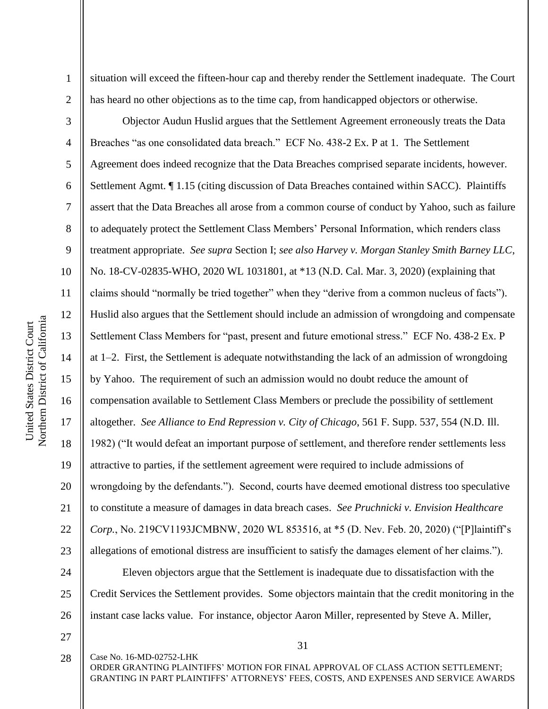2

3

4

5

6

7

8

9

10

11

12

13

14

15

16

17

18

19

20

21

22

23

24

25

26

situation will exceed the fifteen-hour cap and thereby render the Settlement inadequate. The Court has heard no other objections as to the time cap, from handicapped objectors or otherwise.

Objector Audun Huslid argues that the Settlement Agreement erroneously treats the Data Breaches "as one consolidated data breach." ECF No. 438-2 Ex. P at 1. The Settlement Agreement does indeed recognize that the Data Breaches comprised separate incidents, however. Settlement Agmt. ¶ 1.15 (citing discussion of Data Breaches contained within SACC). Plaintiffs assert that the Data Breaches all arose from a common course of conduct by Yahoo, such as failure to adequately protect the Settlement Class Members' Personal Information, which renders class treatment appropriate. *See supra* Section I; *see also Harvey v. Morgan Stanley Smith Barney LLC*, No. 18-CV-02835-WHO, 2020 WL 1031801, at \*13 (N.D. Cal. Mar. 3, 2020) (explaining that claims should "normally be tried together" when they "derive from a common nucleus of facts"). Huslid also argues that the Settlement should include an admission of wrongdoing and compensate Settlement Class Members for "past, present and future emotional stress." ECF No. 438-2 Ex. P at 1–2. First, the Settlement is adequate notwithstanding the lack of an admission of wrongdoing by Yahoo. The requirement of such an admission would no doubt reduce the amount of compensation available to Settlement Class Members or preclude the possibility of settlement altogether. *See Alliance to End Repression v. City of Chicago*, 561 F. Supp. 537, 554 (N.D. Ill. 1982) ("It would defeat an important purpose of settlement, and therefore render settlements less attractive to parties, if the settlement agreement were required to include admissions of wrongdoing by the defendants."). Second, courts have deemed emotional distress too speculative to constitute a measure of damages in data breach cases. *See Pruchnicki v. Envision Healthcare Corp.*, No. 219CV1193JCMBNW, 2020 WL 853516, at \*5 (D. Nev. Feb. 20, 2020) ("[P]laintiff's allegations of emotional distress are insufficient to satisfy the damages element of her claims."). Eleven objectors argue that the Settlement is inadequate due to dissatisfaction with the Credit Services the Settlement provides. Some objectors maintain that the credit monitoring in the instant case lacks value. For instance, objector Aaron Miller, represented by Steve A. Miller,

27 28

Case No. 16-MD-02752-LHK

31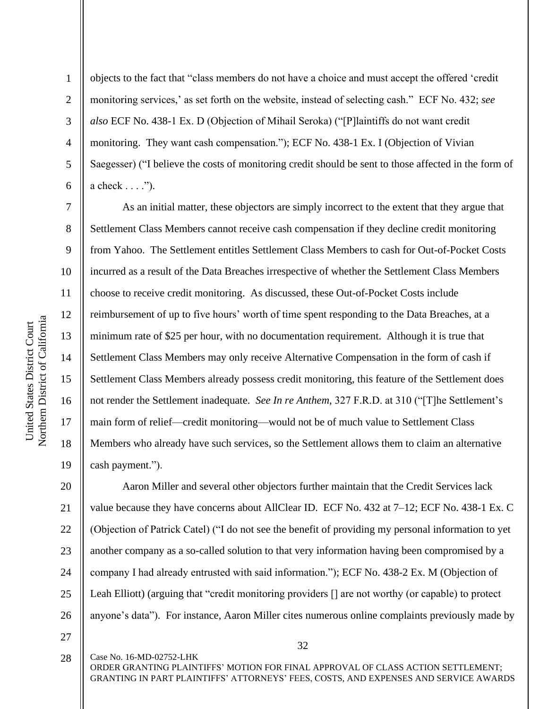2

3

4

5

6

7

8

9

10

11

12

13

14

15

16

17

18

19

objects to the fact that "class members do not have a choice and must accept the offered 'credit monitoring services,' as set forth on the website, instead of selecting cash." ECF No. 432; *see also* ECF No. 438-1 Ex. D (Objection of Mihail Seroka) ("[P]laintiffs do not want credit monitoring. They want cash compensation."); ECF No. 438-1 Ex. I (Objection of Vivian Saegesser) ("I believe the costs of monitoring credit should be sent to those affected in the form of a check . . . .").

As an initial matter, these objectors are simply incorrect to the extent that they argue that Settlement Class Members cannot receive cash compensation if they decline credit monitoring from Yahoo. The Settlement entitles Settlement Class Members to cash for Out-of-Pocket Costs incurred as a result of the Data Breaches irrespective of whether the Settlement Class Members choose to receive credit monitoring. As discussed, these Out-of-Pocket Costs include reimbursement of up to five hours' worth of time spent responding to the Data Breaches, at a minimum rate of \$25 per hour, with no documentation requirement. Although it is true that Settlement Class Members may only receive Alternative Compensation in the form of cash if Settlement Class Members already possess credit monitoring, this feature of the Settlement does not render the Settlement inadequate. *See In re Anthem*, 327 F.R.D. at 310 ("[T]he Settlement's main form of relief—credit monitoring—would not be of much value to Settlement Class Members who already have such services, so the Settlement allows them to claim an alternative cash payment.").

20 21 22 23 24 25 26 Aaron Miller and several other objectors further maintain that the Credit Services lack value because they have concerns about AllClear ID. ECF No. 432 at 7–12; ECF No. 438-1 Ex. C (Objection of Patrick Catel) ("I do not see the benefit of providing my personal information to yet another company as a so-called solution to that very information having been compromised by a company I had already entrusted with said information."); ECF No. 438-2 Ex. M (Objection of Leah Elliott) (arguing that "credit monitoring providers [] are not worthy (or capable) to protect anyone's data"). For instance, Aaron Miller cites numerous online complaints previously made by

27

28

Case No. 16-MD-02752-LHK

ORDER GRANTING PLAINTIFFS' MOTION FOR FINAL APPROVAL OF CLASS ACTION SETTLEMENT; GRANTING IN PART PLAINTIFFS' ATTORNEYS' FEES, COSTS, AND EXPENSES AND SERVICE AWARDS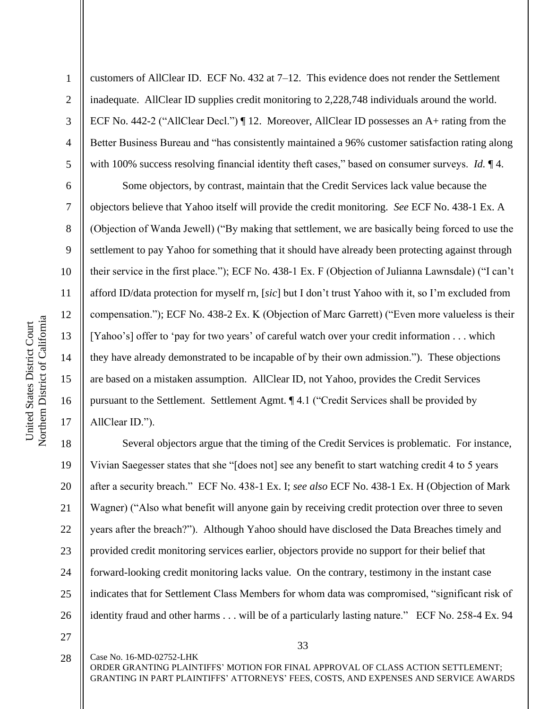7

8

9

10

11

12

13

14

15

16

17

1 2 3 4 5 customers of AllClear ID. ECF No. 432 at 7–12. This evidence does not render the Settlement inadequate. AllClear ID supplies credit monitoring to 2,228,748 individuals around the world. ECF No. 442-2 ("AllClear Decl.") ¶ 12. Moreover, AllClear ID possesses an A+ rating from the Better Business Bureau and "has consistently maintained a 96% customer satisfaction rating along with 100% success resolving financial identity theft cases," based on consumer surveys. *Id.* ¶ 4.

Some objectors, by contrast, maintain that the Credit Services lack value because the objectors believe that Yahoo itself will provide the credit monitoring. *See* ECF No. 438-1 Ex. A (Objection of Wanda Jewell) ("By making that settlement, we are basically being forced to use the settlement to pay Yahoo for something that it should have already been protecting against through their service in the first place."); ECF No. 438-1 Ex. F (Objection of Julianna Lawnsdale) ("I can't afford ID/data protection for myself rn, [*sic*] but I don't trust Yahoo with it, so I'm excluded from compensation."); ECF No. 438-2 Ex. K (Objection of Marc Garrett) ("Even more valueless is their [Yahoo's] offer to 'pay for two years' of careful watch over your credit information . . . which they have already demonstrated to be incapable of by their own admission."). These objections are based on a mistaken assumption. AllClear ID, not Yahoo, provides the Credit Services pursuant to the Settlement. Settlement Agmt. ¶ 4.1 ("Credit Services shall be provided by AllClear ID.").

18 19 20 21 22 23 24 25 26 Several objectors argue that the timing of the Credit Services is problematic. For instance, Vivian Saegesser states that she "[does not] see any benefit to start watching credit 4 to 5 years after a security breach." ECF No. 438-1 Ex. I; *see also* ECF No. 438-1 Ex. H (Objection of Mark Wagner) ("Also what benefit will anyone gain by receiving credit protection over three to seven years after the breach?"). Although Yahoo should have disclosed the Data Breaches timely and provided credit monitoring services earlier, objectors provide no support for their belief that forward-looking credit monitoring lacks value. On the contrary, testimony in the instant case indicates that for Settlement Class Members for whom data was compromised, "significant risk of identity fraud and other harms . . . will be of a particularly lasting nature." ECF No. 258-4 Ex. 94

27

28

Case No. 16-MD-02752-LHK

33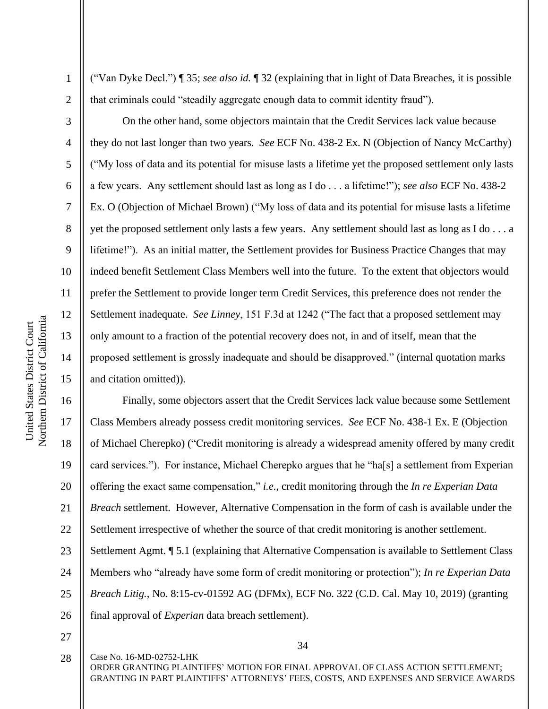2

3

4

5

6

7

8

9

10

11

12

13

14

15

("Van Dyke Decl.") ¶ 35; *see also id.* ¶ 32 (explaining that in light of Data Breaches, it is possible that criminals could "steadily aggregate enough data to commit identity fraud").

On the other hand, some objectors maintain that the Credit Services lack value because they do not last longer than two years. *See* ECF No. 438-2 Ex. N (Objection of Nancy McCarthy) ("My loss of data and its potential for misuse lasts a lifetime yet the proposed settlement only lasts a few years. Any settlement should last as long as I do . . . a lifetime!"); *see also* ECF No. 438-2 Ex. O (Objection of Michael Brown) ("My loss of data and its potential for misuse lasts a lifetime yet the proposed settlement only lasts a few years. Any settlement should last as long as I do . . . a lifetime!"). As an initial matter, the Settlement provides for Business Practice Changes that may indeed benefit Settlement Class Members well into the future. To the extent that objectors would prefer the Settlement to provide longer term Credit Services, this preference does not render the Settlement inadequate. *See Linney*, 151 F.3d at 1242 ("The fact that a proposed settlement may only amount to a fraction of the potential recovery does not, in and of itself, mean that the proposed settlement is grossly inadequate and should be disapproved." (internal quotation marks and citation omitted)).

16 17 18 19 20 21 22 23 24 25 26 Finally, some objectors assert that the Credit Services lack value because some Settlement Class Members already possess credit monitoring services. *See* ECF No. 438-1 Ex. E (Objection of Michael Cherepko) ("Credit monitoring is already a widespread amenity offered by many credit card services."). For instance, Michael Cherepko argues that he "ha[s] a settlement from Experian offering the exact same compensation," *i.e.*, credit monitoring through the *In re Experian Data Breach* settlement. However, Alternative Compensation in the form of cash is available under the Settlement irrespective of whether the source of that credit monitoring is another settlement. Settlement Agmt. ¶ 5.1 (explaining that Alternative Compensation is available to Settlement Class Members who "already have some form of credit monitoring or protection"); *In re Experian Data Breach Litig.*, No. 8:15-cv-01592 AG (DFMx), ECF No. 322 (C.D. Cal. May 10, 2019) (granting final approval of *Experian* data breach settlement).

27

Case No. 16-MD-02752-LHK

34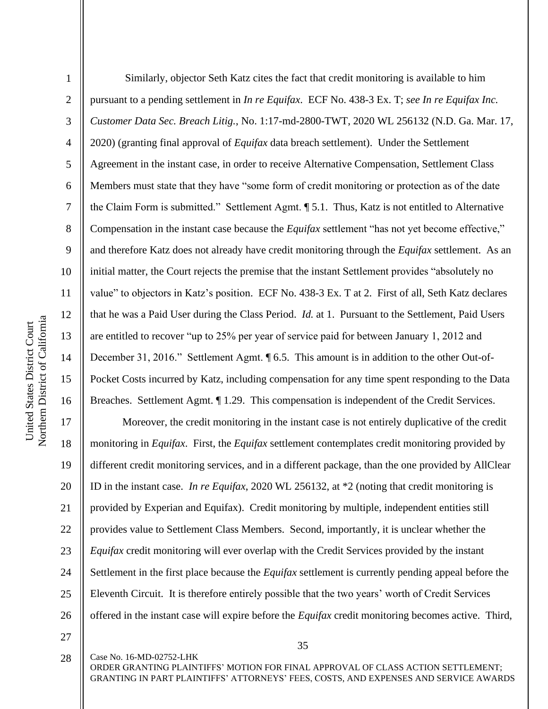Northern District of California Northern District of California United States District Court United States District Court

1

2

3

4

5

6

7

8

9

10

11

12

13

14

15

16

Similarly, objector Seth Katz cites the fact that credit monitoring is available to him pursuant to a pending settlement in *In re Equifax*. ECF No. 438-3 Ex. T; *see In re Equifax Inc. Customer Data Sec. Breach Litig.*, No. 1:17-md-2800-TWT, 2020 WL 256132 (N.D. Ga. Mar. 17, 2020) (granting final approval of *Equifax* data breach settlement). Under the Settlement Agreement in the instant case, in order to receive Alternative Compensation, Settlement Class Members must state that they have "some form of credit monitoring or protection as of the date the Claim Form is submitted." Settlement Agmt. ¶ 5.1. Thus, Katz is not entitled to Alternative Compensation in the instant case because the *Equifax* settlement "has not yet become effective," and therefore Katz does not already have credit monitoring through the *Equifax* settlement. As an initial matter, the Court rejects the premise that the instant Settlement provides "absolutely no value" to objectors in Katz's position. ECF No. 438-3 Ex. T at 2. First of all, Seth Katz declares that he was a Paid User during the Class Period. *Id.* at 1. Pursuant to the Settlement, Paid Users are entitled to recover "up to 25% per year of service paid for between January 1, 2012 and December 31, 2016." Settlement Agmt. ¶ 6.5. This amount is in addition to the other Out-of-Pocket Costs incurred by Katz, including compensation for any time spent responding to the Data Breaches. Settlement Agmt. ¶ 1.29. This compensation is independent of the Credit Services.

17 18 19 20 21 22 23 24 25 26 Moreover, the credit monitoring in the instant case is not entirely duplicative of the credit monitoring in *Equifax*. First, the *Equifax* settlement contemplates credit monitoring provided by different credit monitoring services, and in a different package, than the one provided by AllClear ID in the instant case. *In re Equifax*, 2020 WL 256132, at \*2 (noting that credit monitoring is provided by Experian and Equifax). Credit monitoring by multiple, independent entities still provides value to Settlement Class Members. Second, importantly, it is unclear whether the *Equifax* credit monitoring will ever overlap with the Credit Services provided by the instant Settlement in the first place because the *Equifax* settlement is currently pending appeal before the Eleventh Circuit. It is therefore entirely possible that the two years' worth of Credit Services offered in the instant case will expire before the *Equifax* credit monitoring becomes active. Third,

27 28

Case No. 16-MD-02752-LHK

ORDER GRANTING PLAINTIFFS' MOTION FOR FINAL APPROVAL OF CLASS ACTION SETTLEMENT; GRANTING IN PART PLAINTIFFS' ATTORNEYS' FEES, COSTS, AND EXPENSES AND SERVICE AWARDS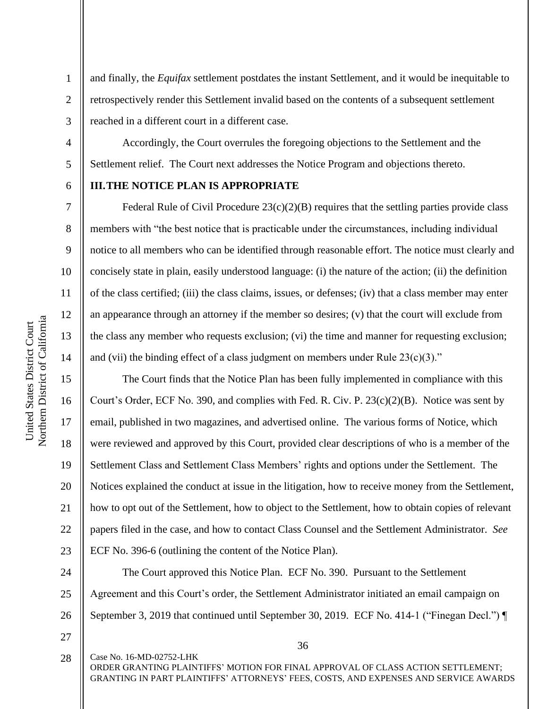and finally, the *Equifax* settlement postdates the instant Settlement, and it would be inequitable to retrospectively render this Settlement invalid based on the contents of a subsequent settlement reached in a different court in a different case.

Accordingly, the Court overrules the foregoing objections to the Settlement and the Settlement relief. The Court next addresses the Notice Program and objections thereto.

# **III.THE NOTICE PLAN IS APPROPRIATE**

Federal Rule of Civil Procedure  $23(c)(2)(B)$  requires that the settling parties provide class members with "the best notice that is practicable under the circumstances, including individual notice to all members who can be identified through reasonable effort. The notice must clearly and concisely state in plain, easily understood language: (i) the nature of the action; (ii) the definition of the class certified; (iii) the class claims, issues, or defenses; (iv) that a class member may enter an appearance through an attorney if the member so desires; (v) that the court will exclude from the class any member who requests exclusion; (vi) the time and manner for requesting exclusion; and (vii) the binding effect of a class judgment on members under Rule  $23(c)(3)$ ."

The Court finds that the Notice Plan has been fully implemented in compliance with this Court's Order, ECF No. 390, and complies with Fed. R. Civ. P. 23(c)(2)(B). Notice was sent by email, published in two magazines, and advertised online. The various forms of Notice, which were reviewed and approved by this Court, provided clear descriptions of who is a member of the Settlement Class and Settlement Class Members' rights and options under the Settlement. The Notices explained the conduct at issue in the litigation, how to receive money from the Settlement, how to opt out of the Settlement, how to object to the Settlement, how to obtain copies of relevant papers filed in the case, and how to contact Class Counsel and the Settlement Administrator. *See* ECF No. 396-6 (outlining the content of the Notice Plan).

24 25 26 The Court approved this Notice Plan. ECF No. 390. Pursuant to the Settlement Agreement and this Court's order, the Settlement Administrator initiated an email campaign on September 3, 2019 that continued until September 30, 2019. ECF No. 414-1 ("Finegan Decl.") ¶

27

Case No. 16-MD-02752-LHK

Northern District of California Northern District of California United States District Court United States District Court

1

2

3

4

5

6

7

8

9

10

11

12

13

14

15

16

17

18

19

20

21

22

23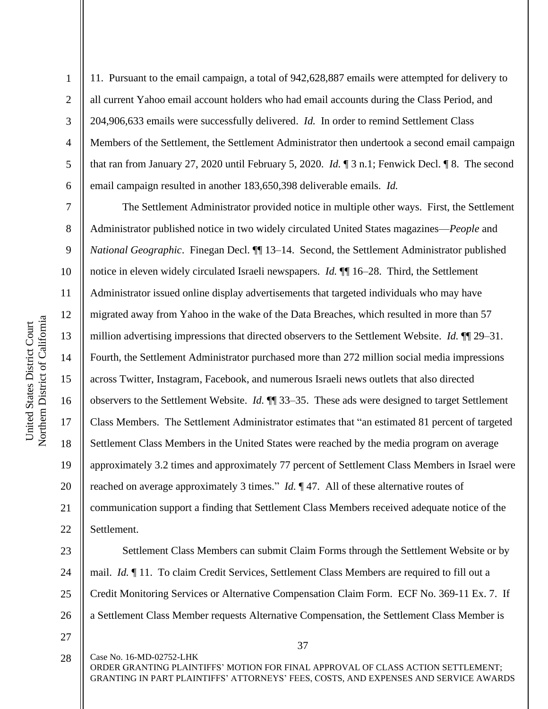2

3

4

5

6

7

8

9

11

13

17

18

19

21

11. Pursuant to the email campaign, a total of 942,628,887 emails were attempted for delivery to all current Yahoo email account holders who had email accounts during the Class Period, and 204,906,633 emails were successfully delivered. *Id.* In order to remind Settlement Class Members of the Settlement, the Settlement Administrator then undertook a second email campaign that ran from January 27, 2020 until February 5, 2020. *Id.* ¶ 3 n.1; Fenwick Decl. ¶ 8. The second email campaign resulted in another 183,650,398 deliverable emails. *Id.*

10 12 14 15 16 20 22 The Settlement Administrator provided notice in multiple other ways. First, the Settlement Administrator published notice in two widely circulated United States magazines—*People* and *National Geographic*. Finegan Decl. ¶¶ 13–14. Second, the Settlement Administrator published notice in eleven widely circulated Israeli newspapers. *Id.*  $\P$  16–28. Third, the Settlement Administrator issued online display advertisements that targeted individuals who may have migrated away from Yahoo in the wake of the Data Breaches, which resulted in more than 57 million advertising impressions that directed observers to the Settlement Website. *Id.* ¶¶ 29–31. Fourth, the Settlement Administrator purchased more than 272 million social media impressions across Twitter, Instagram, Facebook, and numerous Israeli news outlets that also directed observers to the Settlement Website. *Id.* ¶¶ 33–35. These ads were designed to target Settlement Class Members. The Settlement Administrator estimates that "an estimated 81 percent of targeted Settlement Class Members in the United States were reached by the media program on average approximately 3.2 times and approximately 77 percent of Settlement Class Members in Israel were reached on average approximately 3 times." *Id.* ¶ 47. All of these alternative routes of communication support a finding that Settlement Class Members received adequate notice of the Settlement.

23 24 25 26 Settlement Class Members can submit Claim Forms through the Settlement Website or by mail. *Id.* ¶ 11. To claim Credit Services, Settlement Class Members are required to fill out a Credit Monitoring Services or Alternative Compensation Claim Form. ECF No. 369-11 Ex. 7. If a Settlement Class Member requests Alternative Compensation, the Settlement Class Member is

27

37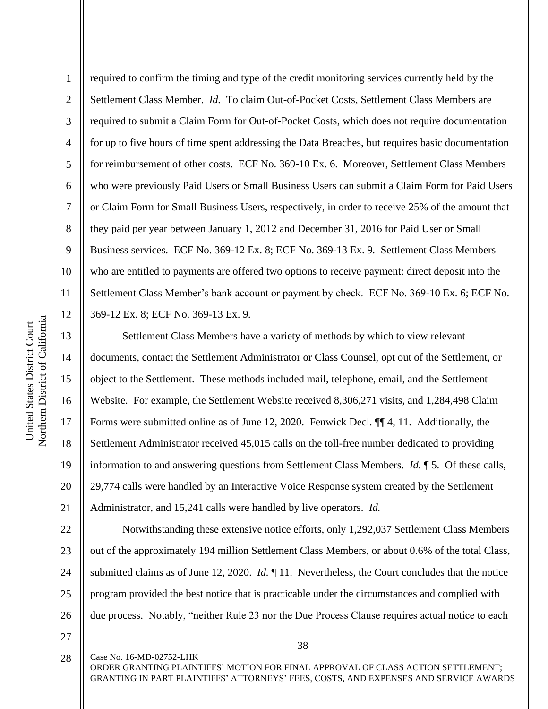2

3

8

9

11

13

14

15

16

17

18

19

20

21

4 5 6 7 10 12 required to confirm the timing and type of the credit monitoring services currently held by the Settlement Class Member. *Id.* To claim Out-of-Pocket Costs, Settlement Class Members are required to submit a Claim Form for Out-of-Pocket Costs, which does not require documentation for up to five hours of time spent addressing the Data Breaches, but requires basic documentation for reimbursement of other costs. ECF No. 369-10 Ex. 6. Moreover, Settlement Class Members who were previously Paid Users or Small Business Users can submit a Claim Form for Paid Users or Claim Form for Small Business Users, respectively, in order to receive 25% of the amount that they paid per year between January 1, 2012 and December 31, 2016 for Paid User or Small Business services. ECF No. 369-12 Ex. 8; ECF No. 369-13 Ex. 9*.* Settlement Class Members who are entitled to payments are offered two options to receive payment: direct deposit into the Settlement Class Member's bank account or payment by check. ECF No. 369-10 Ex. 6; ECF No. 369-12 Ex. 8; ECF No. 369-13 Ex. 9*.* 

Settlement Class Members have a variety of methods by which to view relevant documents, contact the Settlement Administrator or Class Counsel, opt out of the Settlement, or object to the Settlement. These methods included mail, telephone, email, and the Settlement Website. For example, the Settlement Website received 8,306,271 visits, and 1,284,498 Claim Forms were submitted online as of June 12, 2020. Fenwick Decl. ¶¶ 4, 11. Additionally, the Settlement Administrator received 45,015 calls on the toll-free number dedicated to providing information to and answering questions from Settlement Class Members. *Id.* ¶ 5. Of these calls, 29,774 calls were handled by an Interactive Voice Response system created by the Settlement Administrator, and 15,241 calls were handled by live operators. *Id.* 

22 23 24 25 26 Notwithstanding these extensive notice efforts, only 1,292,037 Settlement Class Members out of the approximately 194 million Settlement Class Members, or about 0.6% of the total Class, submitted claims as of June 12, 2020. *Id.* ¶ 11. Nevertheless, the Court concludes that the notice program provided the best notice that is practicable under the circumstances and complied with due process. Notably, "neither Rule 23 nor the Due Process Clause requires actual notice to each

27 28

Case No. 16-MD-02752-LHK

38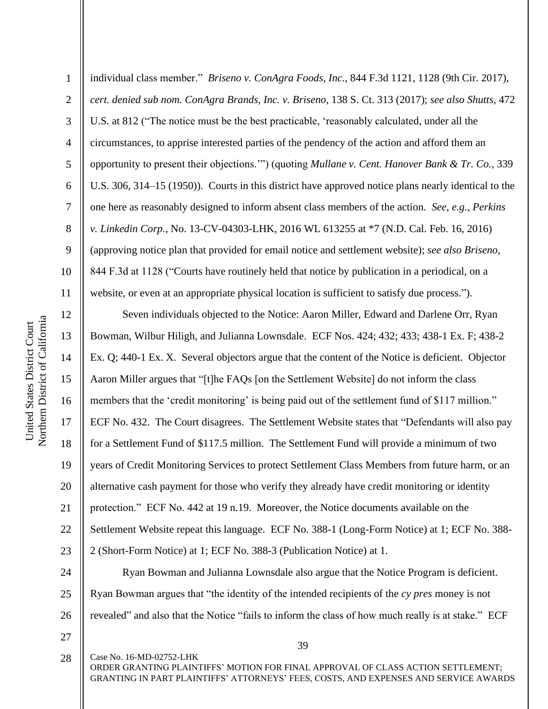2

3

5

8

9

11

4 6 7 10 individual class member." *Briseno v. ConAgra Foods, Inc.*, 844 F.3d 1121, 1128 (9th Cir. 2017), *cert. denied sub nom. ConAgra Brands, Inc. v. Briseno*, 138 S. Ct. 313 (2017); *see also Shutts*, 472 U.S. at 812 ("The notice must be the best practicable, 'reasonably calculated, under all the circumstances, to apprise interested parties of the pendency of the action and afford them an opportunity to present their objections.'") (quoting *Mullane v. Cent. Hanover Bank & Tr. Co.*, 339 U.S. 306, 314–15 (1950)). Courts in this district have approved notice plans nearly identical to the one here as reasonably designed to inform absent class members of the action. *See, e.g.*, *Perkins v. Linkedin Corp.*, No. 13-CV-04303-LHK, 2016 WL 613255 at \*7 (N.D. Cal. Feb. 16, 2016) (approving notice plan that provided for email notice and settlement website); *see also Briseno*, 844 F.3d at 1128 ("Courts have routinely held that notice by publication in a periodical, on a website, or even at an appropriate physical location is sufficient to satisfy due process.").

12 13 14 15 16 17 18 19 20 21 22 23 Seven individuals objected to the Notice: Aaron Miller, Edward and Darlene Orr, Ryan Bowman, Wilbur Hiligh, and Julianna Lownsdale. ECF Nos. 424; 432; 433; 438-1 Ex. F; 438-2 Ex. Q; 440-1 Ex. X. Several objectors argue that the content of the Notice is deficient. Objector Aaron Miller argues that "[t]he FAQs [on the Settlement Website] do not inform the class members that the 'credit monitoring' is being paid out of the settlement fund of \$117 million." ECF No. 432. The Court disagrees. The Settlement Website states that "Defendants will also pay for a Settlement Fund of \$117.5 million. The Settlement Fund will provide a minimum of two years of Credit Monitoring Services to protect Settlement Class Members from future harm, or an alternative cash payment for those who verify they already have credit monitoring or identity protection." ECF No. 442 at 19 n.19. Moreover, the Notice documents available on the Settlement Website repeat this language. ECF No. 388-1 (Long-Form Notice) at 1; ECF No. 388- 2 (Short-Form Notice) at 1; ECF No. 388-3 (Publication Notice) at 1.

24 25 26 Ryan Bowman and Julianna Lownsdale also argue that the Notice Program is deficient. Ryan Bowman argues that "the identity of the intended recipients of the *cy pres* money is not revealed" and also that the Notice "fails to inform the class of how much really is at stake." ECF

27 28

Case No. 16-MD-02752-LHK

39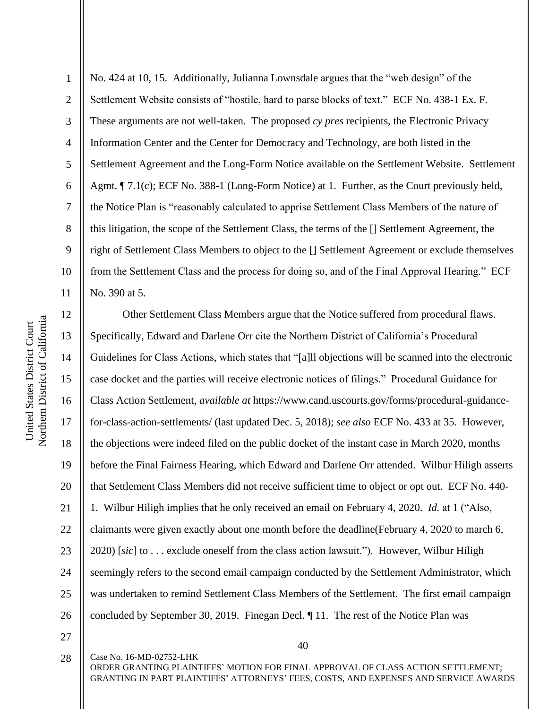1 2 3 4 5 6 7 8 9 10 11 No. 424 at 10, 15. Additionally, Julianna Lownsdale argues that the "web design" of the Settlement Website consists of "hostile, hard to parse blocks of text." ECF No. 438-1 Ex. F. These arguments are not well-taken. The proposed *cy pres* recipients, the Electronic Privacy Information Center and the Center for Democracy and Technology, are both listed in the Settlement Agreement and the Long-Form Notice available on the Settlement Website. Settlement Agmt. *¶* 7.1(c); ECF No. 388-1 (Long-Form Notice) at 1. Further, as the Court previously held, the Notice Plan is "reasonably calculated to apprise Settlement Class Members of the nature of this litigation, the scope of the Settlement Class, the terms of the [] Settlement Agreement, the right of Settlement Class Members to object to the [] Settlement Agreement or exclude themselves from the Settlement Class and the process for doing so, and of the Final Approval Hearing." ECF No. 390 at 5.

12 13 14 15 16 17 18 19 20 21 22 23 24 25 26 Other Settlement Class Members argue that the Notice suffered from procedural flaws. Specifically, Edward and Darlene Orr cite the Northern District of California's Procedural Guidelines for Class Actions, which states that "[a]ll objections will be scanned into the electronic case docket and the parties will receive electronic notices of filings." Procedural Guidance for Class Action Settlement, *available at* https://www.cand.uscourts.gov/forms/procedural-guidancefor-class-action-settlements/ (last updated Dec. 5, 2018); *see also* ECF No. 433 at 35. However, the objections were indeed filed on the public docket of the instant case in March 2020, months before the Final Fairness Hearing, which Edward and Darlene Orr attended. Wilbur Hiligh asserts that Settlement Class Members did not receive sufficient time to object or opt out. ECF No. 440- 1. Wilbur Hiligh implies that he only received an email on February 4, 2020. *Id.* at 1 ("Also, claimants were given exactly about one month before the deadline(February 4, 2020 to march 6, 2020) [*sic*] to . . . exclude oneself from the class action lawsuit."). However, Wilbur Hiligh seemingly refers to the second email campaign conducted by the Settlement Administrator, which was undertaken to remind Settlement Class Members of the Settlement. The first email campaign concluded by September 30, 2019. Finegan Decl. ¶ 11. The rest of the Notice Plan was

27 28

Case No. 16-MD-02752-LHK

40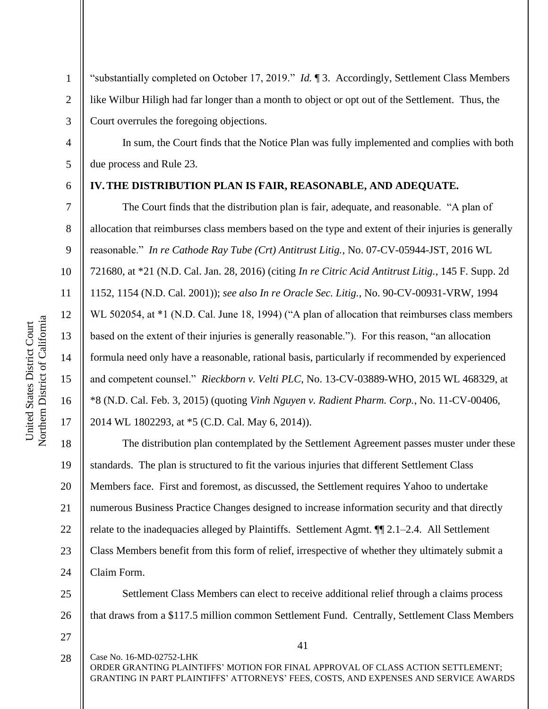10 11 12 Northern District of California Northern District of California United States District Court United States District Court 13 14 15 16 17

1

2

3

4

5

6

7

8

9

"substantially completed on October 17, 2019." *Id.* ¶ 3. Accordingly, Settlement Class Members like Wilbur Hiligh had far longer than a month to object or opt out of the Settlement. Thus, the Court overrules the foregoing objections.

In sum, the Court finds that the Notice Plan was fully implemented and complies with both due process and Rule 23.

### **IV.THE DISTRIBUTION PLAN IS FAIR, REASONABLE, AND ADEQUATE.**

The Court finds that the distribution plan is fair, adequate, and reasonable. "A plan of allocation that reimburses class members based on the type and extent of their injuries is generally reasonable." *In re Cathode Ray Tube (Crt) Antitrust Litig.*, No. 07-CV-05944-JST, 2016 WL 721680, at \*21 (N.D. Cal. Jan. 28, 2016) (citing *In re Citric Acid Antitrust Litig.*, 145 F. Supp. 2d 1152, 1154 (N.D. Cal. 2001)); *see also In re Oracle Sec. Litig.*, No. 90-CV-00931-VRW, 1994 WL 502054, at \*1 (N.D. Cal. June 18, 1994) ("A plan of allocation that reimburses class members based on the extent of their injuries is generally reasonable."). For this reason, "an allocation formula need only have a reasonable, rational basis, particularly if recommended by experienced and competent counsel." *Rieckborn v. Velti PLC*, No. 13-CV-03889-WHO, 2015 WL 468329, at \*8 (N.D. Cal. Feb. 3, 2015) (quoting *Vinh Nguyen v. Radient Pharm. Corp.*, No. 11-CV-00406, 2014 WL 1802293, at \*5 (C.D. Cal. May 6, 2014)).

18 19 20 21 22 23 24 The distribution plan contemplated by the Settlement Agreement passes muster under these standards. The plan is structured to fit the various injuries that different Settlement Class Members face. First and foremost, as discussed, the Settlement requires Yahoo to undertake numerous Business Practice Changes designed to increase information security and that directly relate to the inadequacies alleged by Plaintiffs. Settlement Agmt. ¶¶ 2.1–2.4. All Settlement Class Members benefit from this form of relief, irrespective of whether they ultimately submit a Claim Form.

25 26 Settlement Class Members can elect to receive additional relief through a claims process that draws from a \$117.5 million common Settlement Fund. Centrally, Settlement Class Members

27

Case No. 16-MD-02752-LHK ORDER GRANTING PLAINTIFFS' MOTION FOR FINAL APPROVAL OF CLASS ACTION SETTLEMENT; GRANTING IN PART PLAINTIFFS' ATTORNEYS' FEES, COSTS, AND EXPENSES AND SERVICE AWARDS 28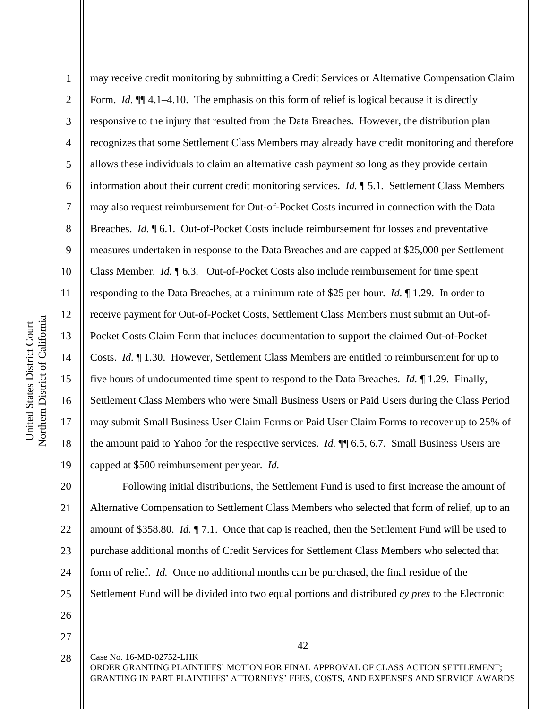1 2 3 4 5 6 7 8 9 10 11 12 13 14 15 16 17 18 19 may receive credit monitoring by submitting a Credit Services or Alternative Compensation Claim Form. *Id.* **[14.1–4.10.** The emphasis on this form of relief is logical because it is directly responsive to the injury that resulted from the Data Breaches. However, the distribution plan recognizes that some Settlement Class Members may already have credit monitoring and therefore allows these individuals to claim an alternative cash payment so long as they provide certain information about their current credit monitoring services. *Id.* ¶ 5.1. Settlement Class Members may also request reimbursement for Out-of-Pocket Costs incurred in connection with the Data Breaches. *Id.* ¶ 6.1. Out-of-Pocket Costs include reimbursement for losses and preventative measures undertaken in response to the Data Breaches and are capped at \$25,000 per Settlement Class Member. *Id.* ¶ 6.3. Out-of-Pocket Costs also include reimbursement for time spent responding to the Data Breaches, at a minimum rate of \$25 per hour. *Id.* ¶ 1.29. In order to receive payment for Out-of-Pocket Costs, Settlement Class Members must submit an Out-of-Pocket Costs Claim Form that includes documentation to support the claimed Out-of-Pocket Costs. *Id.* ¶ 1.30. However, Settlement Class Members are entitled to reimbursement for up to five hours of undocumented time spent to respond to the Data Breaches. *Id.* ¶ 1.29. Finally, Settlement Class Members who were Small Business Users or Paid Users during the Class Period may submit Small Business User Claim Forms or Paid User Claim Forms to recover up to 25% of the amount paid to Yahoo for the respective services. *Id.* ¶¶ 6.5, 6.7. Small Business Users are capped at \$500 reimbursement per year. *Id.*

20 21 22 23 24 25 Following initial distributions, the Settlement Fund is used to first increase the amount of Alternative Compensation to Settlement Class Members who selected that form of relief, up to an amount of \$358.80. *Id.* ¶ 7.1.Once that cap is reached, then the Settlement Fund will be used to purchase additional months of Credit Services for Settlement Class Members who selected that form of relief. *Id.* Once no additional months can be purchased, the final residue of the Settlement Fund will be divided into two equal portions and distributed *cy pres* to the Electronic

- 26
- 27

28

Case No. 16-MD-02752-LHK

42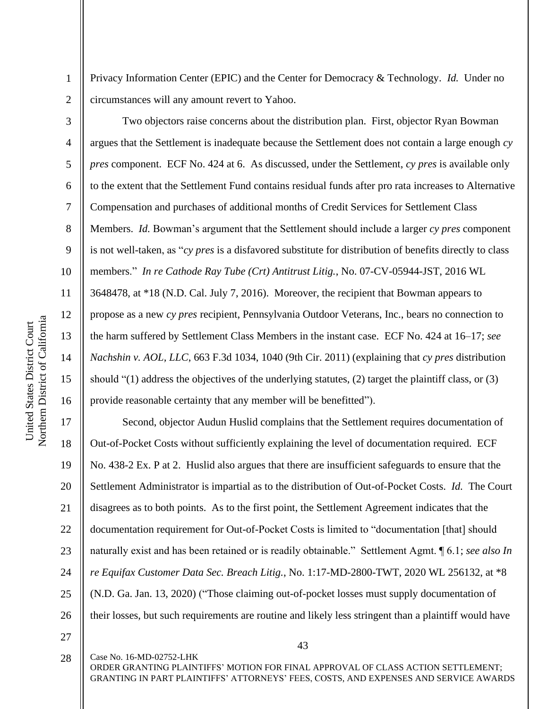Privacy Information Center (EPIC) and the Center for Democracy & Technology. *Id.* Under no circumstances will any amount revert to Yahoo.

Two objectors raise concerns about the distribution plan. First, objector Ryan Bowman argues that the Settlement is inadequate because the Settlement does not contain a large enough *cy pres* component. ECF No. 424 at 6. As discussed, under the Settlement, *cy pres* is available only to the extent that the Settlement Fund contains residual funds after pro rata increases to Alternative Compensation and purchases of additional months of Credit Services for Settlement Class Members. *Id.* Bowman's argument that the Settlement should include a larger *cy pres* component is not well-taken, as "*cy pres* is a disfavored substitute for distribution of benefits directly to class members." *In re Cathode Ray Tube (Crt) Antitrust Litig.*, No. 07-CV-05944-JST, 2016 WL 3648478, at \*18 (N.D. Cal. July 7, 2016). Moreover, the recipient that Bowman appears to propose as a new *cy pres* recipient, Pennsylvania Outdoor Veterans, Inc., bears no connection to the harm suffered by Settlement Class Members in the instant case. ECF No. 424 at 16–17; *see Nachshin v. AOL, LLC*, 663 F.3d 1034, 1040 (9th Cir. 2011) (explaining that *cy pres* distribution should "(1) address the objectives of the underlying statutes, (2) target the plaintiff class, or (3) provide reasonable certainty that any member will be benefitted").

17 18 19 20 21 22 23 24 25 26 Second, objector Audun Huslid complains that the Settlement requires documentation of Out-of-Pocket Costs without sufficiently explaining the level of documentation required. ECF No. 438-2 Ex. P at 2. Huslid also argues that there are insufficient safeguards to ensure that the Settlement Administrator is impartial as to the distribution of Out-of-Pocket Costs. *Id.* The Court disagrees as to both points. As to the first point, the Settlement Agreement indicates that the documentation requirement for Out-of-Pocket Costs is limited to "documentation [that] should naturally exist and has been retained or is readily obtainable." Settlement Agmt. ¶ 6.1; *see also In re Equifax Customer Data Sec. Breach Litig.*, No. 1:17-MD-2800-TWT, 2020 WL 256132, at \*8 (N.D. Ga. Jan. 13, 2020) ("Those claiming out-of-pocket losses must supply documentation of their losses, but such requirements are routine and likely less stringent than a plaintiff would have

27

28

Case No. 16-MD-02752-LHK

43

ORDER GRANTING PLAINTIFFS' MOTION FOR FINAL APPROVAL OF CLASS ACTION SETTLEMENT; GRANTING IN PART PLAINTIFFS' ATTORNEYS' FEES, COSTS, AND EXPENSES AND SERVICE AWARDS

1

2

3

4

5

6

7

8

9

10

11

12

13

14

15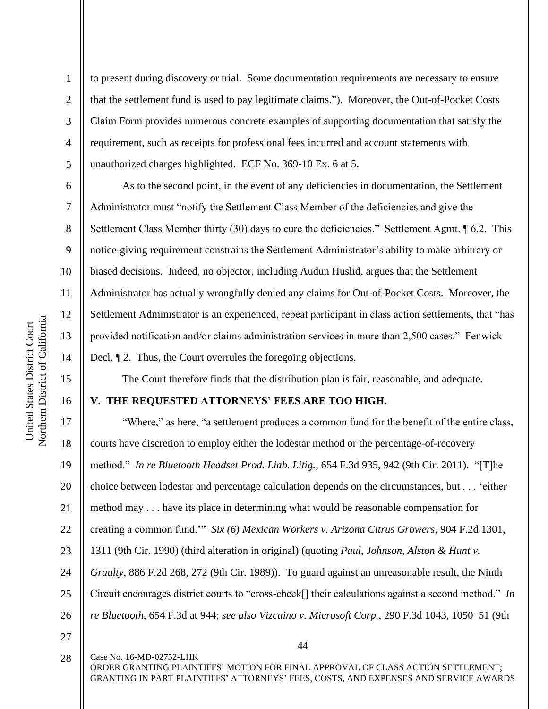2

3

4

5

6

7

8

9

10

11

12

13

14

15

16

to present during discovery or trial. Some documentation requirements are necessary to ensure that the settlement fund is used to pay legitimate claims."). Moreover, the Out-of-Pocket Costs Claim Form provides numerous concrete examples of supporting documentation that satisfy the requirement, such as receipts for professional fees incurred and account statements with unauthorized charges highlighted. ECF No. 369-10 Ex. 6 at 5.

As to the second point, in the event of any deficiencies in documentation, the Settlement Administrator must "notify the Settlement Class Member of the deficiencies and give the Settlement Class Member thirty (30) days to cure the deficiencies." Settlement Agmt. ¶ 6.2. This notice-giving requirement constrains the Settlement Administrator's ability to make arbitrary or biased decisions. Indeed, no objector, including Audun Huslid, argues that the Settlement Administrator has actually wrongfully denied any claims for Out-of-Pocket Costs. Moreover, the Settlement Administrator is an experienced, repeat participant in class action settlements, that "has provided notification and/or claims administration services in more than 2,500 cases." Fenwick Decl.  $\llbracket 2$ . Thus, the Court overrules the foregoing objections.

The Court therefore finds that the distribution plan is fair, reasonable, and adequate.

### **V. THE REQUESTED ATTORNEYS' FEES ARE TOO HIGH.**

17 18 19 20 21 22 23 24 25 26 27 "Where," as here, "a settlement produces a common fund for the benefit of the entire class, courts have discretion to employ either the lodestar method or the percentage-of-recovery method." *In re Bluetooth Headset Prod. Liab. Litig.*, 654 F.3d 935, 942 (9th Cir. 2011). "[T]he choice between lodestar and percentage calculation depends on the circumstances, but . . . 'either method may . . . have its place in determining what would be reasonable compensation for creating a common fund.'" *Six (6) Mexican Workers v. Arizona Citrus Growers*, 904 F.2d 1301, 1311 (9th Cir. 1990) (third alteration in original) (quoting *Paul, Johnson, Alston & Hunt v. Graulty*, 886 F.2d 268, 272 (9th Cir. 1989)). To guard against an unreasonable result, the Ninth Circuit encourages district courts to "cross-check[] their calculations against a second method." *In re Bluetooth*, 654 F.3d at 944; *see also Vizcaino v. Microsoft Corp.*, 290 F.3d 1043, 1050–51 (9th

Case No. 16-MD-02752-LHK ORDER GRANTING PLAINTIFFS' MOTION FOR FINAL APPROVAL OF CLASS ACTION SETTLEMENT; GRANTING IN PART PLAINTIFFS' ATTORNEYS' FEES, COSTS, AND EXPENSES AND SERVICE AWARDS 28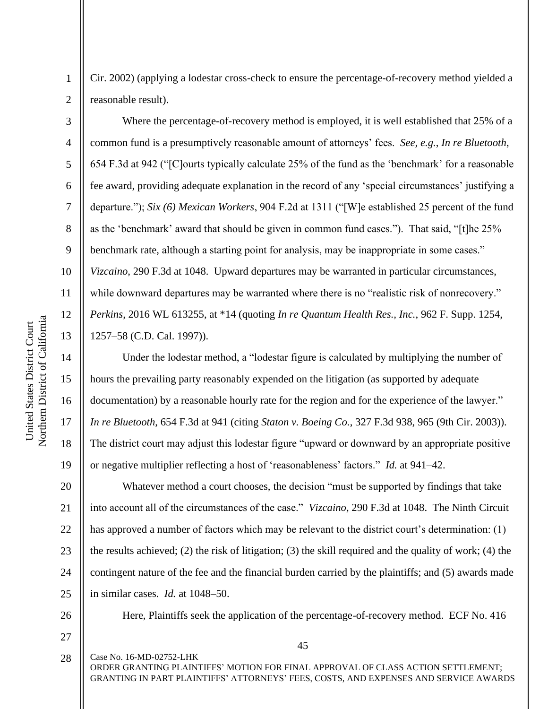Cir. 2002) (applying a lodestar cross-check to ensure the percentage-of-recovery method yielded a reasonable result).

Where the percentage-of-recovery method is employed, it is well established that 25% of a common fund is a presumptively reasonable amount of attorneys' fees. *See, e.g.*, *In re Bluetooth*, 654 F.3d at 942 ("[C]ourts typically calculate 25% of the fund as the 'benchmark' for a reasonable fee award, providing adequate explanation in the record of any 'special circumstances' justifying a departure."); *Six (6) Mexican Workers*, 904 F.2d at 1311 ("[W]e established 25 percent of the fund as the 'benchmark' award that should be given in common fund cases."). That said, "[t]he 25% benchmark rate, although a starting point for analysis, may be inappropriate in some cases." *Vizcaino*, 290 F.3d at 1048. Upward departures may be warranted in particular circumstances, while downward departures may be warranted where there is no "realistic risk of nonrecovery." *Perkins*, 2016 WL 613255, at \*14 (quoting *In re Quantum Health Res., Inc.*, 962 F. Supp. 1254, 1257–58 (C.D. Cal. 1997)).

Under the lodestar method, a "lodestar figure is calculated by multiplying the number of hours the prevailing party reasonably expended on the litigation (as supported by adequate documentation) by a reasonable hourly rate for the region and for the experience of the lawyer." *In re Bluetooth*, 654 F.3d at 941 (citing *Staton v. Boeing Co.*, 327 F.3d 938, 965 (9th Cir. 2003)). The district court may adjust this lodestar figure "upward or downward by an appropriate positive or negative multiplier reflecting a host of 'reasonableness' factors." *Id.* at 941–42.

20 21 22 23 24 25 Whatever method a court chooses, the decision "must be supported by findings that take into account all of the circumstances of the case." *Vizcaino*, 290 F.3d at 1048. The Ninth Circuit has approved a number of factors which may be relevant to the district court's determination: (1) the results achieved; (2) the risk of litigation; (3) the skill required and the quality of work; (4) the contingent nature of the fee and the financial burden carried by the plaintiffs; and (5) awards made in similar cases. *Id.* at 1048–50.

26

27

Case No. 16-MD-02752-LHK

Here, Plaintiffs seek the application of the percentage-of-recovery method. ECF No. 416

ORDER GRANTING PLAINTIFFS' MOTION FOR FINAL APPROVAL OF CLASS ACTION SETTLEMENT; GRANTING IN PART PLAINTIFFS' ATTORNEYS' FEES, COSTS, AND EXPENSES AND SERVICE AWARDS 28

1

2

3

4

5

6

7

8

9

10

11

12

13

14

15

16

17

18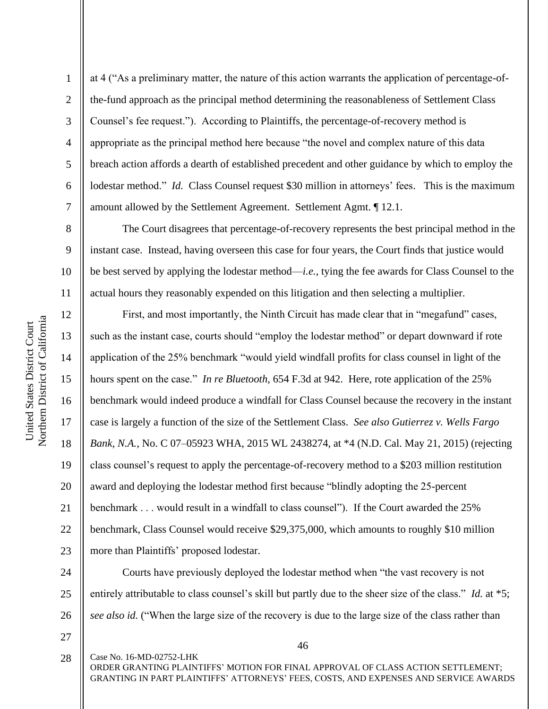2

3

4

5

6

7

8

9

10

11

12

13

14

17

18

19

21

at 4 ("As a preliminary matter, the nature of this action warrants the application of percentage-ofthe-fund approach as the principal method determining the reasonableness of Settlement Class Counsel's fee request."). According to Plaintiffs, the percentage-of-recovery method is appropriate as the principal method here because "the novel and complex nature of this data breach action affords a dearth of established precedent and other guidance by which to employ the lodestar method." *Id.* Class Counsel request \$30 million in attorneys' fees. This is the maximum amount allowed by the Settlement Agreement. Settlement Agmt. ¶ 12.1.

The Court disagrees that percentage-of-recovery represents the best principal method in the instant case. Instead, having overseen this case for four years, the Court finds that justice would be best served by applying the lodestar method—*i.e.*, tying the fee awards for Class Counsel to the actual hours they reasonably expended on this litigation and then selecting a multiplier.

15 16 20 22 23 First, and most importantly, the Ninth Circuit has made clear that in "megafund" cases, such as the instant case, courts should "employ the lodestar method" or depart downward if rote application of the 25% benchmark "would yield windfall profits for class counsel in light of the hours spent on the case." *In re Bluetooth*, 654 F.3d at 942. Here, rote application of the 25% benchmark would indeed produce a windfall for Class Counsel because the recovery in the instant case is largely a function of the size of the Settlement Class. *See also Gutierrez v. Wells Fargo Bank, N.A.*, No. C 07–05923 WHA, 2015 WL 2438274, at \*4 (N.D. Cal. May 21, 2015) (rejecting class counsel's request to apply the percentage-of-recovery method to a \$203 million restitution award and deploying the lodestar method first because "blindly adopting the 25-percent benchmark . . . would result in a windfall to class counsel"). If the Court awarded the 25% benchmark, Class Counsel would receive \$29,375,000, which amounts to roughly \$10 million more than Plaintiffs' proposed lodestar.

24 25 26 Courts have previously deployed the lodestar method when "the vast recovery is not entirely attributable to class counsel's skill but partly due to the sheer size of the class." *Id.* at \*5; *see also id.* ("When the large size of the recovery is due to the large size of the class rather than

27

Case No. 16-MD-02752-LHK

46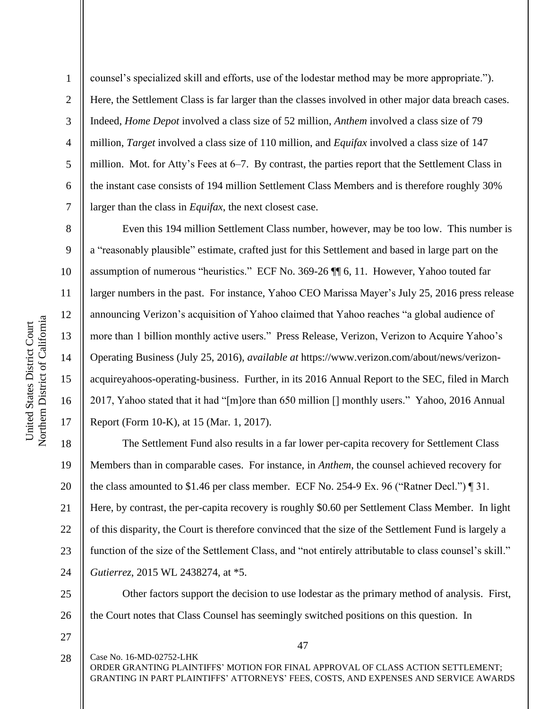2

3

4

5

6

7

8

9

10

11

12

13

14

15

16

17

counsel's specialized skill and efforts, use of the lodestar method may be more appropriate."). Here, the Settlement Class is far larger than the classes involved in other major data breach cases. Indeed, *Home Depot* involved a class size of 52 million, *Anthem* involved a class size of 79 million, *Target* involved a class size of 110 million, and *Equifax* involved a class size of 147 million. Mot. for Atty's Fees at 6–7. By contrast, the parties report that the Settlement Class in the instant case consists of 194 million Settlement Class Members and is therefore roughly 30% larger than the class in *Equifax*, the next closest case.

Even this 194 million Settlement Class number, however, may be too low. This number is a "reasonably plausible" estimate, crafted just for this Settlement and based in large part on the assumption of numerous "heuristics." ECF No. 369-26 ¶¶ 6, 11. However, Yahoo touted far larger numbers in the past. For instance, Yahoo CEO Marissa Mayer's July 25, 2016 press release announcing Verizon's acquisition of Yahoo claimed that Yahoo reaches "a global audience of more than 1 billion monthly active users." Press Release, Verizon, Verizon to Acquire Yahoo's Operating Business (July 25, 2016), *available at* https://www.verizon.com/about/news/verizonacquireyahoos-operating-business. Further, in its 2016 Annual Report to the SEC, filed in March 2017, Yahoo stated that it had "[m]ore than 650 million [] monthly users." Yahoo, 2016 Annual Report (Form 10-K), at 15 (Mar. 1, 2017).

18 19 20 21 22 23 24 The Settlement Fund also results in a far lower per-capita recovery for Settlement Class Members than in comparable cases. For instance, in *Anthem*, the counsel achieved recovery for the class amounted to \$1.46 per class member. ECF No. 254-9 Ex. 96 ("Ratner Decl.") ¶ 31. Here, by contrast, the per-capita recovery is roughly \$0.60 per Settlement Class Member. In light of this disparity, the Court is therefore convinced that the size of the Settlement Fund is largely a function of the size of the Settlement Class, and "not entirely attributable to class counsel's skill." *Gutierrez*, 2015 WL 2438274, at \*5.

25 26 Other factors support the decision to use lodestar as the primary method of analysis. First, the Court notes that Class Counsel has seemingly switched positions on this question. In

27

Case No. 16-MD-02752-LHK ORDER GRANTING PLAINTIFFS' MOTION FOR FINAL APPROVAL OF CLASS ACTION SETTLEMENT; GRANTING IN PART PLAINTIFFS' ATTORNEYS' FEES, COSTS, AND EXPENSES AND SERVICE AWARDS 28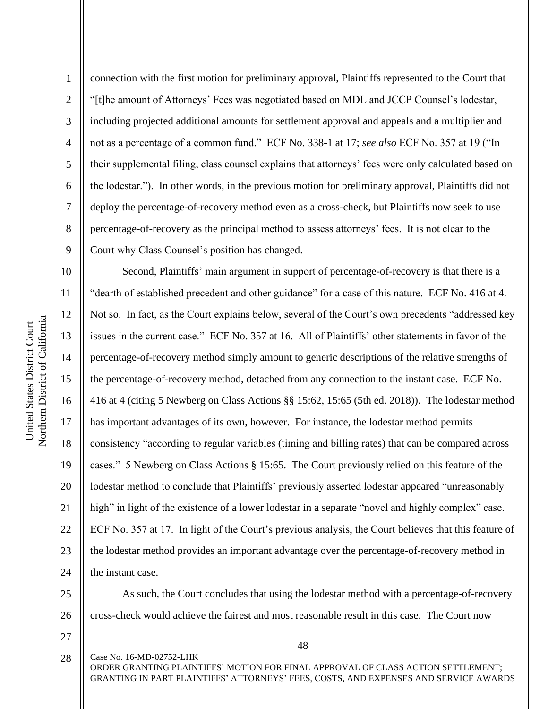Northern District of California Northern District of California United States District Court United States District Court

1

2

3

4

5

6

7

8

9

connection with the first motion for preliminary approval, Plaintiffs represented to the Court that "[t]he amount of Attorneys' Fees was negotiated based on MDL and JCCP Counsel's lodestar, including projected additional amounts for settlement approval and appeals and a multiplier and not as a percentage of a common fund." ECF No. 338-1 at 17; *see also* ECF No. 357 at 19 ("In their supplemental filing, class counsel explains that attorneys' fees were only calculated based on the lodestar."). In other words, in the previous motion for preliminary approval, Plaintiffs did not deploy the percentage-of-recovery method even as a cross-check, but Plaintiffs now seek to use percentage-of-recovery as the principal method to assess attorneys' fees. It is not clear to the Court why Class Counsel's position has changed.

10 11 12 13 14 15 16 17 18 19 20 21 22 23 24 Second, Plaintiffs' main argument in support of percentage-of-recovery is that there is a "dearth of established precedent and other guidance" for a case of this nature. ECF No. 416 at 4. Not so. In fact, as the Court explains below, several of the Court's own precedents "addressed key issues in the current case." ECF No. 357 at 16. All of Plaintiffs' other statements in favor of the percentage-of-recovery method simply amount to generic descriptions of the relative strengths of the percentage-of-recovery method, detached from any connection to the instant case. ECF No. 416 at 4 (citing 5 Newberg on Class Actions §§ 15:62, 15:65 (5th ed. 2018)). The lodestar method has important advantages of its own, however. For instance, the lodestar method permits consistency "according to regular variables (timing and billing rates) that can be compared across cases." 5 Newberg on Class Actions § 15:65. The Court previously relied on this feature of the lodestar method to conclude that Plaintiffs' previously asserted lodestar appeared "unreasonably high" in light of the existence of a lower lodestar in a separate "novel and highly complex" case. ECF No. 357 at 17. In light of the Court's previous analysis, the Court believes that this feature of the lodestar method provides an important advantage over the percentage-of-recovery method in the instant case.

25 26 As such, the Court concludes that using the lodestar method with a percentage-of-recovery cross-check would achieve the fairest and most reasonable result in this case. The Court now

27

48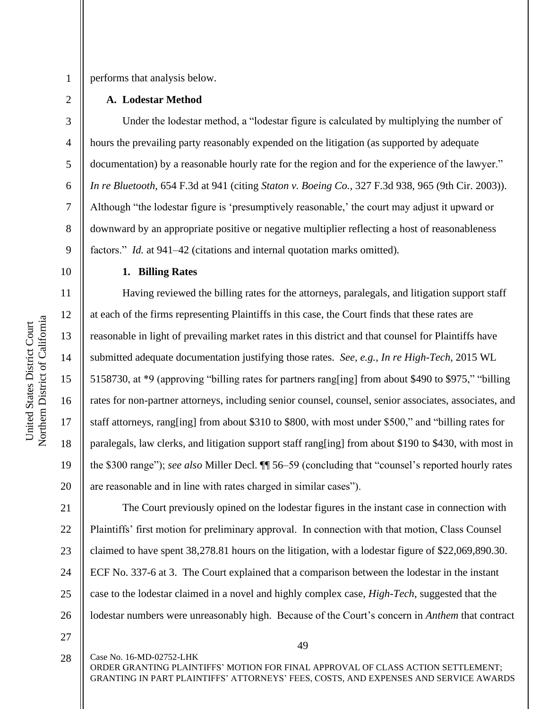3

4

5

6

7

8

9

10

11

12

13

14

15

16

17

18

19

20

performs that analysis below.

### **A. Lodestar Method**

Under the lodestar method, a "lodestar figure is calculated by multiplying the number of hours the prevailing party reasonably expended on the litigation (as supported by adequate documentation) by a reasonable hourly rate for the region and for the experience of the lawyer." *In re Bluetooth*, 654 F.3d at 941 (citing *Staton v. Boeing Co.*, 327 F.3d 938, 965 (9th Cir. 2003)). Although "the lodestar figure is 'presumptively reasonable,' the court may adjust it upward or downward by an appropriate positive or negative multiplier reflecting a host of reasonableness factors." *Id.* at 941–42 (citations and internal quotation marks omitted).

Northern District of California Northern District of California United States District Court United States District Court

## **1. Billing Rates**

Having reviewed the billing rates for the attorneys, paralegals, and litigation support staff at each of the firms representing Plaintiffs in this case, the Court finds that these rates are reasonable in light of prevailing market rates in this district and that counsel for Plaintiffs have submitted adequate documentation justifying those rates. *See, e.g.*, *In re High-Tech*, 2015 WL 5158730, at \*9 (approving "billing rates for partners rang[ing] from about \$490 to \$975," "billing rates for non-partner attorneys, including senior counsel, counsel, senior associates, associates, and staff attorneys, rang[ing] from about \$310 to \$800, with most under \$500," and "billing rates for paralegals, law clerks, and litigation support staff rang[ing] from about \$190 to \$430, with most in the \$300 range"); *see also* Miller Decl. ¶¶ 56–59 (concluding that "counsel's reported hourly rates are reasonable and in line with rates charged in similar cases").

21 22 23 24 25 26 The Court previously opined on the lodestar figures in the instant case in connection with Plaintiffs' first motion for preliminary approval. In connection with that motion, Class Counsel claimed to have spent 38,278.81 hours on the litigation, with a lodestar figure of \$22,069,890.30. ECF No. 337-6 at 3. The Court explained that a comparison between the lodestar in the instant case to the lodestar claimed in a novel and highly complex case, *High-Tech*, suggested that the lodestar numbers were unreasonably high. Because of the Court's concern in *Anthem* that contract

27

28

Case No. 16-MD-02752-LHK

49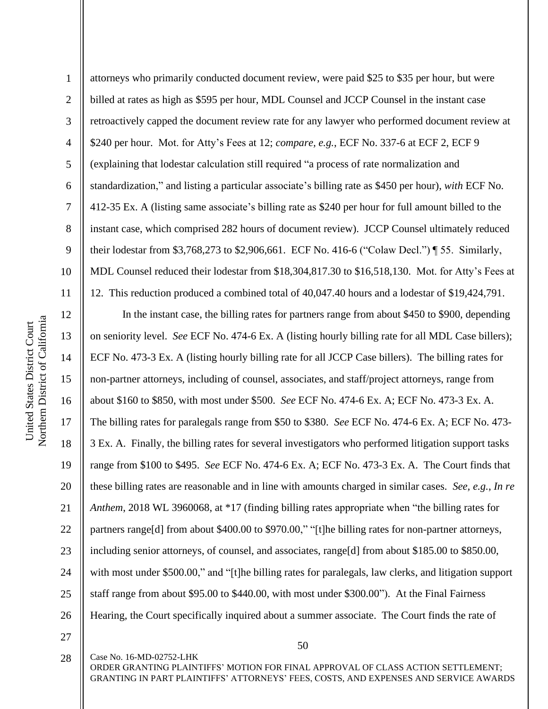1 2 3 4 5 6 7 8 9 10 11 attorneys who primarily conducted document review, were paid \$25 to \$35 per hour, but were billed at rates as high as \$595 per hour, MDL Counsel and JCCP Counsel in the instant case retroactively capped the document review rate for any lawyer who performed document review at \$240 per hour. Mot. for Atty's Fees at 12; *compare, e.g.*, ECF No. 337-6 at ECF 2, ECF 9 (explaining that lodestar calculation still required "a process of rate normalization and standardization," and listing a particular associate's billing rate as \$450 per hour), *with* ECF No. 412-35 Ex. A (listing same associate's billing rate as \$240 per hour for full amount billed to the instant case, which comprised 282 hours of document review). JCCP Counsel ultimately reduced their lodestar from \$3,768,273 to \$2,906,661. ECF No. 416-6 ("Colaw Decl.") ¶ 55. Similarly, MDL Counsel reduced their lodestar from \$18,304,817.30 to \$16,518,130. Mot. for Atty's Fees at 12. This reduction produced a combined total of 40,047.40 hours and a lodestar of \$19,424,791.

12 13 14 15 16 17 18 19 20 21 22 23 24 25 26 In the instant case, the billing rates for partners range from about \$450 to \$900, depending on seniority level. *See* ECF No. 474-6 Ex. A (listing hourly billing rate for all MDL Case billers); ECF No. 473-3 Ex. A (listing hourly billing rate for all JCCP Case billers). The billing rates for non-partner attorneys, including of counsel, associates, and staff/project attorneys, range from about \$160 to \$850, with most under \$500. *See* ECF No. 474-6 Ex. A; ECF No. 473-3 Ex. A. The billing rates for paralegals range from \$50 to \$380. *See* ECF No. 474-6 Ex. A; ECF No. 473- 3 Ex. A. Finally, the billing rates for several investigators who performed litigation support tasks range from \$100 to \$495. *See* ECF No. 474-6 Ex. A; ECF No. 473-3 Ex. A. The Court finds that these billing rates are reasonable and in line with amounts charged in similar cases. *See, e.g.*, *In re Anthem*, 2018 WL 3960068, at \*17 (finding billing rates appropriate when "the billing rates for partners range[d] from about \$400.00 to \$970.00," "[t]he billing rates for non-partner attorneys, including senior attorneys, of counsel, and associates, range[d] from about \$185.00 to \$850.00, with most under \$500.00," and "[t]he billing rates for paralegals, law clerks, and litigation support staff range from about \$95.00 to \$440.00, with most under \$300.00"). At the Final Fairness Hearing, the Court specifically inquired about a summer associate. The Court finds the rate of

27 28

Case No. 16-MD-02752-LHK

50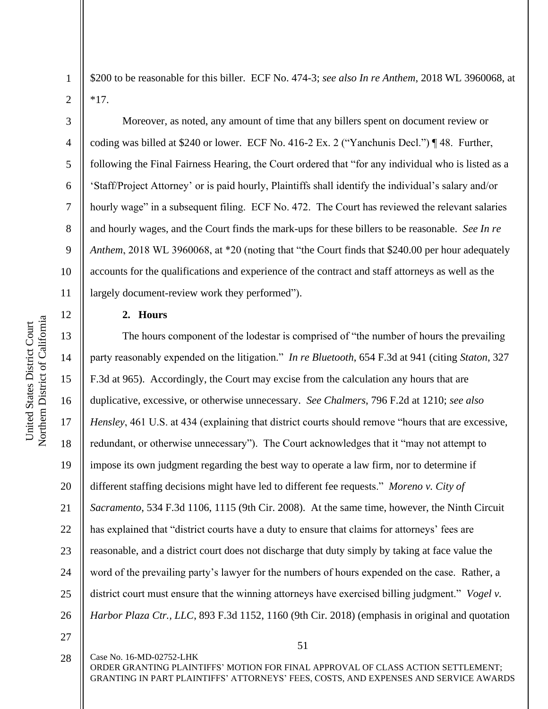2

3

4

5

6

7

8

9

10

11

12

13

14

15

16

17

18

19

20

21

22

23

24

25

26

\$200 to be reasonable for this biller. ECF No. 474-3; *see also In re Anthem*, 2018 WL 3960068, at \*17.

Moreover, as noted, any amount of time that any billers spent on document review or coding was billed at \$240 or lower. ECF No. 416-2 Ex. 2 ("Yanchunis Decl.") ¶ 48. Further, following the Final Fairness Hearing, the Court ordered that "for any individual who is listed as a 'Staff/Project Attorney' or is paid hourly, Plaintiffs shall identify the individual's salary and/or hourly wage" in a subsequent filing. ECF No. 472. The Court has reviewed the relevant salaries and hourly wages, and the Court finds the mark-ups for these billers to be reasonable. *See In re Anthem*, 2018 WL 3960068, at \*20 (noting that "the Court finds that \$240.00 per hour adequately accounts for the qualifications and experience of the contract and staff attorneys as well as the largely document-review work they performed").

### **2. Hours**

Case No. 16-MD-02752-LHK

The hours component of the lodestar is comprised of "the number of hours the prevailing party reasonably expended on the litigation." *In re Bluetooth*, 654 F.3d at 941 (citing *Staton*, 327 F.3d at 965). Accordingly, the Court may excise from the calculation any hours that are duplicative, excessive, or otherwise unnecessary. *See Chalmers*, 796 F.2d at 1210; *see also Hensley*, 461 U.S. at 434 (explaining that district courts should remove "hours that are excessive, redundant, or otherwise unnecessary"). The Court acknowledges that it "may not attempt to impose its own judgment regarding the best way to operate a law firm, nor to determine if different staffing decisions might have led to different fee requests." *Moreno v. City of Sacramento*, 534 F.3d 1106, 1115 (9th Cir. 2008). At the same time, however, the Ninth Circuit has explained that "district courts have a duty to ensure that claims for attorneys' fees are reasonable, and a district court does not discharge that duty simply by taking at face value the word of the prevailing party's lawyer for the numbers of hours expended on the case. Rather, a district court must ensure that the winning attorneys have exercised billing judgment." *Vogel v. Harbor Plaza Ctr., LLC*, 893 F.3d 1152, 1160 (9th Cir. 2018) (emphasis in original and quotation

27 28

51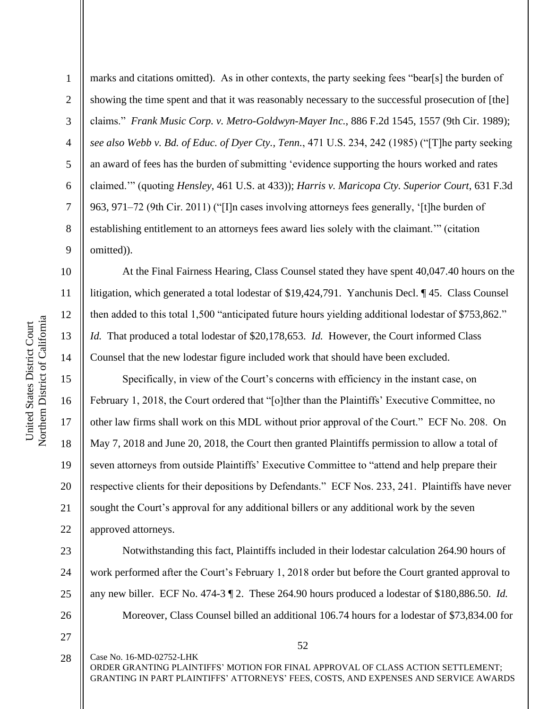11

12

13

14

15

16

17

18

19

20

21

22

23

24

25

26

1 2 3 4 5 6 7 8 9 marks and citations omitted). As in other contexts, the party seeking fees "bear[s] the burden of showing the time spent and that it was reasonably necessary to the successful prosecution of [the] claims." *Frank Music Corp. v. Metro-Goldwyn-Mayer Inc.*, 886 F.2d 1545, 1557 (9th Cir. 1989); *see also Webb v. Bd. of Educ. of Dyer Cty., Tenn.*, 471 U.S. 234, 242 (1985) ("[T]he party seeking an award of fees has the burden of submitting 'evidence supporting the hours worked and rates claimed.'" (quoting *Hensley*, 461 U.S. at 433)); *Harris v. Maricopa Cty. Superior Court*, 631 F.3d 963, 971–72 (9th Cir. 2011) ("[I]n cases involving attorneys fees generally, '[t]he burden of establishing entitlement to an attorneys fees award lies solely with the claimant.'" (citation omitted)).

At the Final Fairness Hearing, Class Counsel stated they have spent 40,047.40 hours on the litigation, which generated a total lodestar of \$19,424,791. Yanchunis Decl. ¶ 45. Class Counsel then added to this total 1,500 "anticipated future hours yielding additional lodestar of \$753,862." *Id.* That produced a total lodestar of \$20,178,653. *Id.* However, the Court informed Class Counsel that the new lodestar figure included work that should have been excluded.

Specifically, in view of the Court's concerns with efficiency in the instant case, on February 1, 2018, the Court ordered that "[o]ther than the Plaintiffs' Executive Committee, no other law firms shall work on this MDL without prior approval of the Court." ECF No. 208. On May 7, 2018 and June 20, 2018, the Court then granted Plaintiffs permission to allow a total of seven attorneys from outside Plaintiffs' Executive Committee to "attend and help prepare their respective clients for their depositions by Defendants." ECF Nos. 233, 241. Plaintiffs have never sought the Court's approval for any additional billers or any additional work by the seven approved attorneys.

Notwithstanding this fact, Plaintiffs included in their lodestar calculation 264.90 hours of work performed after the Court's February 1, 2018 order but before the Court granted approval to any new biller. ECF No. 474-3 ¶ 2. These 264.90 hours produced a lodestar of \$180,886.50. *Id.* Moreover, Class Counsel billed an additional 106.74 hours for a lodestar of \$73,834.00 for

27 28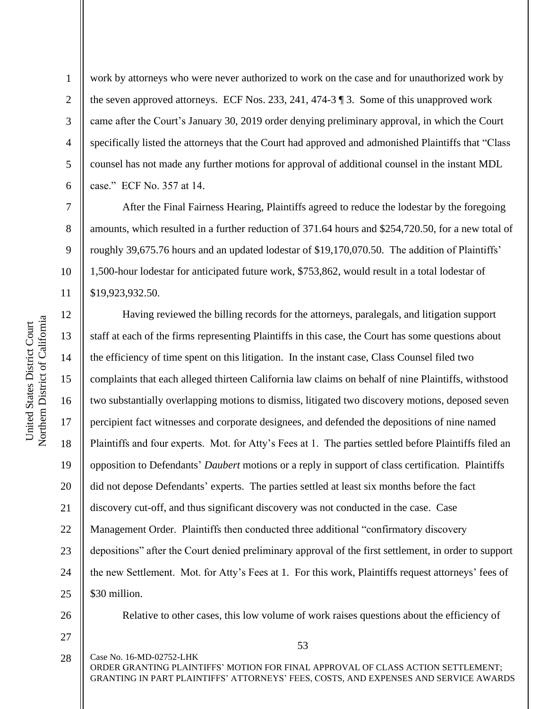2

3

4

5

6

7

8

9

10

11

work by attorneys who were never authorized to work on the case and for unauthorized work by the seven approved attorneys. ECF Nos. 233, 241, 474-3 ¶ 3. Some of this unapproved work came after the Court's January 30, 2019 order denying preliminary approval, in which the Court specifically listed the attorneys that the Court had approved and admonished Plaintiffs that "Class counsel has not made any further motions for approval of additional counsel in the instant MDL case." ECF No. 357 at 14.

After the Final Fairness Hearing, Plaintiffs agreed to reduce the lodestar by the foregoing amounts, which resulted in a further reduction of 371.64 hours and \$254,720.50, for a new total of roughly 39,675.76 hours and an updated lodestar of \$19,170,070.50. The addition of Plaintiffs' 1,500-hour lodestar for anticipated future work, \$753,862, would result in a total lodestar of \$19,923,932.50.

12 13 14 15 16 17 18 19 20 21 22 23 24 25 Having reviewed the billing records for the attorneys, paralegals, and litigation support staff at each of the firms representing Plaintiffs in this case, the Court has some questions about the efficiency of time spent on this litigation. In the instant case, Class Counsel filed two complaints that each alleged thirteen California law claims on behalf of nine Plaintiffs, withstood two substantially overlapping motions to dismiss, litigated two discovery motions, deposed seven percipient fact witnesses and corporate designees, and defended the depositions of nine named Plaintiffs and four experts. Mot. for Atty's Fees at 1. The parties settled before Plaintiffs filed an opposition to Defendants' *Daubert* motions or a reply in support of class certification. Plaintiffs did not depose Defendants' experts. The parties settled at least six months before the fact discovery cut-off, and thus significant discovery was not conducted in the case. Case Management Order. Plaintiffs then conducted three additional "confirmatory discovery depositions" after the Court denied preliminary approval of the first settlement, in order to support the new Settlement. Mot. for Atty's Fees at 1. For this work, Plaintiffs request attorneys' fees of \$30 million.

26

27

Relative to other cases, this low volume of work raises questions about the efficiency of

Case No. 16-MD-02752-LHK ORDER GRANTING PLAINTIFFS' MOTION FOR FINAL APPROVAL OF CLASS ACTION SETTLEMENT; GRANTING IN PART PLAINTIFFS' ATTORNEYS' FEES, COSTS, AND EXPENSES AND SERVICE AWARDS 28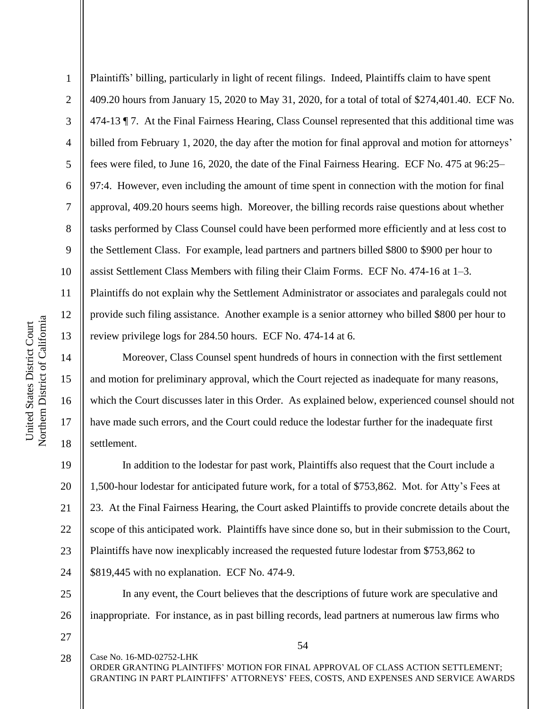2

3

4

5

7

8

9

14

15

16

17

18

6 10 Plaintiffs' billing, particularly in light of recent filings. Indeed, Plaintiffs claim to have spent 409.20 hours from January 15, 2020 to May 31, 2020, for a total of total of \$274,401.40. ECF No. 474-13 ¶ 7. At the Final Fairness Hearing, Class Counsel represented that this additional time was billed from February 1, 2020, the day after the motion for final approval and motion for attorneys' fees were filed, to June 16, 2020, the date of the Final Fairness Hearing. ECF No. 475 at 96:25– 97:4. However, even including the amount of time spent in connection with the motion for final approval, 409.20 hours seems high. Moreover, the billing records raise questions about whether tasks performed by Class Counsel could have been performed more efficiently and at less cost to the Settlement Class. For example, lead partners and partners billed \$800 to \$900 per hour to assist Settlement Class Members with filing their Claim Forms. ECF No. 474-16 at 1–3. Plaintiffs do not explain why the Settlement Administrator or associates and paralegals could not

11 12 13 provide such filing assistance. Another example is a senior attorney who billed \$800 per hour to review privilege logs for 284.50 hours. ECF No. 474-14 at 6.

Moreover, Class Counsel spent hundreds of hours in connection with the first settlement and motion for preliminary approval, which the Court rejected as inadequate for many reasons, which the Court discusses later in this Order. As explained below, experienced counsel should not have made such errors, and the Court could reduce the lodestar further for the inadequate first settlement.

19 20 21 22 23 24 In addition to the lodestar for past work, Plaintiffs also request that the Court include a 1,500-hour lodestar for anticipated future work, for a total of \$753,862. Mot. for Atty's Fees at 23. At the Final Fairness Hearing, the Court asked Plaintiffs to provide concrete details about the scope of this anticipated work. Plaintiffs have since done so, but in their submission to the Court, Plaintiffs have now inexplicably increased the requested future lodestar from \$753,862 to \$819,445 with no explanation. ECF No. 474-9.

25 26 In any event, the Court believes that the descriptions of future work are speculative and inappropriate. For instance, as in past billing records, lead partners at numerous law firms who

27

54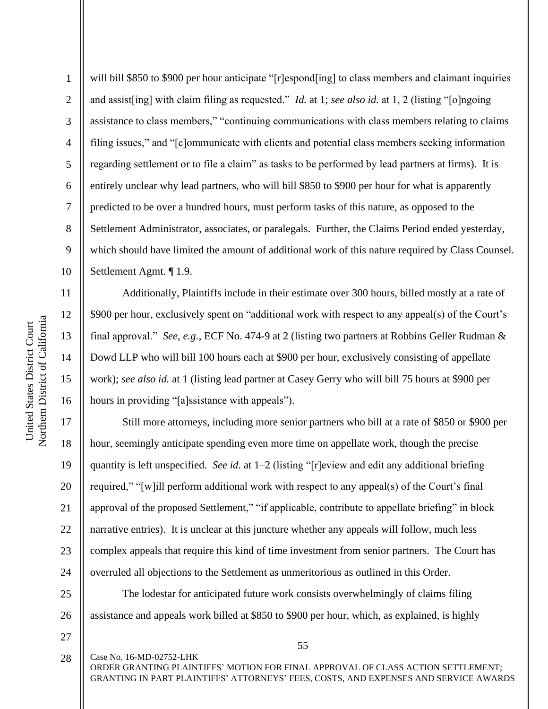2

3

4

5

6

7

8

9

10

11

12

13

14

15

16

17

18

19

21

will bill \$850 to \$900 per hour anticipate "[r]espond[ing] to class members and claimant inquiries and assist[ing] with claim filing as requested." *Id.* at 1; *see also id.* at 1, 2 (listing "[o]ngoing assistance to class members," "continuing communications with class members relating to claims filing issues," and "[c]ommunicate with clients and potential class members seeking information regarding settlement or to file a claim" as tasks to be performed by lead partners at firms). It is entirely unclear why lead partners, who will bill \$850 to \$900 per hour for what is apparently predicted to be over a hundred hours, must perform tasks of this nature, as opposed to the Settlement Administrator, associates, or paralegals. Further, the Claims Period ended yesterday, which should have limited the amount of additional work of this nature required by Class Counsel. Settlement Agmt. ¶ 1.9.

Additionally, Plaintiffs include in their estimate over 300 hours, billed mostly at a rate of \$900 per hour, exclusively spent on "additional work with respect to any appeal(s) of the Court's final approval." *See, e.g.*, ECF No. 474-9 at 2 (listing two partners at Robbins Geller Rudman & Dowd LLP who will bill 100 hours each at \$900 per hour, exclusively consisting of appellate work); *see also id.* at 1 (listing lead partner at Casey Gerry who will bill 75 hours at \$900 per hours in providing "[a]ssistance with appeals").

20 22 23 24 Still more attorneys, including more senior partners who bill at a rate of \$850 or \$900 per hour, seemingly anticipate spending even more time on appellate work, though the precise quantity is left unspecified. *See id.* at 1–2 (listing "[r]eview and edit any additional briefing required," "[w]ill perform additional work with respect to any appeal(s) of the Court's final approval of the proposed Settlement," "if applicable, contribute to appellate briefing" in block narrative entries). It is unclear at this juncture whether any appeals will follow, much less complex appeals that require this kind of time investment from senior partners. The Court has overruled all objections to the Settlement as unmeritorious as outlined in this Order.

The lodestar for anticipated future work consists overwhelmingly of claims filing assistance and appeals work billed at \$850 to \$900 per hour, which, as explained, is highly

27 28

25

26

Case No. 16-MD-02752-LHK

55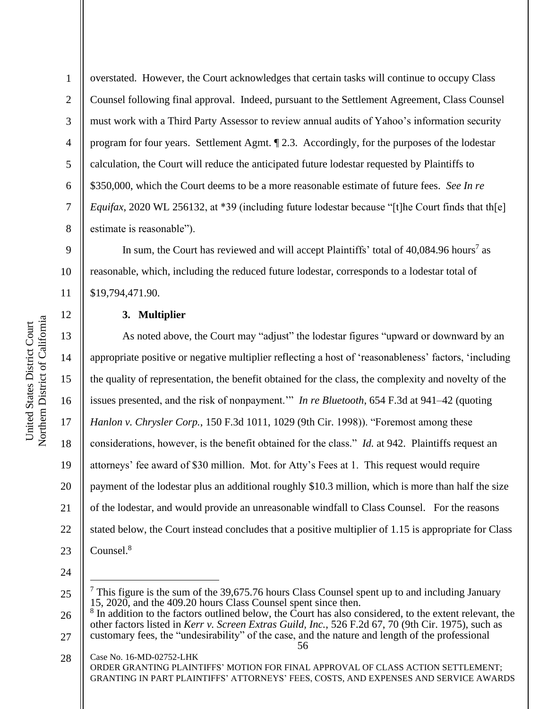2

3

4

5

6

7

8

12

13

14

15

16

17

18

19

20

21

22

overstated. However, the Court acknowledges that certain tasks will continue to occupy Class Counsel following final approval. Indeed, pursuant to the Settlement Agreement, Class Counsel must work with a Third Party Assessor to review annual audits of Yahoo's information security program for four years. Settlement Agmt. ¶ 2.3. Accordingly, for the purposes of the lodestar calculation, the Court will reduce the anticipated future lodestar requested by Plaintiffs to \$350,000, which the Court deems to be a more reasonable estimate of future fees. *See In re Equifax*, 2020 WL 256132, at \*39 (including future lodestar because "[t]he Court finds that th[e] estimate is reasonable").

9 10 11 In sum, the Court has reviewed and will accept Plaintiffs' total of 40,084.96 hours<sup>7</sup> as reasonable, which, including the reduced future lodestar, corresponds to a lodestar total of \$19,794,471.90.

#### **3. Multiplier**

As noted above, the Court may "adjust" the lodestar figures "upward or downward by an appropriate positive or negative multiplier reflecting a host of 'reasonableness' factors, 'including the quality of representation, the benefit obtained for the class, the complexity and novelty of the issues presented, and the risk of nonpayment.'" *In re Bluetooth*, 654 F.3d at 941–42 (quoting *Hanlon v. Chrysler Corp.*, 150 F.3d 1011, 1029 (9th Cir. 1998)). "Foremost among these considerations, however, is the benefit obtained for the class." *Id.* at 942. Plaintiffs request an attorneys' fee award of \$30 million. Mot. for Atty's Fees at 1. This request would require payment of the lodestar plus an additional roughly \$10.3 million, which is more than half the size of the lodestar, and would provide an unreasonable windfall to Class Counsel. For the reasons stated below, the Court instead concludes that a positive multiplier of 1.15 is appropriate for Class Counsel.<sup>8</sup>

24

<sup>25</sup>  $<sup>7</sup>$  This figure is the sum of the 39,675.76 hours Class Counsel spent up to and including January</sup> 15, 2020, and the 409.20 hours Class Counsel spent since then.

<sup>26</sup> 8 In addition to the factors outlined below, the Court has also considered, to the extent relevant, the other factors listed in *Kerr v. Screen Extras Guild, Inc.*, 526 F.2d 67, 70 (9th Cir. 1975), such as

<sup>56</sup> 27 customary fees, the "undesirability" of the case, and the nature and length of the professional

Case No. 16-MD-02752-LHK ORDER GRANTING PLAINTIFFS' MOTION FOR FINAL APPROVAL OF CLASS ACTION SETTLEMENT; GRANTING IN PART PLAINTIFFS' ATTORNEYS' FEES, COSTS, AND EXPENSES AND SERVICE AWARDS 28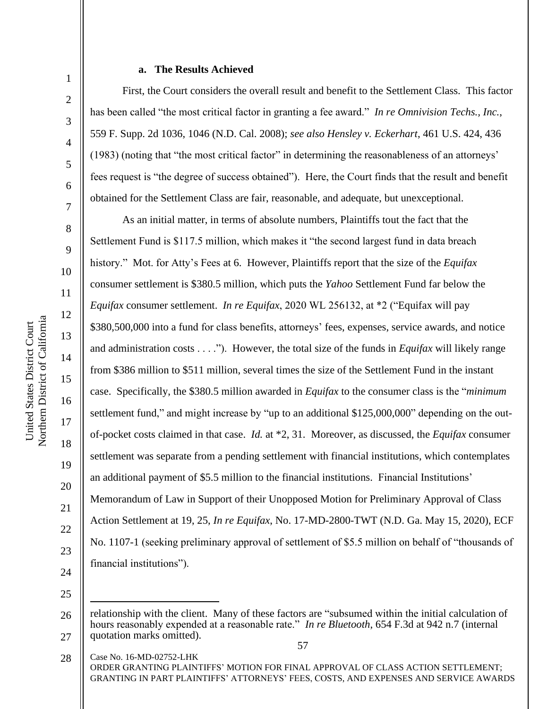2

3

4

5

6

7

8

9

10

11

12

13

14

15

16

17

18

19

20

21

22

23

#### **a. The Results Achieved**

First, the Court considers the overall result and benefit to the Settlement Class. This factor has been called "the most critical factor in granting a fee award." *In re Omnivision Techs., Inc.*, 559 F. Supp. 2d 1036, 1046 (N.D. Cal. 2008); *see also Hensley v. Eckerhart*, 461 U.S. 424, 436 (1983) (noting that "the most critical factor" in determining the reasonableness of an attorneys' fees request is "the degree of success obtained"). Here, the Court finds that the result and benefit obtained for the Settlement Class are fair, reasonable, and adequate, but unexceptional.

As an initial matter, in terms of absolute numbers, Plaintiffs tout the fact that the Settlement Fund is \$117.5 million, which makes it "the second largest fund in data breach history." Mot. for Atty's Fees at 6. However, Plaintiffs report that the size of the *Equifax*  consumer settlement is \$380.5 million, which puts the *Yahoo* Settlement Fund far below the *Equifax* consumer settlement. *In re Equifax*, 2020 WL 256132, at \*2 ("Equifax will pay \$380,500,000 into a fund for class benefits, attorneys' fees, expenses, service awards, and notice and administration costs . . . ."). However, the total size of the funds in *Equifax* will likely range from \$386 million to \$511 million, several times the size of the Settlement Fund in the instant case. Specifically, the \$380.5 million awarded in *Equifax* to the consumer class is the "*minimum* settlement fund," and might increase by "up to an additional \$125,000,000" depending on the outof-pocket costs claimed in that case. *Id.* at \*2, 31. Moreover, as discussed, the *Equifax* consumer settlement was separate from a pending settlement with financial institutions, which contemplates an additional payment of \$5.5 million to the financial institutions. Financial Institutions' Memorandum of Law in Support of their Unopposed Motion for Preliminary Approval of Class Action Settlement at 19, 25, *In re Equifax*, No. 17-MD-2800-TWT (N.D. Ga. May 15, 2020), ECF No. 1107-1 (seeking preliminary approval of settlement of \$5.5 million on behalf of "thousands of financial institutions").

24 25

<sup>57</sup> 26 27 relationship with the client. Many of these factors are "subsumed within the initial calculation of hours reasonably expended at a reasonable rate." *In re Bluetooth*, 654 F.3d at 942 n.7 (internal quotation marks omitted).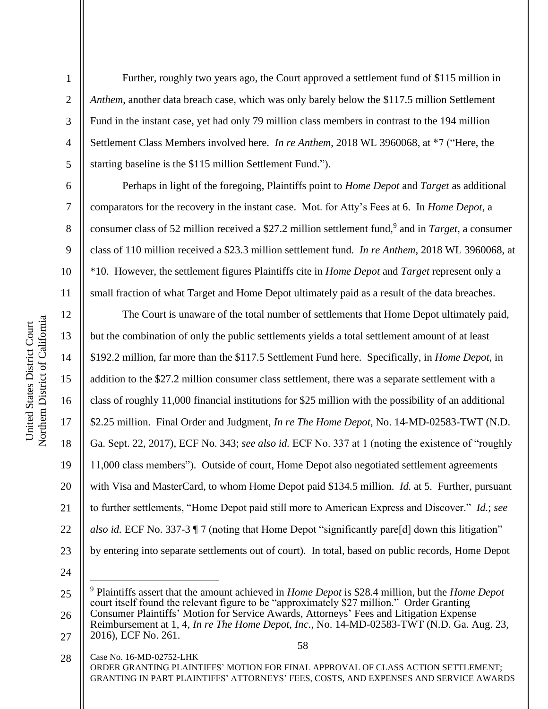2

3

4

5

6

7

8

9

10

11

Further, roughly two years ago, the Court approved a settlement fund of \$115 million in *Anthem*, another data breach case, which was only barely below the \$117.5 million Settlement Fund in the instant case, yet had only 79 million class members in contrast to the 194 million Settlement Class Members involved here. *In re Anthem*, 2018 WL 3960068, at \*7 ("Here, the starting baseline is the \$115 million Settlement Fund.").

Perhaps in light of the foregoing, Plaintiffs point to *Home Depot* and *Target* as additional comparators for the recovery in the instant case. Mot. for Atty's Fees at 6. In *Home Depot*, a consumer class of 52 million received a \$27.2 million settlement fund,<sup>9</sup> and in *Target*, a consumer class of 110 million received a \$23.3 million settlement fund. *In re Anthem*, 2018 WL 3960068, at \*10. However, the settlement figures Plaintiffs cite in *Home Depot* and *Target* represent only a small fraction of what Target and Home Depot ultimately paid as a result of the data breaches.

12 13 14 15 16 17 18 19 20 21 22 23 The Court is unaware of the total number of settlements that Home Depot ultimately paid, but the combination of only the public settlements yields a total settlement amount of at least \$192.2 million, far more than the \$117.5 Settlement Fund here. Specifically, in *Home Depot*, in addition to the \$27.2 million consumer class settlement, there was a separate settlement with a class of roughly 11,000 financial institutions for \$25 million with the possibility of an additional \$2.25 million. Final Order and Judgment, *In re The Home Depot*, No. 14-MD-02583-TWT (N.D. Ga. Sept. 22, 2017), ECF No. 343; *see also id.* ECF No. 337 at 1 (noting the existence of "roughly 11,000 class members"). Outside of court, Home Depot also negotiated settlement agreements with Visa and MasterCard, to whom Home Depot paid \$134.5 million. *Id.* at 5. Further, pursuant to further settlements, "Home Depot paid still more to American Express and Discover." *Id.*; *see also id.* ECF No. 337-3 ¶ 7 (noting that Home Depot "significantly pare[d] down this litigation" by entering into separate settlements out of court).In total, based on public records, Home Depot

24

<sup>25</sup> 26 <sup>9</sup> Plaintiffs assert that the amount achieved in *Home Depot* is \$28.4 million, but the *Home Depot*  court itself found the relevant figure to be "approximately \$27 million." Order Granting Consumer Plaintiffs' Motion for Service Awards, Attorneys' Fees and Litigation Expense Reimbursement at 1, 4, *In re The Home Depot, Inc.*, No. 14-MD-02583-TWT (N.D. Ga. Aug. 23,

<sup>27</sup> 2016), ECF No. 261.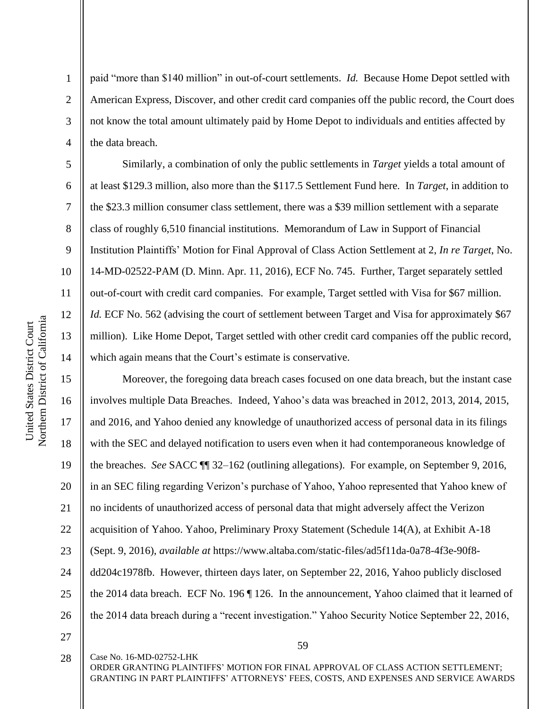2

3

4

5

6

7

8

9

10

11

12

13

14

paid "more than \$140 million" in out-of-court settlements. *Id.* Because Home Depot settled with American Express, Discover, and other credit card companies off the public record, the Court does not know the total amount ultimately paid by Home Depot to individuals and entities affected by the data breach.

Similarly, a combination of only the public settlements in *Target* yields a total amount of at least \$129.3 million, also more than the \$117.5 Settlement Fund here. In *Target*, in addition to the \$23.3 million consumer class settlement, there was a \$39 million settlement with a separate class of roughly 6,510 financial institutions. Memorandum of Law in Support of Financial Institution Plaintiffs' Motion for Final Approval of Class Action Settlement at 2, *In re Target*, No. 14-MD-02522-PAM (D. Minn. Apr. 11, 2016), ECF No. 745. Further, Target separately settled out-of-court with credit card companies. For example, Target settled with Visa for \$67 million. *Id.* ECF No. 562 (advising the court of settlement between Target and Visa for approximately \$67 million). Like Home Depot, Target settled with other credit card companies off the public record, which again means that the Court's estimate is conservative.

15 16 17 18 19 20 21 22 23 24 25 26 Moreover, the foregoing data breach cases focused on one data breach, but the instant case involves multiple Data Breaches. Indeed, Yahoo's data was breached in 2012, 2013, 2014, 2015, and 2016, and Yahoo denied any knowledge of unauthorized access of personal data in its filings with the SEC and delayed notification to users even when it had contemporaneous knowledge of the breaches. *See* SACC ¶¶ 32–162 (outlining allegations). For example, on September 9, 2016, in an SEC filing regarding Verizon's purchase of Yahoo, Yahoo represented that Yahoo knew of no incidents of unauthorized access of personal data that might adversely affect the Verizon acquisition of Yahoo. Yahoo, Preliminary Proxy Statement (Schedule 14(A), at Exhibit A-18 (Sept. 9, 2016), *available at* https://www.altaba.com/static-files/ad5f11da-0a78-4f3e-90f8 dd204c1978fb. However, thirteen days later, on September 22, 2016, Yahoo publicly disclosed the 2014 data breach. ECF No. 196 ¶ 126. In the announcement, Yahoo claimed that it learned of the 2014 data breach during a "recent investigation." Yahoo Security Notice September 22, 2016,

27

28

Case No. 16-MD-02752-LHK

59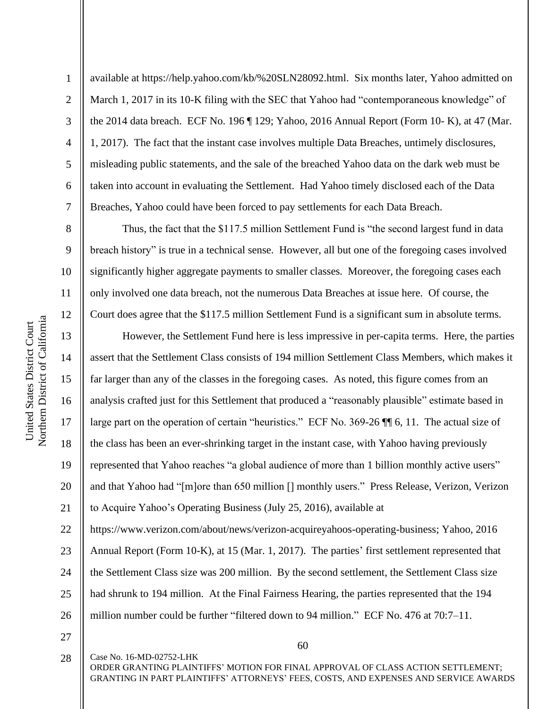2

3

4

5

6

7

8

9

10

11

12

available at https://help.yahoo.com/kb/%20SLN28092.html. Six months later, Yahoo admitted on March 1, 2017 in its 10-K filing with the SEC that Yahoo had "contemporaneous knowledge" of the 2014 data breach. ECF No. 196 ¶ 129; Yahoo, 2016 Annual Report (Form 10- K), at 47 (Mar. 1, 2017). The fact that the instant case involves multiple Data Breaches, untimely disclosures, misleading public statements, and the sale of the breached Yahoo data on the dark web must be taken into account in evaluating the Settlement. Had Yahoo timely disclosed each of the Data Breaches, Yahoo could have been forced to pay settlements for each Data Breach.

Thus, the fact that the \$117.5 million Settlement Fund is "the second largest fund in data breach history" is true in a technical sense. However, all but one of the foregoing cases involved significantly higher aggregate payments to smaller classes. Moreover, the foregoing cases each only involved one data breach, not the numerous Data Breaches at issue here. Of course, the Court does agree that the \$117.5 million Settlement Fund is a significant sum in absolute terms.

13 14 15 16 17 18 19 20 21 22 23 However, the Settlement Fund here is less impressive in per-capita terms. Here, the parties assert that the Settlement Class consists of 194 million Settlement Class Members, which makes it far larger than any of the classes in the foregoing cases. As noted, this figure comes from an analysis crafted just for this Settlement that produced a "reasonably plausible" estimate based in large part on the operation of certain "heuristics." ECF No. 369-26 ¶¶ 6, 11. The actual size of the class has been an ever-shrinking target in the instant case, with Yahoo having previously represented that Yahoo reaches "a global audience of more than 1 billion monthly active users" and that Yahoo had "[m]ore than 650 million [] monthly users." Press Release, Verizon, Verizon to Acquire Yahoo's Operating Business (July 25, 2016), available at https://www.verizon.com/about/news/verizon-acquireyahoos-operating-business; Yahoo, 2016 Annual Report (Form 10-K), at 15 (Mar. 1, 2017). The parties' first settlement represented that

24 25 the Settlement Class size was 200 million. By the second settlement, the Settlement Class size had shrunk to 194 million. At the Final Fairness Hearing, the parties represented that the 194

- million number could be further "filtered down to 94 million." ECF No. 476 at 70:7–11.
- 27

28

26

Case No. 16-MD-02752-LHK

60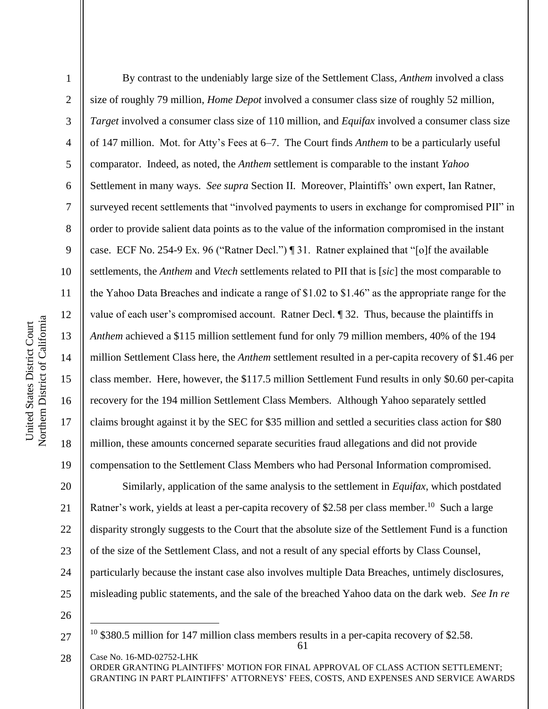Northern District of California Northern District of California United States District Court United States District Court

1

2

3

4

5

6

7

8

9

10

11

12

13

14

15

16

17

18

19

By contrast to the undeniably large size of the Settlement Class, *Anthem* involved a class size of roughly 79 million, *Home Depot* involved a consumer class size of roughly 52 million, *Target* involved a consumer class size of 110 million, and *Equifax* involved a consumer class size of 147 million. Mot. for Atty's Fees at 6–7. The Court finds *Anthem* to be a particularly useful comparator. Indeed, as noted, the *Anthem* settlement is comparable to the instant *Yahoo*  Settlement in many ways. *See supra* Section II. Moreover, Plaintiffs' own expert, Ian Ratner, surveyed recent settlements that "involved payments to users in exchange for compromised PII" in order to provide salient data points as to the value of the information compromised in the instant case. ECF No. 254-9 Ex. 96 ("Ratner Decl.") ¶ 31. Ratner explained that "[o]f the available settlements, the *Anthem* and *Vtech* settlements related to PII that is [*sic*] the most comparable to the Yahoo Data Breaches and indicate a range of \$1.02 to \$1.46" as the appropriate range for the value of each user's compromised account. Ratner Decl. ¶ 32. Thus, because the plaintiffs in *Anthem* achieved a \$115 million settlement fund for only 79 million members, 40% of the 194 million Settlement Class here, the *Anthem* settlement resulted in a per-capita recovery of \$1.46 per class member. Here, however, the \$117.5 million Settlement Fund results in only \$0.60 per-capita recovery for the 194 million Settlement Class Members. Although Yahoo separately settled claims brought against it by the SEC for \$35 million and settled a securities class action for \$80 million, these amounts concerned separate securities fraud allegations and did not provide compensation to the Settlement Class Members who had Personal Information compromised.

20 21 22 23 24 25 Similarly, application of the same analysis to the settlement in *Equifax*, which postdated Ratner's work, yields at least a per-capita recovery of \$2.58 per class member.<sup>10</sup> Such a large disparity strongly suggests to the Court that the absolute size of the Settlement Fund is a function of the size of the Settlement Class, and not a result of any special efforts by Class Counsel, particularly because the instant case also involves multiple Data Breaches, untimely disclosures, misleading public statements, and the sale of the breached Yahoo data on the dark web. *See In re* 

26

<sup>61</sup>  $10\,$  \$380.5 million for 147 million class members results in a per-capita recovery of \$2.58.

Case No. 16-MD-02752-LHK ORDER GRANTING PLAINTIFFS' MOTION FOR FINAL APPROVAL OF CLASS ACTION SETTLEMENT; GRANTING IN PART PLAINTIFFS' ATTORNEYS' FEES, COSTS, AND EXPENSES AND SERVICE AWARDS 28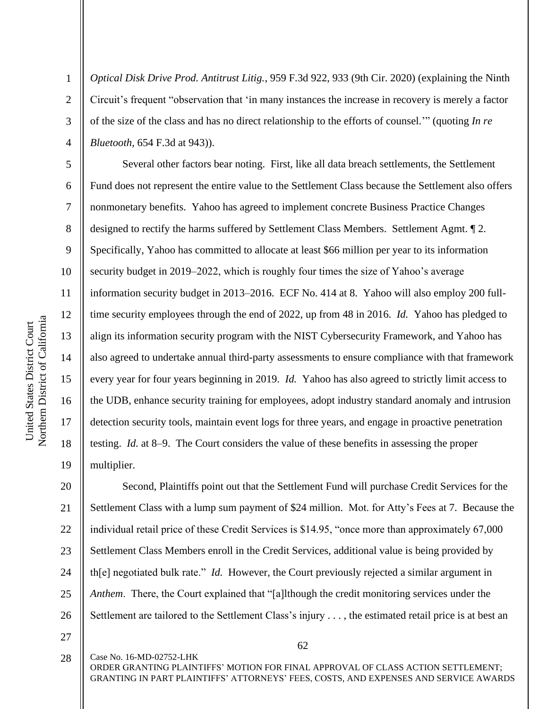2

3

4

5

6

7

8

9

10

11

12

13

14

15

16

17

18

19

*Optical Disk Drive Prod. Antitrust Litig.*, 959 F.3d 922, 933 (9th Cir. 2020) (explaining the Ninth Circuit's frequent "observation that 'in many instances the increase in recovery is merely a factor of the size of the class and has no direct relationship to the efforts of counsel.'" (quoting *In re Bluetooth*, 654 F.3d at 943)).

Several other factors bear noting. First, like all data breach settlements, the Settlement Fund does not represent the entire value to the Settlement Class because the Settlement also offers nonmonetary benefits. Yahoo has agreed to implement concrete Business Practice Changes designed to rectify the harms suffered by Settlement Class Members. Settlement Agmt. ¶ 2. Specifically, Yahoo has committed to allocate at least \$66 million per year to its information security budget in 2019–2022, which is roughly four times the size of Yahoo's average information security budget in 2013–2016. ECF No. 414 at 8. Yahoo will also employ 200 fulltime security employees through the end of 2022, up from 48 in 2016. *Id.* Yahoo has pledged to align its information security program with the NIST Cybersecurity Framework, and Yahoo has also agreed to undertake annual third-party assessments to ensure compliance with that framework every year for four years beginning in 2019. *Id.* Yahoo has also agreed to strictly limit access to the UDB, enhance security training for employees, adopt industry standard anomaly and intrusion detection security tools, maintain event logs for three years, and engage in proactive penetration testing. *Id.* at 8–9. The Court considers the value of these benefits in assessing the proper multiplier.

20 21 22 23 24 25 26 Second, Plaintiffs point out that the Settlement Fund will purchase Credit Services for the Settlement Class with a lump sum payment of \$24 million. Mot. for Atty's Fees at 7. Because the individual retail price of these Credit Services is \$14.95, "once more than approximately 67,000 Settlement Class Members enroll in the Credit Services, additional value is being provided by th[e] negotiated bulk rate." *Id.* However, the Court previously rejected a similar argument in *Anthem*. There, the Court explained that "[a]lthough the credit monitoring services under the Settlement are tailored to the Settlement Class's injury . . . , the estimated retail price is at best an

27

Case No. 16-MD-02752-LHK 28

62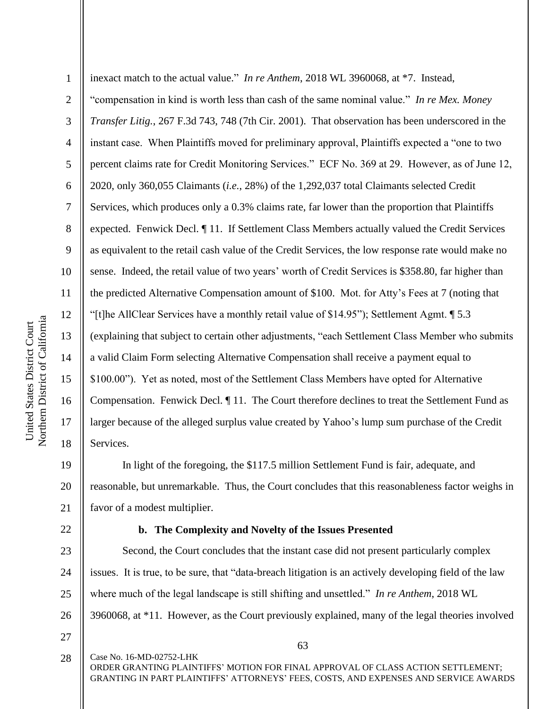1 2 3 4 5 6 7 8 9 10 11 12 13 14 15 16 17 18 inexact match to the actual value." *In re Anthem*, 2018 WL 3960068, at \*7. Instead, "compensation in kind is worth less than cash of the same nominal value." *In re Mex. Money Transfer Litig.*, 267 F.3d 743, 748 (7th Cir. 2001). That observation has been underscored in the instant case. When Plaintiffs moved for preliminary approval, Plaintiffs expected a "one to two percent claims rate for Credit Monitoring Services." ECF No. 369 at 29. However, as of June 12, 2020, only 360,055 Claimants (*i.e.*, 28%) of the 1,292,037 total Claimants selected Credit Services, which produces only a 0.3% claims rate, far lower than the proportion that Plaintiffs expected. Fenwick Decl. ¶ 11. If Settlement Class Members actually valued the Credit Services as equivalent to the retail cash value of the Credit Services, the low response rate would make no sense. Indeed, the retail value of two years' worth of Credit Services is \$358.80, far higher than the predicted Alternative Compensation amount of \$100. Mot. for Atty's Fees at 7 (noting that "[t]he AllClear Services have a monthly retail value of \$14.95"); Settlement Agmt. ¶ 5.3 (explaining that subject to certain other adjustments, "each Settlement Class Member who submits a valid Claim Form selecting Alternative Compensation shall receive a payment equal to \$100.00"). Yet as noted, most of the Settlement Class Members have opted for Alternative Compensation. Fenwick Decl. ¶ 11. The Court therefore declines to treat the Settlement Fund as larger because of the alleged surplus value created by Yahoo's lump sum purchase of the Credit Services.

19 20 21 In light of the foregoing, the \$117.5 million Settlement Fund is fair, adequate, and reasonable, but unremarkable. Thus, the Court concludes that this reasonableness factor weighs in favor of a modest multiplier.

### 22

### **b. The Complexity and Novelty of the Issues Presented**

23 24 25 26 Second, the Court concludes that the instant case did not present particularly complex issues. It is true, to be sure, that "data-breach litigation is an actively developing field of the law where much of the legal landscape is still shifting and unsettled." *In re Anthem*, 2018 WL 3960068, at \*11. However, as the Court previously explained, many of the legal theories involved

27

Case No. 16-MD-02752-LHK ORDER GRANTING PLAINTIFFS' MOTION FOR FINAL APPROVAL OF CLASS ACTION SETTLEMENT; GRANTING IN PART PLAINTIFFS' ATTORNEYS' FEES, COSTS, AND EXPENSES AND SERVICE AWARDS 28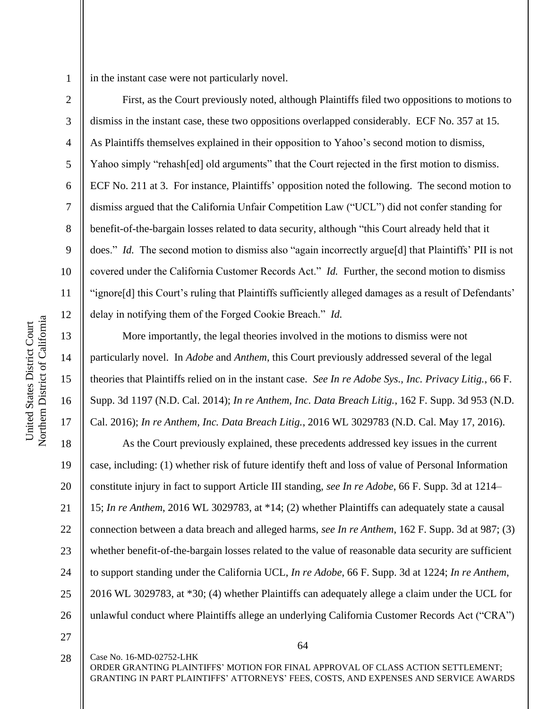3

4

5

6

7

8

9

10

11

12

13

14

15

16

17

in the instant case were not particularly novel.

First, as the Court previously noted, although Plaintiffs filed two oppositions to motions to dismiss in the instant case, these two oppositions overlapped considerably. ECF No. 357 at 15. As Plaintiffs themselves explained in their opposition to Yahoo's second motion to dismiss, Yahoo simply "rehash[ed] old arguments" that the Court rejected in the first motion to dismiss. ECF No. 211 at 3. For instance, Plaintiffs' opposition noted the following. The second motion to dismiss argued that the California Unfair Competition Law ("UCL") did not confer standing for benefit-of-the-bargain losses related to data security, although "this Court already held that it does." *Id.* The second motion to dismiss also "again incorrectly argue<sup>[d]</sup> that Plaintiffs' PII is not covered under the California Customer Records Act." *Id.* Further, the second motion to dismiss "ignore[d] this Court's ruling that Plaintiffs sufficiently alleged damages as a result of Defendants' delay in notifying them of the Forged Cookie Breach." *Id.*

More importantly, the legal theories involved in the motions to dismiss were not particularly novel. In *Adobe* and *Anthem*, this Court previously addressed several of the legal theories that Plaintiffs relied on in the instant case. *See In re Adobe Sys., Inc. Privacy Litig.*, 66 F. Supp. 3d 1197 (N.D. Cal. 2014); *In re Anthem, Inc. Data Breach Litig.*, 162 F. Supp. 3d 953 (N.D. Cal. 2016); *In re Anthem, Inc. Data Breach Litig.*, 2016 WL 3029783 (N.D. Cal. May 17, 2016).

18 19 20 21 22 23 24 25 26 As the Court previously explained, these precedents addressed key issues in the current case, including: (1) whether risk of future identify theft and loss of value of Personal Information constitute injury in fact to support Article III standing, *see In re Adobe*, 66 F. Supp. 3d at 1214– 15; *In re Anthem*, 2016 WL 3029783, at \*14; (2) whether Plaintiffs can adequately state a causal connection between a data breach and alleged harms, *see In re Anthem*, 162 F. Supp. 3d at 987; (3) whether benefit-of-the-bargain losses related to the value of reasonable data security are sufficient to support standing under the California UCL, *In re Adobe*, 66 F. Supp. 3d at 1224; *In re Anthem*, 2016 WL 3029783, at \*30; (4) whether Plaintiffs can adequately allege a claim under the UCL for unlawful conduct where Plaintiffs allege an underlying California Customer Records Act ("CRA")

27

28

Case No. 16-MD-02752-LHK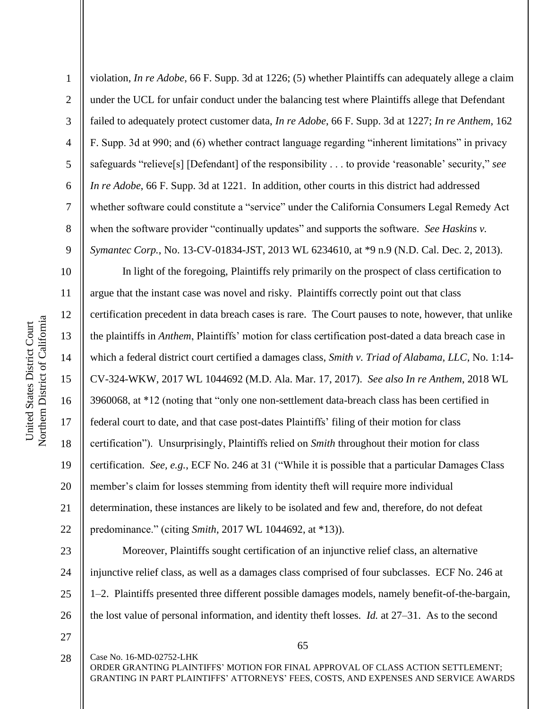1 2 3 4 5 6 7 8 9 violation, *In re Adobe*, 66 F. Supp. 3d at 1226; (5) whether Plaintiffs can adequately allege a claim under the UCL for unfair conduct under the balancing test where Plaintiffs allege that Defendant failed to adequately protect customer data, *In re Adobe*, 66 F. Supp. 3d at 1227; *In re Anthem*, 162 F. Supp. 3d at 990; and (6) whether contract language regarding "inherent limitations" in privacy safeguards "relieve[s] [Defendant] of the responsibility . . . to provide 'reasonable' security," *see In re Adobe*, 66 F. Supp. 3d at 1221. In addition, other courts in this district had addressed whether software could constitute a "service" under the California Consumers Legal Remedy Act when the software provider "continually updates" and supports the software. *See Haskins v. Symantec Corp.*, No. 13-CV-01834-JST, 2013 WL 6234610, at \*9 n.9 (N.D. Cal. Dec. 2, 2013).

10 11 12 13 14 15 16 17 18 19 20 21 22 In light of the foregoing, Plaintiffs rely primarily on the prospect of class certification to argue that the instant case was novel and risky. Plaintiffs correctly point out that class certification precedent in data breach cases is rare. The Court pauses to note, however, that unlike the plaintiffs in *Anthem*, Plaintiffs' motion for class certification post-dated a data breach case in which a federal district court certified a damages class, *Smith v. Triad of Alabama, LLC*, No. 1:14- CV-324-WKW, 2017 WL 1044692 (M.D. Ala. Mar. 17, 2017). *See also In re Anthem*, 2018 WL 3960068, at \*12 (noting that "only one non-settlement data-breach class has been certified in federal court to date, and that case post-dates Plaintiffs' filing of their motion for class certification"). Unsurprisingly, Plaintiffs relied on *Smith* throughout their motion for class certification. *See, e.g.*, ECF No. 246 at 31 ("While it is possible that a particular Damages Class member's claim for losses stemming from identity theft will require more individual determination, these instances are likely to be isolated and few and, therefore, do not defeat predominance." (citing *Smith*, 2017 WL 1044692, at \*13)).

23 24 25 26 Moreover, Plaintiffs sought certification of an injunctive relief class, an alternative injunctive relief class, as well as a damages class comprised of four subclasses. ECF No. 246 at 1–2. Plaintiffs presented three different possible damages models, namely benefit-of-the-bargain, the lost value of personal information, and identity theft losses. *Id.* at 27–31. As to the second

27

28

Case No. 16-MD-02752-LHK

65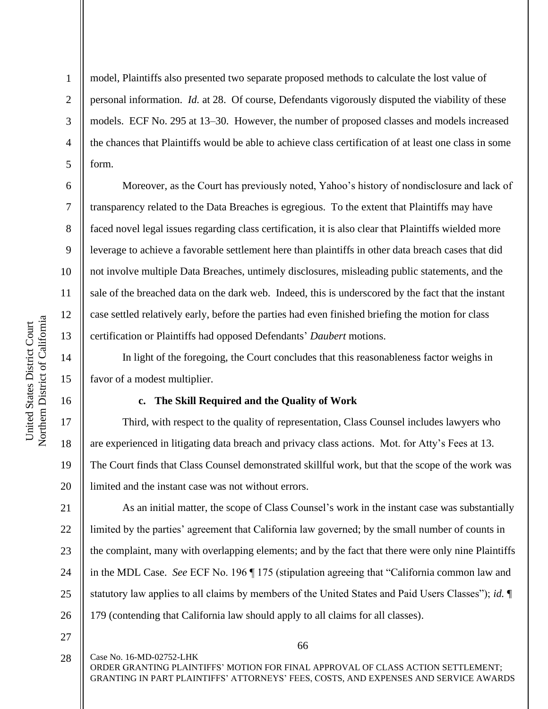2

3

4

5

6

7

8

9

10

11

12

13

14

15

16

17

18

19

20

model, Plaintiffs also presented two separate proposed methods to calculate the lost value of personal information. *Id.* at 28. Of course, Defendants vigorously disputed the viability of these models. ECF No. 295 at 13–30. However, the number of proposed classes and models increased the chances that Plaintiffs would be able to achieve class certification of at least one class in some form.

Moreover, as the Court has previously noted, Yahoo's history of nondisclosure and lack of transparency related to the Data Breaches is egregious. To the extent that Plaintiffs may have faced novel legal issues regarding class certification, it is also clear that Plaintiffs wielded more leverage to achieve a favorable settlement here than plaintiffs in other data breach cases that did not involve multiple Data Breaches, untimely disclosures, misleading public statements, and the sale of the breached data on the dark web. Indeed, this is underscored by the fact that the instant case settled relatively early, before the parties had even finished briefing the motion for class certification or Plaintiffs had opposed Defendants' *Daubert* motions.

In light of the foregoing, the Court concludes that this reasonableness factor weighs in favor of a modest multiplier.

#### **c. The Skill Required and the Quality of Work**

Third, with respect to the quality of representation, Class Counsel includes lawyers who are experienced in litigating data breach and privacy class actions. Mot. for Atty's Fees at 13. The Court finds that Class Counsel demonstrated skillful work, but that the scope of the work was limited and the instant case was not without errors.

21 22 23 24 25 26 As an initial matter, the scope of Class Counsel's work in the instant case was substantially limited by the parties' agreement that California law governed; by the small number of counts in the complaint, many with overlapping elements; and by the fact that there were only nine Plaintiffs in the MDL Case. *See* ECF No. 196 ¶ 175 (stipulation agreeing that "California common law and statutory law applies to all claims by members of the United States and Paid Users Classes"); *id.* ¶ 179 (contending that California law should apply to all claims for all classes).

27

66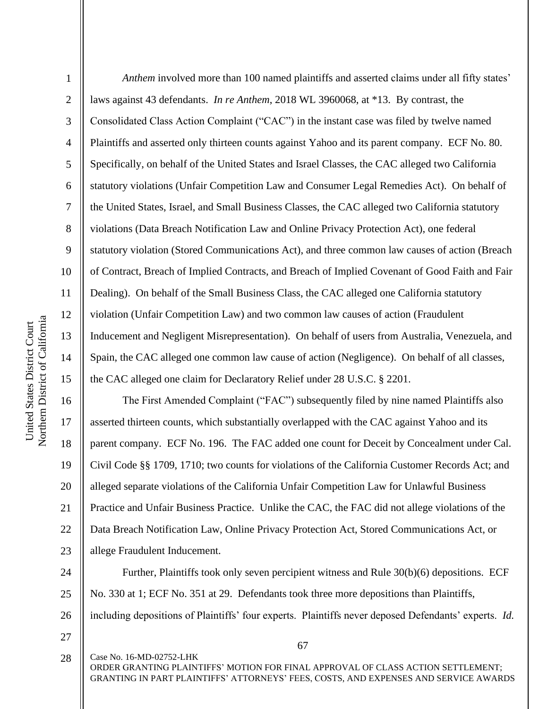2

3

4

5

6

7

8

9

10

11

12

13

14

15

17

18

19

21

*Anthem* involved more than 100 named plaintiffs and asserted claims under all fifty states' laws against 43 defendants. *In re Anthem*, 2018 WL 3960068, at \*13. By contrast, the Consolidated Class Action Complaint ("CAC") in the instant case was filed by twelve named Plaintiffs and asserted only thirteen counts against Yahoo and its parent company. ECF No. 80. Specifically, on behalf of the United States and Israel Classes, the CAC alleged two California statutory violations (Unfair Competition Law and Consumer Legal Remedies Act). On behalf of the United States, Israel, and Small Business Classes, the CAC alleged two California statutory violations (Data Breach Notification Law and Online Privacy Protection Act), one federal statutory violation (Stored Communications Act), and three common law causes of action (Breach of Contract, Breach of Implied Contracts, and Breach of Implied Covenant of Good Faith and Fair Dealing). On behalf of the Small Business Class, the CAC alleged one California statutory violation (Unfair Competition Law) and two common law causes of action (Fraudulent Inducement and Negligent Misrepresentation). On behalf of users from Australia, Venezuela, and Spain, the CAC alleged one common law cause of action (Negligence). On behalf of all classes, the CAC alleged one claim for Declaratory Relief under 28 U.S.C. § 2201.

16 20 22 23 The First Amended Complaint ("FAC") subsequently filed by nine named Plaintiffs also asserted thirteen counts, which substantially overlapped with the CAC against Yahoo and its parent company. ECF No. 196. The FAC added one count for Deceit by Concealment under Cal. Civil Code §§ 1709, 1710; two counts for violations of the California Customer Records Act; and alleged separate violations of the California Unfair Competition Law for Unlawful Business Practice and Unfair Business Practice. Unlike the CAC, the FAC did not allege violations of the Data Breach Notification Law, Online Privacy Protection Act, Stored Communications Act, or allege Fraudulent Inducement.

24 25 26 Further, Plaintiffs took only seven percipient witness and Rule 30(b)(6) depositions. ECF No. 330 at 1; ECF No. 351 at 29. Defendants took three more depositions than Plaintiffs, including depositions of Plaintiffs' four experts. Plaintiffs never deposed Defendants' experts. *Id.*

27

Case No. 16-MD-02752-LHK ORDER GRANTING PLAINTIFFS' MOTION FOR FINAL APPROVAL OF CLASS ACTION SETTLEMENT; GRANTING IN PART PLAINTIFFS' ATTORNEYS' FEES, COSTS, AND EXPENSES AND SERVICE AWARDS 28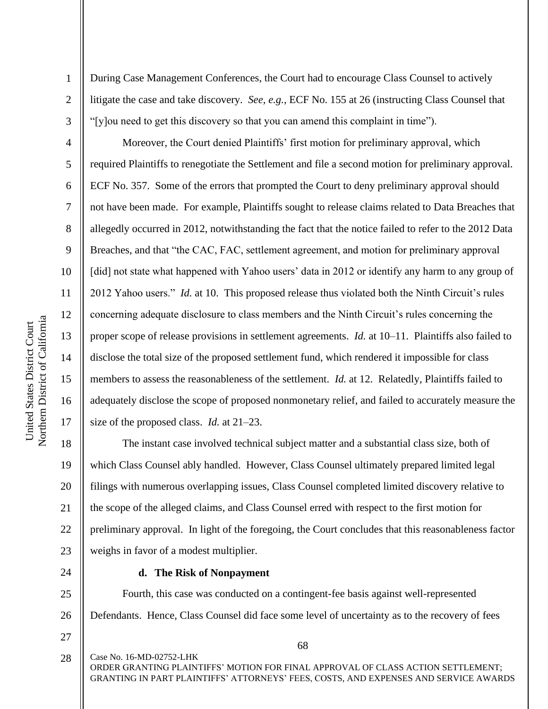2

3

4

5

6

7

8

9

10

11

12

13

14

15

16

17

During Case Management Conferences, the Court had to encourage Class Counsel to actively litigate the case and take discovery. *See, e.g.*, ECF No. 155 at 26 (instructing Class Counsel that "[y]ou need to get this discovery so that you can amend this complaint in time").

Moreover, the Court denied Plaintiffs' first motion for preliminary approval, which required Plaintiffs to renegotiate the Settlement and file a second motion for preliminary approval. ECF No. 357. Some of the errors that prompted the Court to deny preliminary approval should not have been made. For example, Plaintiffs sought to release claims related to Data Breaches that allegedly occurred in 2012, notwithstanding the fact that the notice failed to refer to the 2012 Data Breaches, and that "the CAC, FAC, settlement agreement, and motion for preliminary approval [did] not state what happened with Yahoo users' data in 2012 or identify any harm to any group of 2012 Yahoo users." *Id.* at 10. This proposed release thus violated both the Ninth Circuit's rules concerning adequate disclosure to class members and the Ninth Circuit's rules concerning the proper scope of release provisions in settlement agreements. *Id.* at 10–11. Plaintiffs also failed to disclose the total size of the proposed settlement fund, which rendered it impossible for class members to assess the reasonableness of the settlement. *Id.* at 12. Relatedly, Plaintiffs failed to adequately disclose the scope of proposed nonmonetary relief, and failed to accurately measure the size of the proposed class. *Id.* at 21–23.

18 19 20 21 22 23 The instant case involved technical subject matter and a substantial class size, both of which Class Counsel ably handled. However, Class Counsel ultimately prepared limited legal filings with numerous overlapping issues, Class Counsel completed limited discovery relative to the scope of the alleged claims, and Class Counsel erred with respect to the first motion for preliminary approval. In light of the foregoing, the Court concludes that this reasonableness factor weighs in favor of a modest multiplier.

24

#### **d. The Risk of Nonpayment**

25 26 Fourth, this case was conducted on a contingent-fee basis against well-represented Defendants. Hence, Class Counsel did face some level of uncertainty as to the recovery of fees

27

Case No. 16-MD-02752-LHK ORDER GRANTING PLAINTIFFS' MOTION FOR FINAL APPROVAL OF CLASS ACTION SETTLEMENT; GRANTING IN PART PLAINTIFFS' ATTORNEYS' FEES, COSTS, AND EXPENSES AND SERVICE AWARDS 28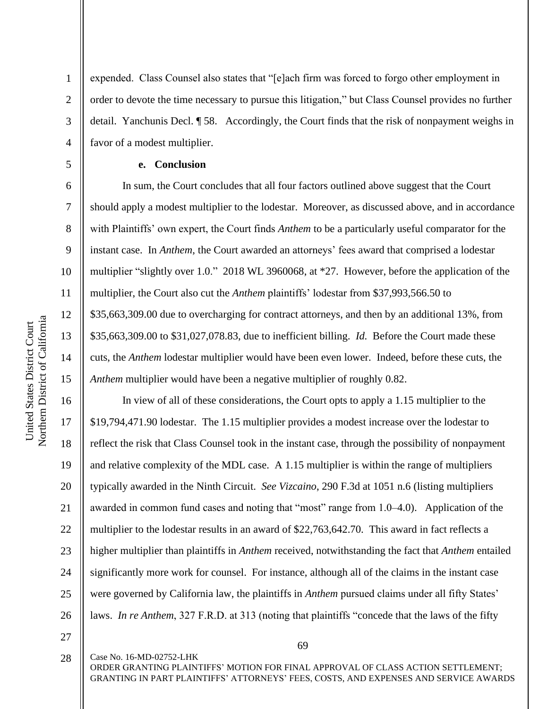10 11 12 Northern District of California Northern District of California United States District Court United States District Court 13 14 15

1

2

3

4

5

6

7

8

9

expended. Class Counsel also states that "[e]ach firm was forced to forgo other employment in order to devote the time necessary to pursue this litigation," but Class Counsel provides no further detail. Yanchunis Decl. ¶ 58. Accordingly, the Court finds that the risk of nonpayment weighs in favor of a modest multiplier.

### **e. Conclusion**

In sum, the Court concludes that all four factors outlined above suggest that the Court should apply a modest multiplier to the lodestar. Moreover, as discussed above, and in accordance with Plaintiffs' own expert, the Court finds *Anthem* to be a particularly useful comparator for the instant case. In *Anthem*, the Court awarded an attorneys' fees award that comprised a lodestar multiplier "slightly over 1.0." 2018 WL 3960068, at \*27. However, before the application of the multiplier, the Court also cut the *Anthem* plaintiffs' lodestar from \$37,993,566.50 to \$35,663,309.00 due to overcharging for contract attorneys, and then by an additional 13%, from \$35,663,309.00 to \$31,027,078.83, due to inefficient billing. *Id.* Before the Court made these cuts, the *Anthem* lodestar multiplier would have been even lower. Indeed, before these cuts, the *Anthem* multiplier would have been a negative multiplier of roughly 0.82.

16 17 18 19 20 21 22 23 24 25 26 In view of all of these considerations, the Court opts to apply a 1.15 multiplier to the \$19,794,471.90 lodestar. The 1.15 multiplier provides a modest increase over the lodestar to reflect the risk that Class Counsel took in the instant case, through the possibility of nonpayment and relative complexity of the MDL case. A 1.15 multiplier is within the range of multipliers typically awarded in the Ninth Circuit. *See Vizcaino*, 290 F.3d at 1051 n.6 (listing multipliers awarded in common fund cases and noting that "most" range from 1.0–4.0). Application of the multiplier to the lodestar results in an award of \$22,763,642.70. This award in fact reflects a higher multiplier than plaintiffs in *Anthem* received, notwithstanding the fact that *Anthem* entailed significantly more work for counsel. For instance, although all of the claims in the instant case were governed by California law, the plaintiffs in *Anthem* pursued claims under all fifty States' laws. *In re Anthem*, 327 F.R.D. at 313 (noting that plaintiffs "concede that the laws of the fifty

27

28

69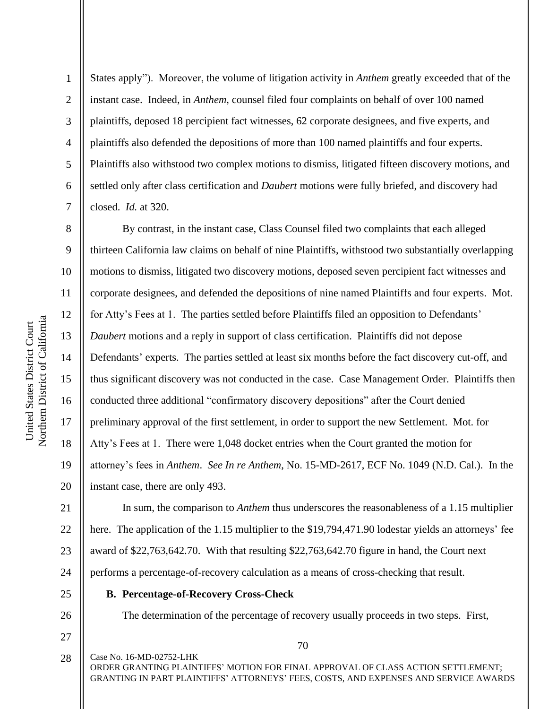2

3

4

5

6

7

8

9

11

12

13

14

15

17

18

19

States apply"). Moreover, the volume of litigation activity in *Anthem* greatly exceeded that of the instant case. Indeed, in *Anthem*, counsel filed four complaints on behalf of over 100 named plaintiffs, deposed 18 percipient fact witnesses, 62 corporate designees, and five experts, and plaintiffs also defended the depositions of more than 100 named plaintiffs and four experts. Plaintiffs also withstood two complex motions to dismiss, litigated fifteen discovery motions, and settled only after class certification and *Daubert* motions were fully briefed, and discovery had closed. *Id.* at 320.

10 16 20 By contrast, in the instant case, Class Counsel filed two complaints that each alleged thirteen California law claims on behalf of nine Plaintiffs, withstood two substantially overlapping motions to dismiss, litigated two discovery motions, deposed seven percipient fact witnesses and corporate designees, and defended the depositions of nine named Plaintiffs and four experts. Mot. for Atty's Fees at 1. The parties settled before Plaintiffs filed an opposition to Defendants' *Daubert* motions and a reply in support of class certification. Plaintiffs did not depose Defendants' experts. The parties settled at least six months before the fact discovery cut-off, and thus significant discovery was not conducted in the case. Case Management Order. Plaintiffs then conducted three additional "confirmatory discovery depositions" after the Court denied preliminary approval of the first settlement, in order to support the new Settlement. Mot. for Atty's Fees at 1. There were 1,048 docket entries when the Court granted the motion for attorney's fees in *Anthem*. *See In re Anthem*, No. 15-MD-2617, ECF No. 1049 (N.D. Cal.). In the instant case, there are only 493.

21 22 23 24 In sum, the comparison to *Anthem* thus underscores the reasonableness of a 1.15 multiplier here. The application of the 1.15 multiplier to the \$19,794,471.90 lodestar yields an attorneys' fee award of \$22,763,642.70. With that resulting \$22,763,642.70 figure in hand, the Court next performs a percentage-of-recovery calculation as a means of cross-checking that result.

25

26

# **B. Percentage-of-Recovery Cross-Check**

The determination of the percentage of recovery usually proceeds in two steps. First,

70

27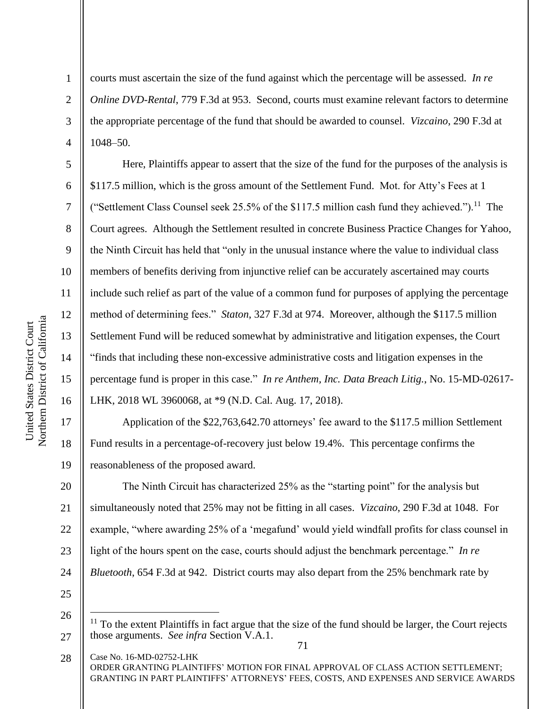2

3

4

5

6

7

8

9

10

11

12

13

14

15

16

courts must ascertain the size of the fund against which the percentage will be assessed. *In re Online DVD-Rental*, 779 F.3d at 953. Second, courts must examine relevant factors to determine the appropriate percentage of the fund that should be awarded to counsel. *Vizcaino*, 290 F.3d at 1048–50.

Here, Plaintiffs appear to assert that the size of the fund for the purposes of the analysis is \$117.5 million, which is the gross amount of the Settlement Fund. Mot. for Atty's Fees at 1 ("Settlement Class Counsel seek 25.5% of the \$117.5 million cash fund they achieved.").<sup>11</sup> The Court agrees. Although the Settlement resulted in concrete Business Practice Changes for Yahoo, the Ninth Circuit has held that "only in the unusual instance where the value to individual class members of benefits deriving from injunctive relief can be accurately ascertained may courts include such relief as part of the value of a common fund for purposes of applying the percentage method of determining fees." *Staton*, 327 F.3d at 974. Moreover, although the \$117.5 million Settlement Fund will be reduced somewhat by administrative and litigation expenses, the Court "finds that including these non-excessive administrative costs and litigation expenses in the percentage fund is proper in this case." *In re Anthem, Inc. Data Breach Litig.*, No. 15-MD-02617- LHK, 2018 WL 3960068, at \*9 (N.D. Cal. Aug. 17, 2018).

17 18 19 Application of the \$22,763,642.70 attorneys' fee award to the \$117.5 million Settlement Fund results in a percentage-of-recovery just below 19.4%. This percentage confirms the reasonableness of the proposed award.

20 21 22 23 24 The Ninth Circuit has characterized 25% as the "starting point" for the analysis but simultaneously noted that 25% may not be fitting in all cases. *Vizcaino*, 290 F.3d at 1048. For example, "where awarding 25% of a 'megafund' would yield windfall profits for class counsel in light of the hours spent on the case, courts should adjust the benchmark percentage." *In re Bluetooth*, 654 F.3d at 942. District courts may also depart from the 25% benchmark rate by

<sup>71</sup> 27  $11$  To the extent Plaintiffs in fact argue that the size of the fund should be larger, the Court rejects those arguments. *See infra* Section V.A.1.

Case No. 16-MD-02752-LHK ORDER GRANTING PLAINTIFFS' MOTION FOR FINAL APPROVAL OF CLASS ACTION SETTLEMENT; GRANTING IN PART PLAINTIFFS' ATTORNEYS' FEES, COSTS, AND EXPENSES AND SERVICE AWARDS 28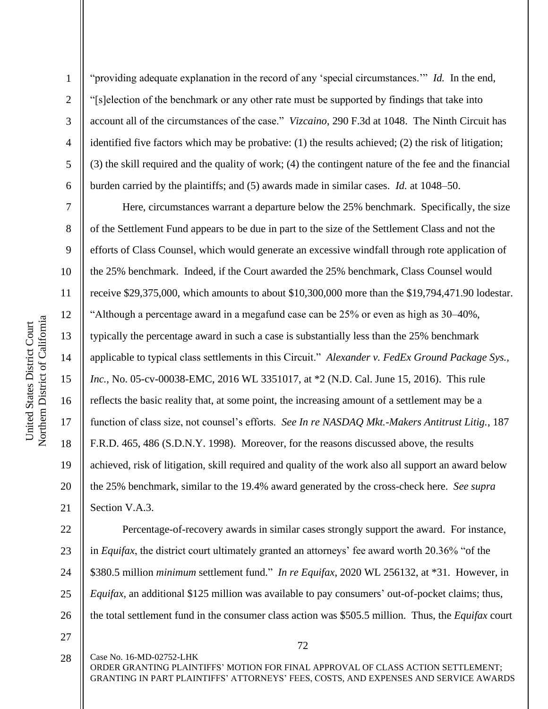2

3

4

5

6

7

8

9

10

11

12

13

14

15

16

17

18

19

20

21

"providing adequate explanation in the record of any 'special circumstances.'" *Id.* In the end, "[s]election of the benchmark or any other rate must be supported by findings that take into account all of the circumstances of the case." *Vizcaino*, 290 F.3d at 1048. The Ninth Circuit has identified five factors which may be probative: (1) the results achieved; (2) the risk of litigation; (3) the skill required and the quality of work; (4) the contingent nature of the fee and the financial burden carried by the plaintiffs; and (5) awards made in similar cases. *Id.* at 1048–50.

Here, circumstances warrant a departure below the 25% benchmark. Specifically, the size of the Settlement Fund appears to be due in part to the size of the Settlement Class and not the efforts of Class Counsel, which would generate an excessive windfall through rote application of the 25% benchmark. Indeed, if the Court awarded the 25% benchmark, Class Counsel would receive \$29,375,000, which amounts to about \$10,300,000 more than the \$19,794,471.90 lodestar. "Although a percentage award in a megafund case can be 25% or even as high as 30–40%, typically the percentage award in such a case is substantially less than the 25% benchmark applicable to typical class settlements in this Circuit." *Alexander v. FedEx Ground Package Sys., Inc.*, No. 05-cv-00038-EMC, 2016 WL 3351017, at \*2 (N.D. Cal. June 15, 2016). This rule reflects the basic reality that, at some point, the increasing amount of a settlement may be a function of class size, not counsel's efforts. *See In re NASDAQ Mkt.-Makers Antitrust Litig.*, 187 F.R.D. 465, 486 (S.D.N.Y. 1998). Moreover, for the reasons discussed above, the results achieved, risk of litigation, skill required and quality of the work also all support an award below the 25% benchmark, similar to the 19.4% award generated by the cross-check here. *See supra*  Section V.A.3.

22 23 24 25 26 Percentage-of-recovery awards in similar cases strongly support the award. For instance, in *Equifax*, the district court ultimately granted an attorneys' fee award worth 20.36% "of the \$380.5 million *minimum* settlement fund." *In re Equifax*, 2020 WL 256132, at \*31. However, in *Equifax*, an additional \$125 million was available to pay consumers' out-of-pocket claims; thus, the total settlement fund in the consumer class action was \$505.5 million. Thus, the *Equifax* court

27

72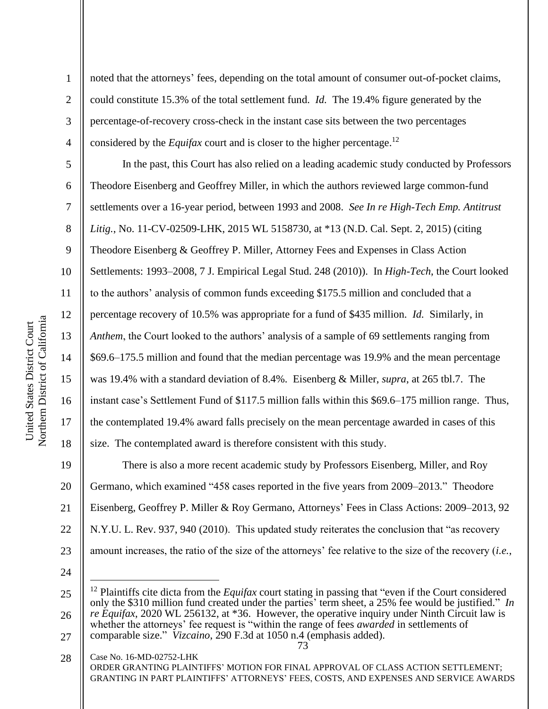2

3

4

5

6

7

8

9

10

11

12

13

14

15

16

17

18

noted that the attorneys' fees, depending on the total amount of consumer out-of-pocket claims, could constitute 15.3% of the total settlement fund. *Id.* The 19.4% figure generated by the percentage-of-recovery cross-check in the instant case sits between the two percentages considered by the *Equifax* court and is closer to the higher percentage. 12

In the past, this Court has also relied on a leading academic study conducted by Professors Theodore Eisenberg and Geoffrey Miller, in which the authors reviewed large common-fund settlements over a 16-year period, between 1993 and 2008. *See In re High-Tech Emp. Antitrust Litig.*, No. 11-CV-02509-LHK, 2015 WL 5158730, at \*13 (N.D. Cal. Sept. 2, 2015) (citing Theodore Eisenberg & Geoffrey P. Miller, Attorney Fees and Expenses in Class Action Settlements: 1993–2008, 7 J. Empirical Legal Stud. 248 (2010)). In *High-Tech*, the Court looked to the authors' analysis of common funds exceeding \$175.5 million and concluded that a percentage recovery of 10.5% was appropriate for a fund of \$435 million. *Id.* Similarly, in *Anthem*, the Court looked to the authors' analysis of a sample of 69 settlements ranging from \$69.6–175.5 million and found that the median percentage was 19.9% and the mean percentage was 19.4% with a standard deviation of 8.4%. Eisenberg & Miller, *supra*, at 265 tbl.7. The instant case's Settlement Fund of \$117.5 million falls within this \$69.6–175 million range. Thus, the contemplated 19.4% award falls precisely on the mean percentage awarded in cases of this size. The contemplated award is therefore consistent with this study.

19 20 21 22 23 There is also a more recent academic study by Professors Eisenberg, Miller, and Roy Germano, which examined "458 cases reported in the five years from 2009–2013." Theodore Eisenberg, Geoffrey P. Miller & Roy Germano, Attorneys' Fees in Class Actions: 2009–2013, 92 N.Y.U. L. Rev. 937, 940 (2010). This updated study reiterates the conclusion that "as recovery amount increases, the ratio of the size of the attorneys' fee relative to the size of the recovery (*i.e.*,

24

<sup>25</sup> 26 <sup>12</sup> Plaintiffs cite dicta from the *Equifax* court stating in passing that "even if the Court considered only the \$310 million fund created under the parties' term sheet, a 25% fee would be justified." *In re Equifax*, 2020 WL 256132, at \*36. However, the operative inquiry under Ninth Circuit law is whether the attorneys' fee request is "within the range of fees *awarded* in settlements of

<sup>27</sup> comparable size." *Vizcaino*, 290 F.3d at 1050 n.4 (emphasis added).

Case No. 16-MD-02752-LHK ORDER GRANTING PLAINTIFFS' MOTION FOR FINAL APPROVAL OF CLASS ACTION SETTLEMENT; GRANTING IN PART PLAINTIFFS' ATTORNEYS' FEES, COSTS, AND EXPENSES AND SERVICE AWARDS 28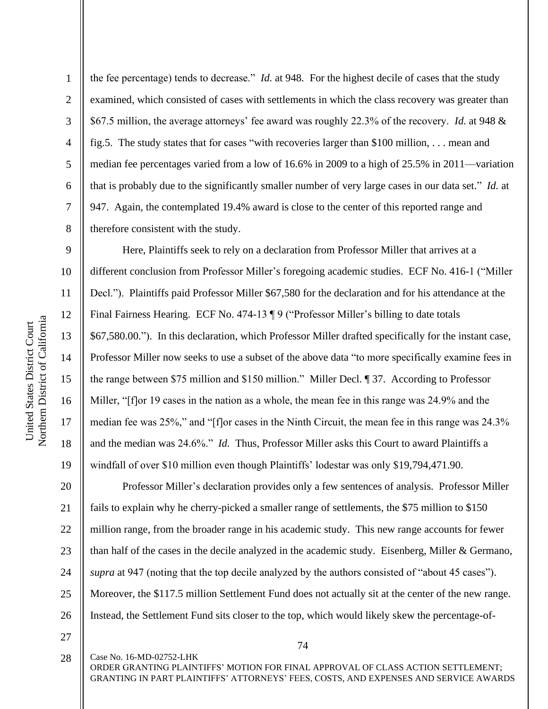2

3

4

5

6

7

8

9

10

11

12

13

14

15

16

17

18

19

the fee percentage) tends to decrease." *Id.* at 948. For the highest decile of cases that the study examined, which consisted of cases with settlements in which the class recovery was greater than \$67.5 million, the average attorneys' fee award was roughly 22.3% of the recovery. *Id.* at 948 & fig.5. The study states that for cases "with recoveries larger than \$100 million, . . . mean and median fee percentages varied from a low of 16.6% in 2009 to a high of 25.5% in 2011—variation that is probably due to the significantly smaller number of very large cases in our data set." *Id.* at 947. Again, the contemplated 19.4% award is close to the center of this reported range and therefore consistent with the study.

Here, Plaintiffs seek to rely on a declaration from Professor Miller that arrives at a different conclusion from Professor Miller's foregoing academic studies. ECF No. 416-1 ("Miller Decl."). Plaintiffs paid Professor Miller \$67,580 for the declaration and for his attendance at the Final Fairness Hearing. ECF No. 474-13 ¶ 9 ("Professor Miller's billing to date totals \$67,580.00."). In this declaration, which Professor Miller drafted specifically for the instant case, Professor Miller now seeks to use a subset of the above data "to more specifically examine fees in the range between \$75 million and \$150 million." Miller Decl. ¶ 37. According to Professor Miller, "[f]or 19 cases in the nation as a whole, the mean fee in this range was 24.9% and the median fee was 25%," and "[f]or cases in the Ninth Circuit, the mean fee in this range was 24.3% and the median was 24.6%." *Id.* Thus, Professor Miller asks this Court to award Plaintiffs a windfall of over \$10 million even though Plaintiffs' lodestar was only \$19,794,471.90.

20 21 22 23 24 25 26 Professor Miller's declaration provides only a few sentences of analysis. Professor Miller fails to explain why he cherry-picked a smaller range of settlements, the \$75 million to \$150 million range, from the broader range in his academic study. This new range accounts for fewer than half of the cases in the decile analyzed in the academic study. Eisenberg, Miller & Germano, *supra* at 947 (noting that the top decile analyzed by the authors consisted of "about 45 cases"). Moreover, the \$117.5 million Settlement Fund does not actually sit at the center of the new range. Instead, the Settlement Fund sits closer to the top, which would likely skew the percentage-of-

27

28

Case No. 16-MD-02752-LHK

74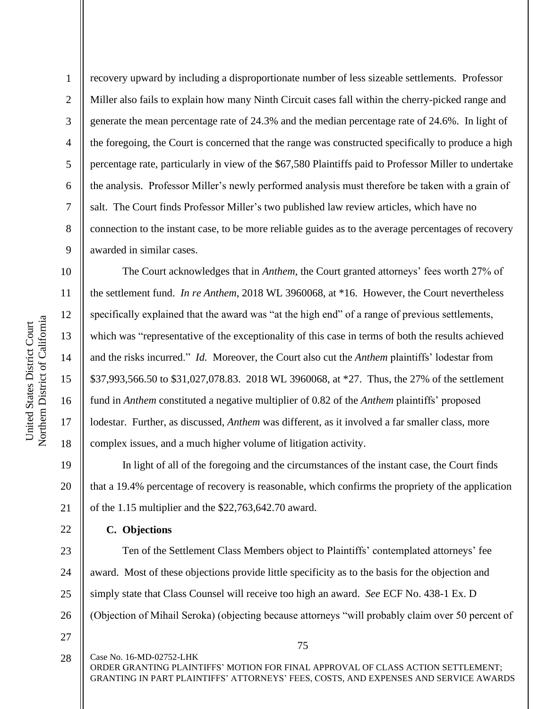Northern District of California Northern District of California United States District Court United States District Court

1

2

3

4

5

6

7

8

9

10

11

12

13

14

15

16

17

18

22

recovery upward by including a disproportionate number of less sizeable settlements. Professor Miller also fails to explain how many Ninth Circuit cases fall within the cherry-picked range and generate the mean percentage rate of 24.3% and the median percentage rate of 24.6%. In light of the foregoing, the Court is concerned that the range was constructed specifically to produce a high percentage rate, particularly in view of the \$67,580 Plaintiffs paid to Professor Miller to undertake the analysis. Professor Miller's newly performed analysis must therefore be taken with a grain of salt. The Court finds Professor Miller's two published law review articles, which have no connection to the instant case, to be more reliable guides as to the average percentages of recovery awarded in similar cases.

The Court acknowledges that in *Anthem*, the Court granted attorneys' fees worth 27% of the settlement fund. *In re Anthem*, 2018 WL 3960068, at \*16. However, the Court nevertheless specifically explained that the award was "at the high end" of a range of previous settlements, which was "representative of the exceptionality of this case in terms of both the results achieved and the risks incurred." *Id.* Moreover, the Court also cut the *Anthem* plaintiffs' lodestar from \$37,993,566.50 to \$31,027,078.83. 2018 WL 3960068, at \*27. Thus, the 27% of the settlement fund in *Anthem* constituted a negative multiplier of 0.82 of the *Anthem* plaintiffs' proposed lodestar. Further, as discussed, *Anthem* was different, as it involved a far smaller class, more complex issues, and a much higher volume of litigation activity.

19 20 21 In light of all of the foregoing and the circumstances of the instant case, the Court finds that a 19.4% percentage of recovery is reasonable, which confirms the propriety of the application of the 1.15 multiplier and the \$22,763,642.70 award.

**C. Objections**

23 24 25 26 Ten of the Settlement Class Members object to Plaintiffs' contemplated attorneys' fee award. Most of these objections provide little specificity as to the basis for the objection and simply state that Class Counsel will receive too high an award. *See* ECF No. 438-1 Ex. D (Objection of Mihail Seroka) (objecting because attorneys "will probably claim over 50 percent of

27

Case No. 16-MD-02752-LHK 28

75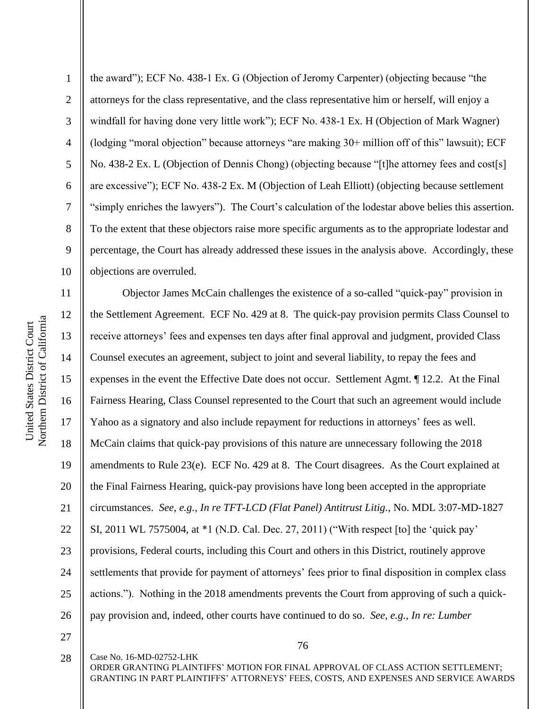Northern District of California Northern District of California United States District Court United States District Court

11

12

13

14

15

16

17

18

19

20

21

22

23

24

25

26

1 2 3 4 5 6 7 8 9 10 the award"); ECF No. 438-1 Ex. G (Objection of Jeromy Carpenter) (objecting because "the attorneys for the class representative, and the class representative him or herself, will enjoy a windfall for having done very little work"); ECF No. 438-1 Ex. H (Objection of Mark Wagner) (lodging "moral objection" because attorneys "are making 30+ million off of this" lawsuit); ECF No. 438-2 Ex. L (Objection of Dennis Chong) (objecting because "[t]he attorney fees and cost[s] are excessive"); ECF No. 438-2 Ex. M (Objection of Leah Elliott) (objecting because settlement "simply enriches the lawyers"). The Court's calculation of the lodestar above belies this assertion. To the extent that these objectors raise more specific arguments as to the appropriate lodestar and percentage, the Court has already addressed these issues in the analysis above. Accordingly, these objections are overruled.

Objector James McCain challenges the existence of a so-called "quick-pay" provision in the Settlement Agreement. ECF No. 429 at 8. The quick-pay provision permits Class Counsel to receive attorneys' fees and expenses ten days after final approval and judgment, provided Class Counsel executes an agreement, subject to joint and several liability, to repay the fees and expenses in the event the Effective Date does not occur. Settlement Agmt. ¶ 12.2. At the Final Fairness Hearing, Class Counsel represented to the Court that such an agreement would include Yahoo as a signatory and also include repayment for reductions in attorneys' fees as well. McCain claims that quick-pay provisions of this nature are unnecessary following the 2018 amendments to Rule 23(e). ECF No. 429 at 8. The Court disagrees. As the Court explained at the Final Fairness Hearing, quick-pay provisions have long been accepted in the appropriate circumstances. *See, e.g.*, *In re TFT-LCD (Flat Panel) Antitrust Litig.*, No. MDL 3:07-MD-1827 SI, 2011 WL 7575004, at \*1 (N.D. Cal. Dec. 27, 2011) ("With respect [to] the 'quick pay' provisions, Federal courts, including this Court and others in this District, routinely approve settlements that provide for payment of attorneys' fees prior to final disposition in complex class actions."). Nothing in the 2018 amendments prevents the Court from approving of such a quickpay provision and, indeed, other courts have continued to do so. *See, e.g.*, *In re: Lumber* 

27

28

Case No. 16-MD-02752-LHK

76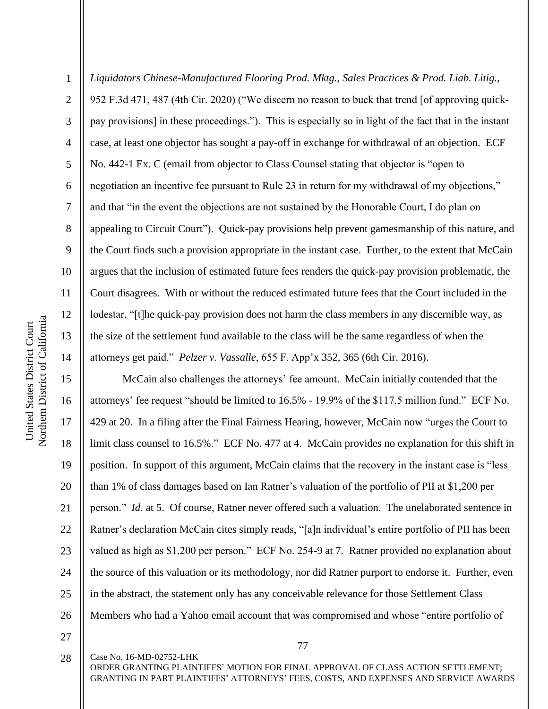2

3

4

5

6

7

8

9

*Liquidators Chinese-Manufactured Flooring Prod. Mktg., Sales Practices & Prod. Liab. Litig.*, 952 F.3d 471, 487 (4th Cir. 2020) ("We discern no reason to buck that trend [of approving quickpay provisions] in these proceedings."). This is especially so in light of the fact that in the instant case, at least one objector has sought a pay-off in exchange for withdrawal of an objection. ECF No. 442-1 Ex. C (email from objector to Class Counsel stating that objector is "open to negotiation an incentive fee pursuant to Rule 23 in return for my withdrawal of my objections," and that "in the event the objections are not sustained by the Honorable Court, I do plan on appealing to Circuit Court"). Quick-pay provisions help prevent gamesmanship of this nature, and the Court finds such a provision appropriate in the instant case. Further, to the extent that McCain argues that the inclusion of estimated future fees renders the quick-pay provision problematic, the Court disagrees. With or without the reduced estimated future fees that the Court included in the lodestar, "[t]he quick-pay provision does not harm the class members in any discernible way, as the size of the settlement fund available to the class will be the same regardless of when the attorneys get paid." *Pelzer v. Vassalle*, 655 F. App'x 352, 365 (6th Cir. 2016).

McCain also challenges the attorneys' fee amount. McCain initially contended that the attorneys' fee request "should be limited to 16.5% - 19.9% of the \$117.5 million fund." ECF No. 429 at 20. In a filing after the Final Fairness Hearing, however, McCain now "urges the Court to limit class counsel to 16.5%." ECF No. 477 at 4. McCain provides no explanation for this shift in position. In support of this argument, McCain claims that the recovery in the instant case is "less than 1% of class damages based on Ian Ratner's valuation of the portfolio of PII at \$1,200 per person." *Id.* at 5. Of course, Ratner never offered such a valuation. The unelaborated sentence in Ratner's declaration McCain cites simply reads, "[a]n individual's entire portfolio of PII has been valued as high as \$1,200 per person." ECF No. 254-9 at 7. Ratner provided no explanation about the source of this valuation or its methodology, nor did Ratner purport to endorse it. Further, even in the abstract, the statement only has any conceivable relevance for those Settlement Class Members who had a Yahoo email account that was compromised and whose "entire portfolio of

27

18

19

20

21

22

23

24

25

26

Case No. 16-MD-02752-LHK 28

ORDER GRANTING PLAINTIFFS' MOTION FOR FINAL APPROVAL OF CLASS ACTION SETTLEMENT; GRANTING IN PART PLAINTIFFS' ATTORNEYS' FEES, COSTS, AND EXPENSES AND SERVICE AWARDS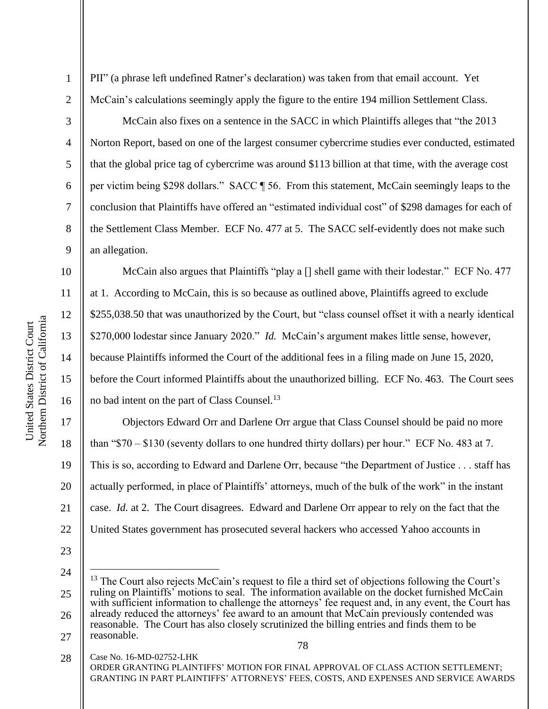2

3

4

5

6

7

8

9

10

11

12

13

14

15

16

PII" (a phrase left undefined Ratner's declaration) was taken from that email account. Yet McCain's calculations seemingly apply the figure to the entire 194 million Settlement Class.

McCain also fixes on a sentence in the SACC in which Plaintiffs alleges that "the 2013 Norton Report, based on one of the largest consumer cybercrime studies ever conducted, estimated that the global price tag of cybercrime was around \$113 billion at that time, with the average cost per victim being \$298 dollars." SACC ¶ 56. From this statement, McCain seemingly leaps to the conclusion that Plaintiffs have offered an "estimated individual cost" of \$298 damages for each of the Settlement Class Member. ECF No. 477 at 5. The SACC self-evidently does not make such an allegation.

McCain also argues that Plaintiffs "play a [] shell game with their lodestar." ECF No. 477 at 1. According to McCain, this is so because as outlined above, Plaintiffs agreed to exclude \$255,038.50 that was unauthorized by the Court, but "class counsel offset it with a nearly identical \$270,000 lodestar since January 2020." *Id.* McCain's argument makes little sense, however, because Plaintiffs informed the Court of the additional fees in a filing made on June 15, 2020, before the Court informed Plaintiffs about the unauthorized billing. ECF No. 463. The Court sees no bad intent on the part of Class Counsel.<sup>13</sup>

17 18 19 20 21 22 Objectors Edward Orr and Darlene Orr argue that Class Counsel should be paid no more than "\$70 – \$130 (seventy dollars to one hundred thirty dollars) per hour." ECF No. 483 at 7. This is so, according to Edward and Darlene Orr, because "the Department of Justice . . . staff has actually performed, in place of Plaintiffs' attorneys, much of the bulk of the work" in the instant case. *Id.* at 2. The Court disagrees. Edward and Darlene Orr appear to rely on the fact that the United States government has prosecuted several hackers who accessed Yahoo accounts in

23

<sup>24</sup>

<sup>25</sup> 26 27 <sup>13</sup> The Court also rejects McCain's request to file a third set of objections following the Court's ruling on Plaintiffs' motions to seal. The information available on the docket furnished McCain with sufficient information to challenge the attorneys' fee request and, in any event, the Court has already reduced the attorneys' fee award to an amount that McCain previously contended was reasonable. The Court has also closely scrutinized the billing entries and finds them to be reasonable.

Case No. 16-MD-02752-LHK ORDER GRANTING PLAINTIFFS' MOTION FOR FINAL APPROVAL OF CLASS ACTION SETTLEMENT; GRANTING IN PART PLAINTIFFS' ATTORNEYS' FEES, COSTS, AND EXPENSES AND SERVICE AWARDS 28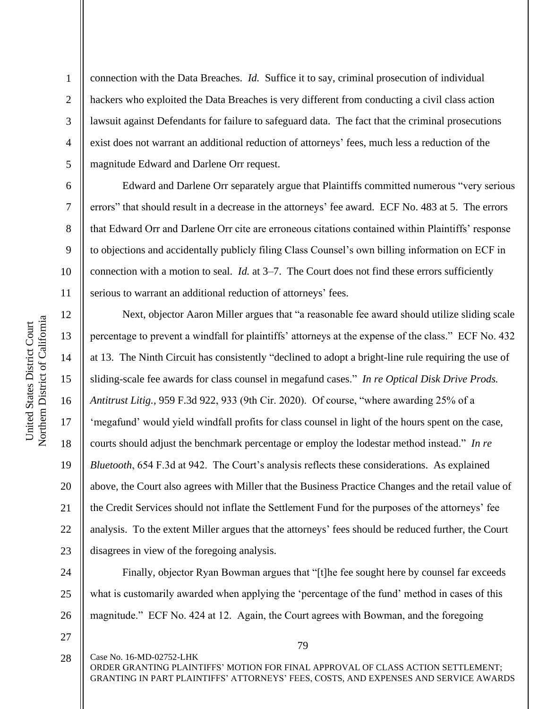2

3

4

5

6

7

8

9

10

11

12

13

14

15

16

17

18

19

20

21

22

23

connection with the Data Breaches. *Id.* Suffice it to say, criminal prosecution of individual hackers who exploited the Data Breaches is very different from conducting a civil class action lawsuit against Defendants for failure to safeguard data. The fact that the criminal prosecutions exist does not warrant an additional reduction of attorneys' fees, much less a reduction of the magnitude Edward and Darlene Orr request.

Edward and Darlene Orr separately argue that Plaintiffs committed numerous "very serious errors" that should result in a decrease in the attorneys' fee award. ECF No. 483 at 5. The errors that Edward Orr and Darlene Orr cite are erroneous citations contained within Plaintiffs' response to objections and accidentally publicly filing Class Counsel's own billing information on ECF in connection with a motion to seal. *Id.* at 3–7. The Court does not find these errors sufficiently serious to warrant an additional reduction of attorneys' fees.

Next, objector Aaron Miller argues that "a reasonable fee award should utilize sliding scale percentage to prevent a windfall for plaintiffs' attorneys at the expense of the class." ECF No. 432 at 13. The Ninth Circuit has consistently "declined to adopt a bright-line rule requiring the use of sliding-scale fee awards for class counsel in megafund cases." *In re Optical Disk Drive Prods. Antitrust Litig.*, 959 F.3d 922, 933 (9th Cir. 2020). Of course, "where awarding 25% of a 'megafund' would yield windfall profits for class counsel in light of the hours spent on the case, courts should adjust the benchmark percentage or employ the lodestar method instead." *In re Bluetooth*, 654 F.3d at 942. The Court's analysis reflects these considerations. As explained above, the Court also agrees with Miller that the Business Practice Changes and the retail value of the Credit Services should not inflate the Settlement Fund for the purposes of the attorneys' fee analysis. To the extent Miller argues that the attorneys' fees should be reduced further, the Court disagrees in view of the foregoing analysis.

24 25 26 Finally, objector Ryan Bowman argues that "[t]he fee sought here by counsel far exceeds what is customarily awarded when applying the 'percentage of the fund' method in cases of this magnitude." ECF No. 424 at 12. Again, the Court agrees with Bowman, and the foregoing

27

79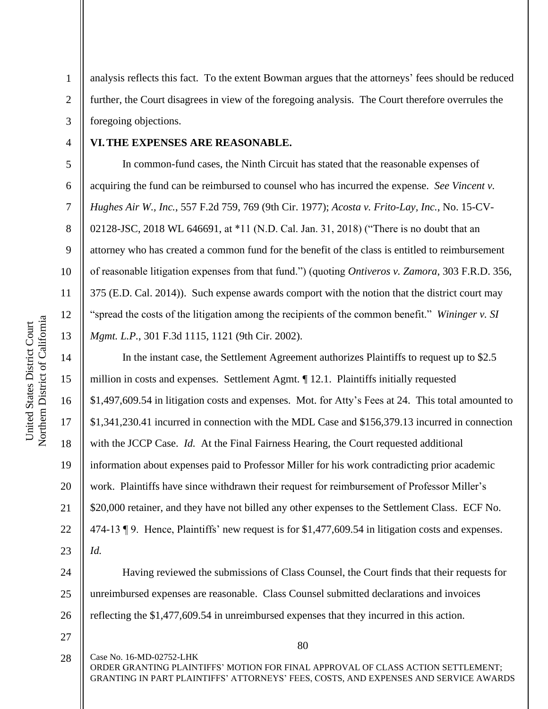5

6

7

8

9

10

11

12

13

14

15

16

17

18

19

20

21

22

23

1

analysis reflects this fact. To the extent Bowman argues that the attorneys' fees should be reduced further, the Court disagrees in view of the foregoing analysis. The Court therefore overrules the foregoing objections.

## **VI.THE EXPENSES ARE REASONABLE.**

In common-fund cases, the Ninth Circuit has stated that the reasonable expenses of acquiring the fund can be reimbursed to counsel who has incurred the expense. *See Vincent v. Hughes Air W., Inc.*, 557 F.2d 759, 769 (9th Cir. 1977); *Acosta v. Frito-Lay, Inc.*, No. 15-CV-02128-JSC, 2018 WL 646691, at \*11 (N.D. Cal. Jan. 31, 2018) ("There is no doubt that an attorney who has created a common fund for the benefit of the class is entitled to reimbursement of reasonable litigation expenses from that fund.") (quoting *Ontiveros v. Zamora*, 303 F.R.D. 356, 375 (E.D. Cal. 2014)). Such expense awards comport with the notion that the district court may "spread the costs of the litigation among the recipients of the common benefit." *Wininger v. SI Mgmt. L.P.*, 301 F.3d 1115, 1121 (9th Cir. 2002).

In the instant case, the Settlement Agreement authorizes Plaintiffs to request up to \$2.5 million in costs and expenses. Settlement Agmt. ¶ 12.1. Plaintiffs initially requested \$1,497,609.54 in litigation costs and expenses. Mot. for Atty's Fees at 24. This total amounted to \$1,341,230.41 incurred in connection with the MDL Case and \$156,379.13 incurred in connection with the JCCP Case. *Id.* At the Final Fairness Hearing, the Court requested additional information about expenses paid to Professor Miller for his work contradicting prior academic work. Plaintiffs have since withdrawn their request for reimbursement of Professor Miller's \$20,000 retainer, and they have not billed any other expenses to the Settlement Class. ECF No. 474-13 ¶ 9. Hence, Plaintiffs' new request is for \$1,477,609.54 in litigation costs and expenses. *Id.* 

24 25 26 Having reviewed the submissions of Class Counsel, the Court finds that their requests for unreimbursed expenses are reasonable. Class Counsel submitted declarations and invoices reflecting the \$1,477,609.54 in unreimbursed expenses that they incurred in this action.

27

80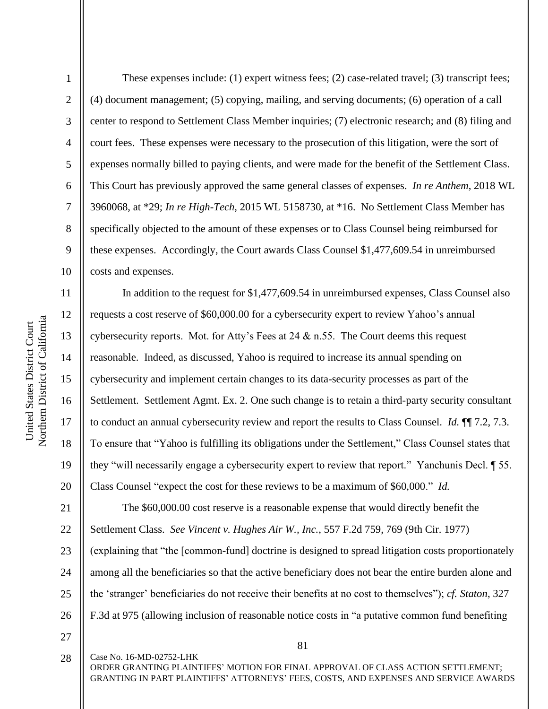2

3

4

5

6

7

8

9

10

11

12

13

14

15

16

17

18

19

20

These expenses include: (1) expert witness fees; (2) case-related travel; (3) transcript fees; (4) document management; (5) copying, mailing, and serving documents; (6) operation of a call center to respond to Settlement Class Member inquiries; (7) electronic research; and (8) filing and court fees. These expenses were necessary to the prosecution of this litigation, were the sort of expenses normally billed to paying clients, and were made for the benefit of the Settlement Class. This Court has previously approved the same general classes of expenses. *In re Anthem*, 2018 WL 3960068, at \*29; *In re High-Tech*, 2015 WL 5158730, at \*16. No Settlement Class Member has specifically objected to the amount of these expenses or to Class Counsel being reimbursed for these expenses. Accordingly, the Court awards Class Counsel \$1,477,609.54 in unreimbursed costs and expenses.

In addition to the request for \$1,477,609.54 in unreimbursed expenses, Class Counsel also requests a cost reserve of \$60,000.00 for a cybersecurity expert to review Yahoo's annual cybersecurity reports. Mot. for Atty's Fees at 24 & n.55. The Court deems this request reasonable. Indeed, as discussed, Yahoo is required to increase its annual spending on cybersecurity and implement certain changes to its data-security processes as part of the Settlement. Settlement Agmt. Ex. 2. One such change is to retain a third-party security consultant to conduct an annual cybersecurity review and report the results to Class Counsel. *Id.* ¶¶ 7.2, 7.3. To ensure that "Yahoo is fulfilling its obligations under the Settlement," Class Counsel states that they "will necessarily engage a cybersecurity expert to review that report." Yanchunis Decl. ¶ 55. Class Counsel "expect the cost for these reviews to be a maximum of \$60,000." *Id.*

21 22 23 24 25 26 The \$60,000.00 cost reserve is a reasonable expense that would directly benefit the Settlement Class. *See Vincent v. Hughes Air W., Inc.*, 557 F.2d 759, 769 (9th Cir. 1977) (explaining that "the [common-fund] doctrine is designed to spread litigation costs proportionately among all the beneficiaries so that the active beneficiary does not bear the entire burden alone and the 'stranger' beneficiaries do not receive their benefits at no cost to themselves"); *cf. Staton*, 327 F.3d at 975 (allowing inclusion of reasonable notice costs in "a putative common fund benefiting

27 28

Case No. 16-MD-02752-LHK

81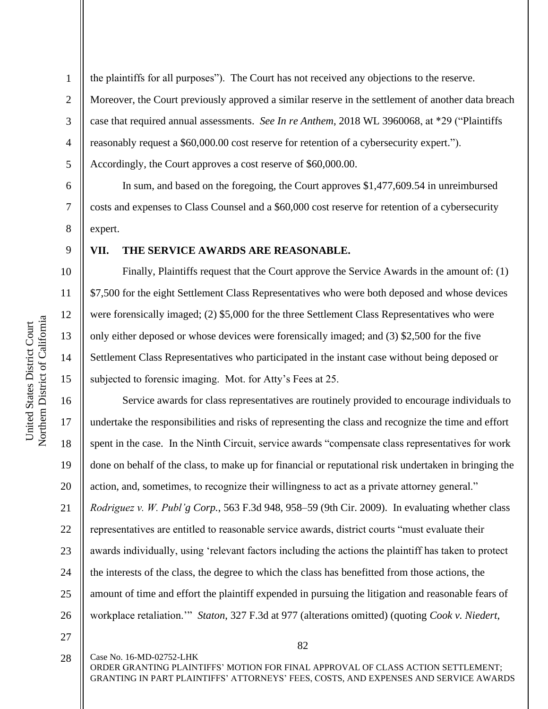United States District Court

6

7

8

9

10

11

12

13

14

15

16

17

18

19

20

21

22

23

24

25

26

1 2 3 4 5 the plaintiffs for all purposes"). The Court has not received any objections to the reserve. Moreover, the Court previously approved a similar reserve in the settlement of another data breach case that required annual assessments. *See In re Anthem*, 2018 WL 3960068, at \*29 ("Plaintiffs reasonably request a \$60,000.00 cost reserve for retention of a cybersecurity expert."). Accordingly, the Court approves a cost reserve of \$60,000.00.

In sum, and based on the foregoing, the Court approves \$1,477,609.54 in unreimbursed costs and expenses to Class Counsel and a \$60,000 cost reserve for retention of a cybersecurity expert.

## **VII. THE SERVICE AWARDS ARE REASONABLE.**

Finally, Plaintiffs request that the Court approve the Service Awards in the amount of: (1) \$7,500 for the eight Settlement Class Representatives who were both deposed and whose devices were forensically imaged; (2) \$5,000 for the three Settlement Class Representatives who were only either deposed or whose devices were forensically imaged; and (3) \$2,500 for the five Settlement Class Representatives who participated in the instant case without being deposed or subjected to forensic imaging. Mot. for Atty's Fees at 25.

Service awards for class representatives are routinely provided to encourage individuals to undertake the responsibilities and risks of representing the class and recognize the time and effort spent in the case. In the Ninth Circuit, service awards "compensate class representatives for work done on behalf of the class, to make up for financial or reputational risk undertaken in bringing the action, and, sometimes, to recognize their willingness to act as a private attorney general." *Rodriguez v. W. Publ'g Corp.*, 563 F.3d 948, 958–59 (9th Cir. 2009). In evaluating whether class representatives are entitled to reasonable service awards, district courts "must evaluate their awards individually, using 'relevant factors including the actions the plaintiff has taken to protect the interests of the class, the degree to which the class has benefitted from those actions, the amount of time and effort the plaintiff expended in pursuing the litigation and reasonable fears of workplace retaliation.'" *Staton*, 327 F.3d at 977 (alterations omitted) (quoting *Cook v. Niedert*,

27 28

Case No. 16-MD-02752-LHK

ORDER GRANTING PLAINTIFFS' MOTION FOR FINAL APPROVAL OF CLASS ACTION SETTLEMENT; GRANTING IN PART PLAINTIFFS' ATTORNEYS' FEES, COSTS, AND EXPENSES AND SERVICE AWARDS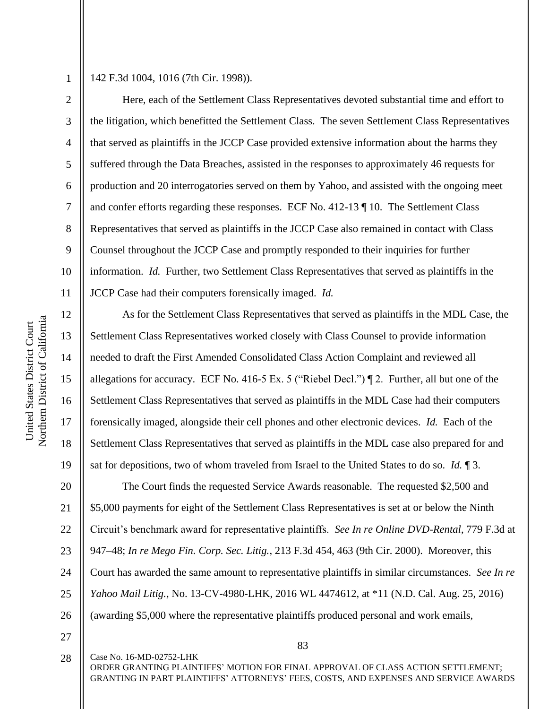3

4

5

6

7

8

9

10

11

12

13

14

15

16

17

18

19

142 F.3d 1004, 1016 (7th Cir. 1998)).

Here, each of the Settlement Class Representatives devoted substantial time and effort to the litigation, which benefitted the Settlement Class. The seven Settlement Class Representatives that served as plaintiffs in the JCCP Case provided extensive information about the harms they suffered through the Data Breaches, assisted in the responses to approximately 46 requests for production and 20 interrogatories served on them by Yahoo, and assisted with the ongoing meet and confer efforts regarding these responses. ECF No. 412-13 ¶ 10. The Settlement Class Representatives that served as plaintiffs in the JCCP Case also remained in contact with Class Counsel throughout the JCCP Case and promptly responded to their inquiries for further information. *Id.* Further, two Settlement Class Representatives that served as plaintiffs in the JCCP Case had their computers forensically imaged. *Id.*

As for the Settlement Class Representatives that served as plaintiffs in the MDL Case, the Settlement Class Representatives worked closely with Class Counsel to provide information needed to draft the First Amended Consolidated Class Action Complaint and reviewed all allegations for accuracy. ECF No. 416-5 Ex. 5 ("Riebel Decl.") ¶ 2. Further, all but one of the Settlement Class Representatives that served as plaintiffs in the MDL Case had their computers forensically imaged, alongside their cell phones and other electronic devices. *Id.* Each of the Settlement Class Representatives that served as plaintiffs in the MDL case also prepared for and sat for depositions, two of whom traveled from Israel to the United States to do so. *Id.* ¶ 3.

20 21 22 23 24 25 26 The Court finds the requested Service Awards reasonable. The requested \$2,500 and \$5,000 payments for eight of the Settlement Class Representatives is set at or below the Ninth Circuit's benchmark award for representative plaintiffs. *See In re Online DVD-Rental*, 779 F.3d at 947–48; *In re Mego Fin. Corp. Sec. Litig.*, 213 F.3d 454, 463 (9th Cir. 2000). Moreover, this Court has awarded the same amount to representative plaintiffs in similar circumstances. *See In re Yahoo Mail Litig.*, No. 13-CV-4980-LHK, 2016 WL 4474612, at \*11 (N.D. Cal. Aug. 25, 2016) (awarding \$5,000 where the representative plaintiffs produced personal and work emails,

27

28

Case No. 16-MD-02752-LHK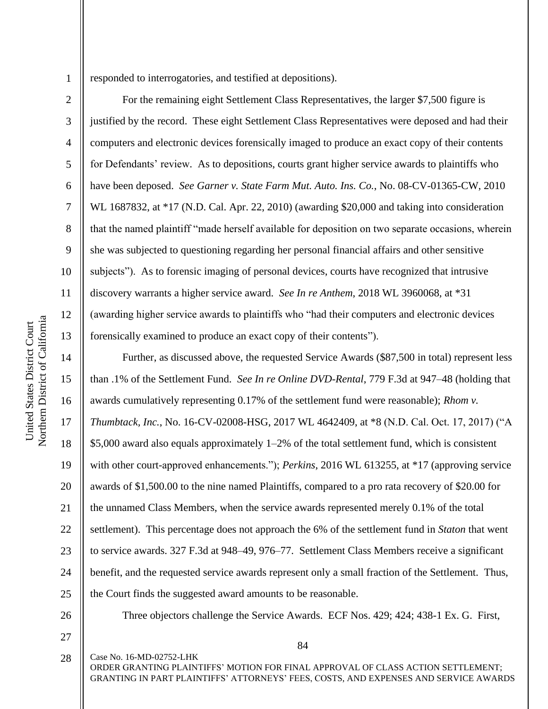3

4

5

6

7

8

9

10

11

12

13

14

15

16

17

18

19

20

21

22

23

24

25

responded to interrogatories, and testified at depositions).

For the remaining eight Settlement Class Representatives, the larger \$7,500 figure is justified by the record. These eight Settlement Class Representatives were deposed and had their computers and electronic devices forensically imaged to produce an exact copy of their contents for Defendants' review. As to depositions, courts grant higher service awards to plaintiffs who have been deposed. *See Garner v. State Farm Mut. Auto. Ins. Co.*, No. 08-CV-01365-CW, 2010 WL 1687832, at \*17 (N.D. Cal. Apr. 22, 2010) (awarding \$20,000 and taking into consideration that the named plaintiff "made herself available for deposition on two separate occasions, wherein she was subjected to questioning regarding her personal financial affairs and other sensitive subjects"). As to forensic imaging of personal devices, courts have recognized that intrusive discovery warrants a higher service award. *See In re Anthem*, 2018 WL 3960068, at \*31 (awarding higher service awards to plaintiffs who "had their computers and electronic devices forensically examined to produce an exact copy of their contents").

Further, as discussed above, the requested Service Awards (\$87,500 in total) represent less than .1% of the Settlement Fund. *See In re Online DVD-Rental*, 779 F.3d at 947–48 (holding that awards cumulatively representing 0.17% of the settlement fund were reasonable); *Rhom v. Thumbtack, Inc.*, No. 16-CV-02008-HSG, 2017 WL 4642409, at \*8 (N.D. Cal. Oct. 17, 2017) ("A \$5,000 award also equals approximately 1–2% of the total settlement fund, which is consistent with other court-approved enhancements."); *Perkins*, 2016 WL 613255, at \*17 (approving service awards of \$1,500.00 to the nine named Plaintiffs, compared to a pro rata recovery of \$20.00 for the unnamed Class Members, when the service awards represented merely 0.1% of the total settlement). This percentage does not approach the 6% of the settlement fund in *Staton* that went to service awards. 327 F.3d at 948–49, 976–77. Settlement Class Members receive a significant benefit, and the requested service awards represent only a small fraction of the Settlement. Thus, the Court finds the suggested award amounts to be reasonable.

- 26
- 27

84

Three objectors challenge the Service Awards. ECF Nos. 429; 424; 438-1 Ex. G. First,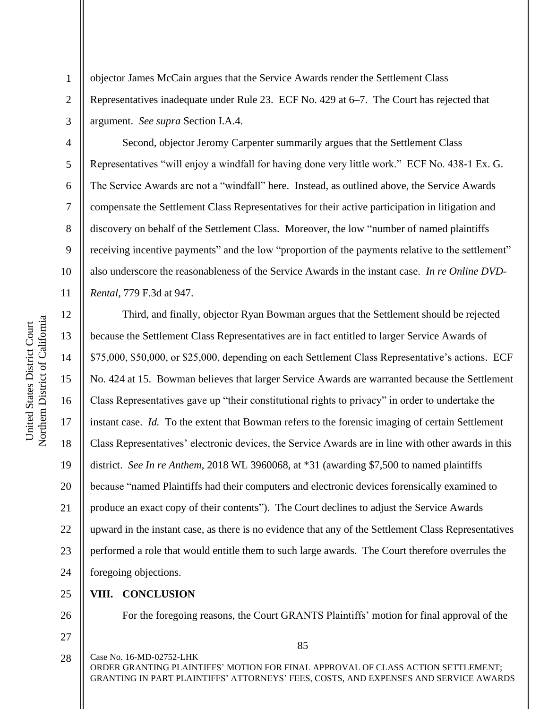2

3

4

5

6

7

8

9

10

11

objector James McCain argues that the Service Awards render the Settlement Class Representatives inadequate under Rule 23. ECF No. 429 at 6–7. The Court has rejected that argument. *See supra* Section I.A.4.

Second, objector Jeromy Carpenter summarily argues that the Settlement Class Representatives "will enjoy a windfall for having done very little work." ECF No. 438-1 Ex. G. The Service Awards are not a "windfall" here. Instead, as outlined above, the Service Awards compensate the Settlement Class Representatives for their active participation in litigation and discovery on behalf of the Settlement Class. Moreover, the low "number of named plaintiffs receiving incentive payments" and the low "proportion of the payments relative to the settlement" also underscore the reasonableness of the Service Awards in the instant case. *In re Online DVD-Rental*, 779 F.3d at 947.

12 13 14 15 16 17 18 19 20 21 22 23 24 Third, and finally, objector Ryan Bowman argues that the Settlement should be rejected because the Settlement Class Representatives are in fact entitled to larger Service Awards of \$75,000, \$50,000, or \$25,000, depending on each Settlement Class Representative's actions. ECF No. 424 at 15. Bowman believes that larger Service Awards are warranted because the Settlement Class Representatives gave up "their constitutional rights to privacy" in order to undertake the instant case. *Id.* To the extent that Bowman refers to the forensic imaging of certain Settlement Class Representatives' electronic devices, the Service Awards are in line with other awards in this district. *See In re Anthem*, 2018 WL 3960068, at \*31 (awarding \$7,500 to named plaintiffs because "named Plaintiffs had their computers and electronic devices forensically examined to produce an exact copy of their contents"). The Court declines to adjust the Service Awards upward in the instant case, as there is no evidence that any of the Settlement Class Representatives performed a role that would entitle them to such large awards. The Court therefore overrules the foregoing objections.

## 25 **VIII. CONCLUSION**

26

For the foregoing reasons, the Court GRANTS Plaintiffs' motion for final approval of the

85

27